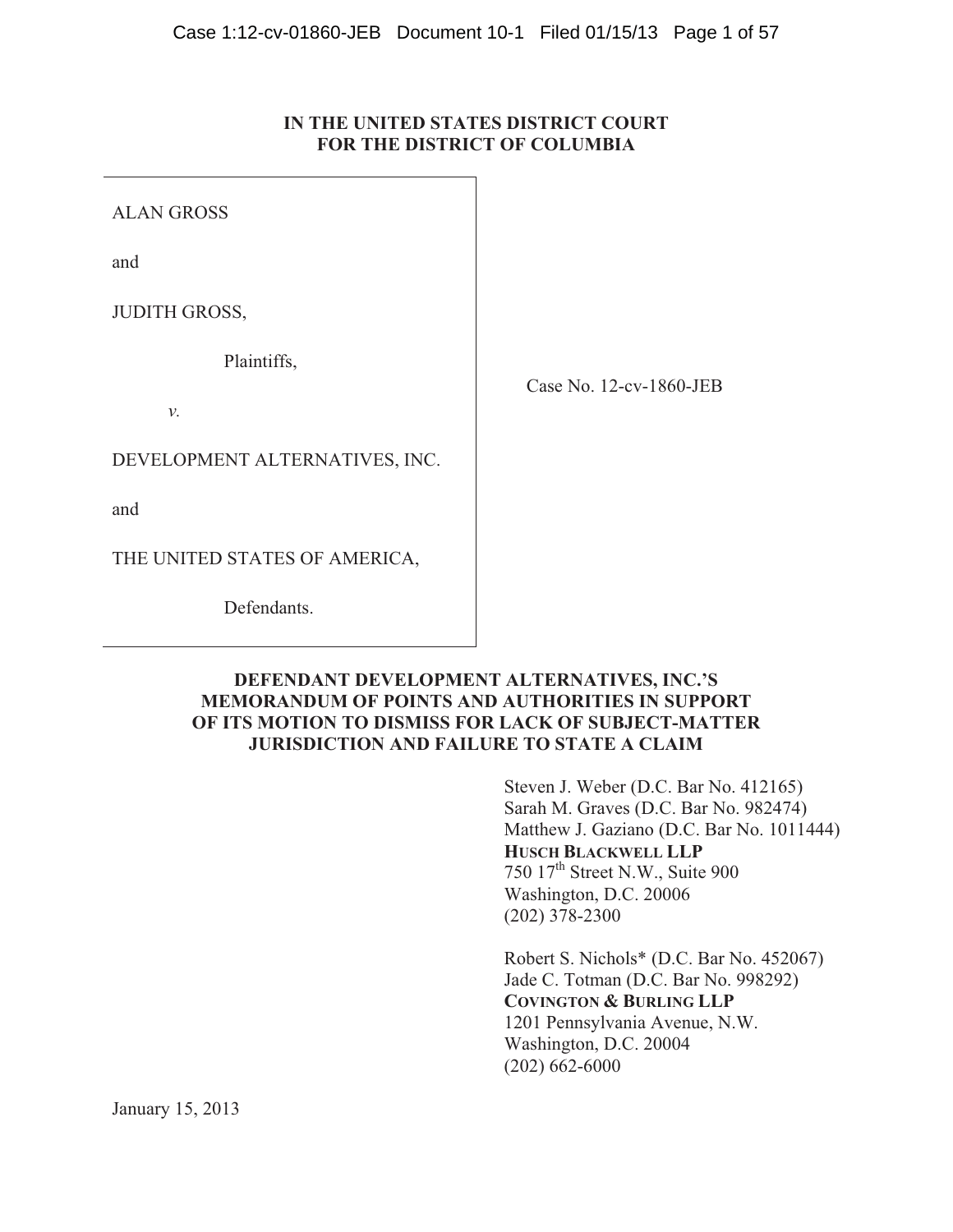# **IN THE UNITED STATES DISTRICT COURT FOR THE DISTRICT OF COLUMBIA**

ALAN GROSS

and

JUDITH GROSS,

Plaintiffs,

*v.*

DEVELOPMENT ALTERNATIVES, INC.

and

THE UNITED STATES OF AMERICA,

Defendants.

Case No. 12-cv-1860-JEB

# **DEFENDANT DEVELOPMENT ALTERNATIVES, INC.'S MEMORANDUM OF POINTS AND AUTHORITIES IN SUPPORT OF ITS MOTION TO DISMISS FOR LACK OF SUBJECT-MATTER JURISDICTION AND FAILURE TO STATE A CLAIM**

Steven J. Weber (D.C. Bar No. 412165) Sarah M. Graves (D.C. Bar No. 982474) Matthew J. Gaziano (D.C. Bar No. 1011444) **HUSCH BLACKWELL LLP** 750 17th Street N.W., Suite 900 Washington, D.C. 20006 (202) 378-2300

Robert S. Nichols\* (D.C. Bar No. 452067) Jade C. Totman (D.C. Bar No. 998292) **COVINGTON & BURLING LLP**  1201 Pennsylvania Avenue, N.W. Washington, D.C. 20004 (202) 662-6000

January 15, 2013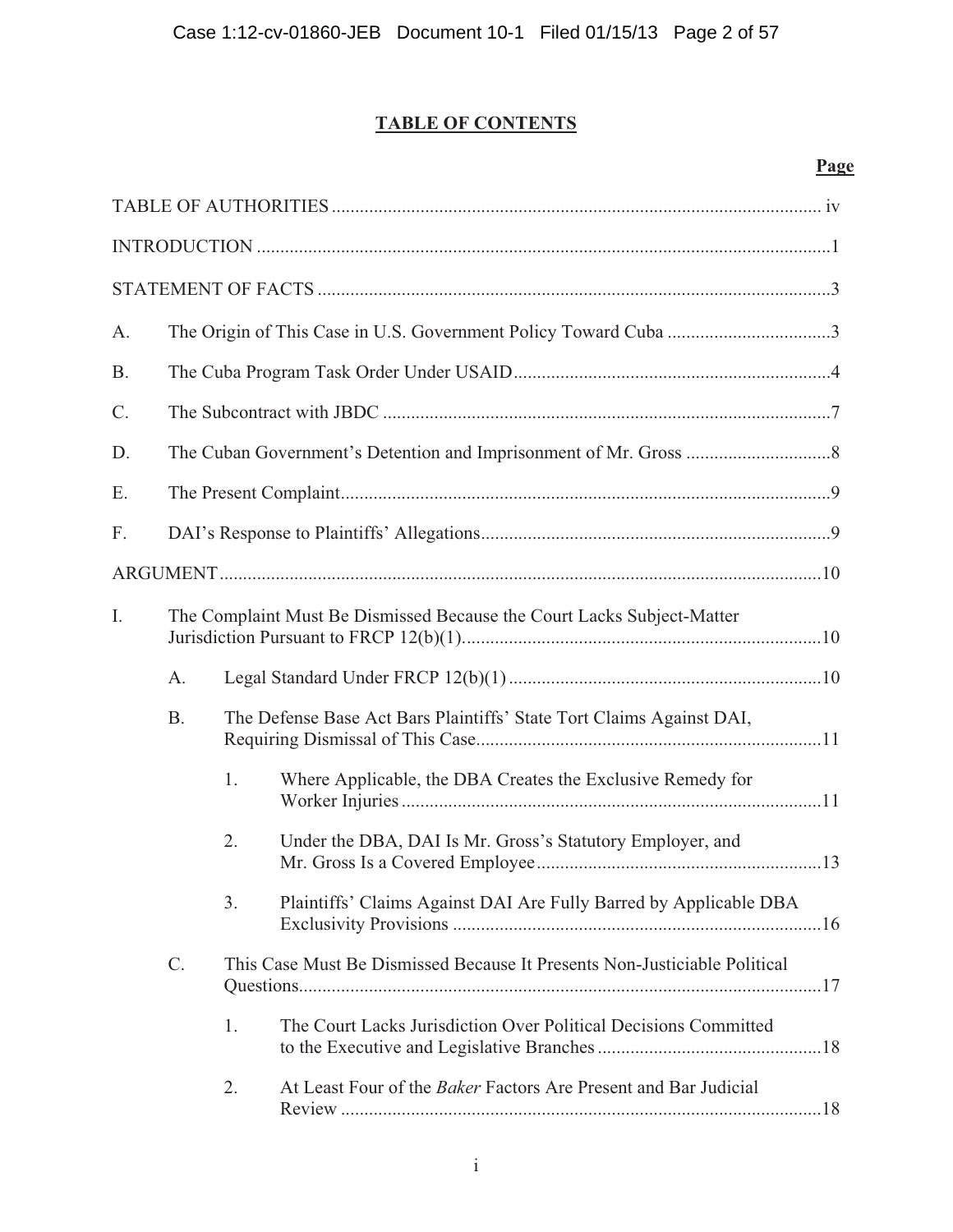# **TABLE OF CONTENTS**

# **Page**

| A.        | The Origin of This Case in U.S. Government Policy Toward Cuba 3 |    |                                                                           |
|-----------|-----------------------------------------------------------------|----|---------------------------------------------------------------------------|
| <b>B.</b> |                                                                 |    |                                                                           |
| C.        |                                                                 |    |                                                                           |
| D.        |                                                                 |    |                                                                           |
| E.        |                                                                 |    |                                                                           |
| F.        |                                                                 |    |                                                                           |
|           |                                                                 |    |                                                                           |
| I.        |                                                                 |    | The Complaint Must Be Dismissed Because the Court Lacks Subject-Matter    |
|           | A.                                                              |    |                                                                           |
|           | <b>B.</b>                                                       |    | The Defense Base Act Bars Plaintiffs' State Tort Claims Against DAI,      |
|           |                                                                 | 1. | Where Applicable, the DBA Creates the Exclusive Remedy for                |
|           |                                                                 | 2. | Under the DBA, DAI Is Mr. Gross's Statutory Employer, and                 |
|           |                                                                 | 3. | Plaintiffs' Claims Against DAI Are Fully Barred by Applicable DBA         |
|           | $C$ .                                                           |    | This Case Must Be Dismissed Because It Presents Non-Justiciable Political |
|           |                                                                 | 1. | The Court Lacks Jurisdiction Over Political Decisions Committed           |
|           |                                                                 | 2. | At Least Four of the Baker Factors Are Present and Bar Judicial           |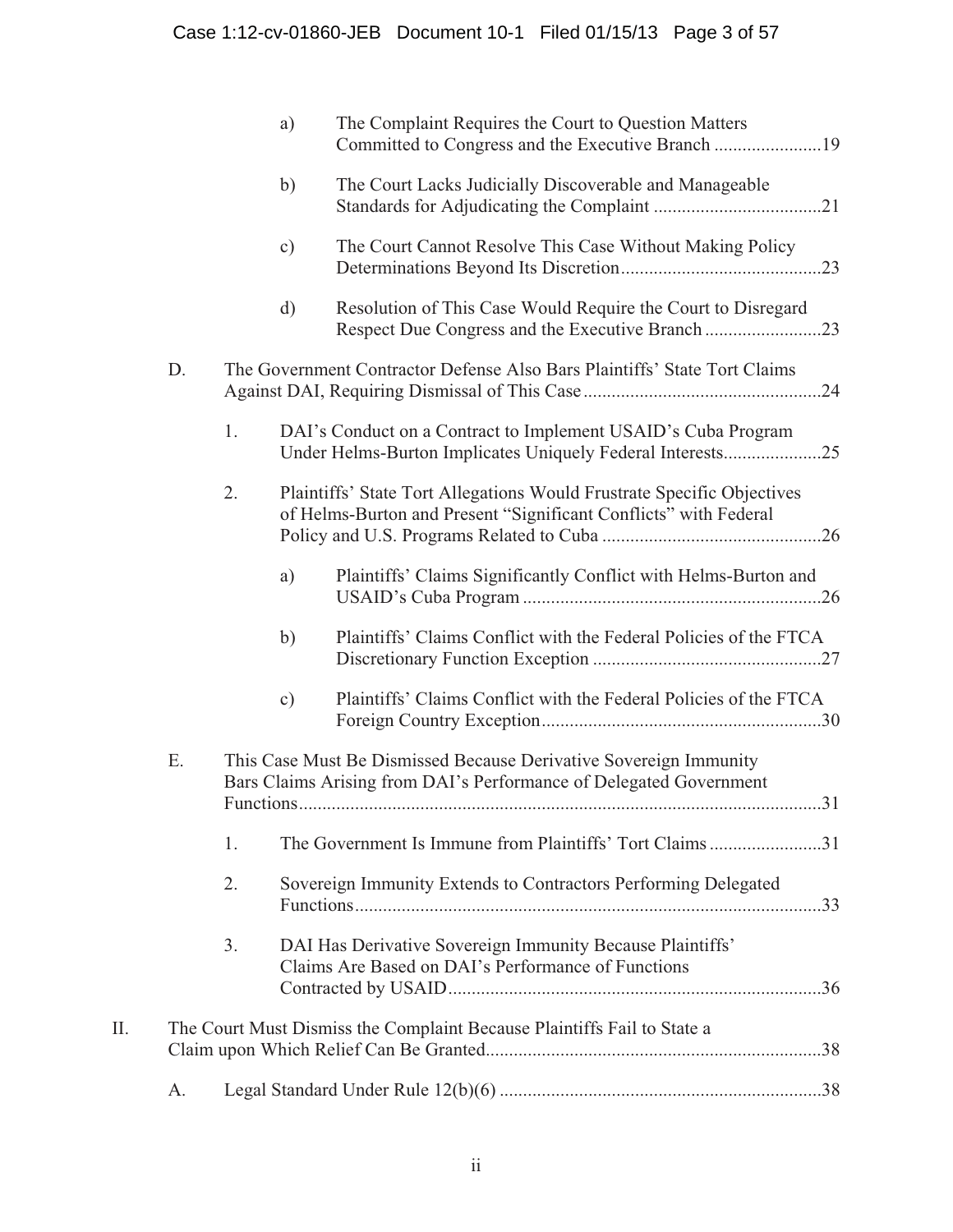|    |    |    | a)        | The Complaint Requires the Court to Question Matters                                                                                       |
|----|----|----|-----------|--------------------------------------------------------------------------------------------------------------------------------------------|
|    |    |    | b)        | The Court Lacks Judicially Discoverable and Manageable                                                                                     |
|    |    |    | $\circ$ ) | The Court Cannot Resolve This Case Without Making Policy                                                                                   |
|    |    |    | d)        | Resolution of This Case Would Require the Court to Disregard<br>Respect Due Congress and the Executive Branch23                            |
|    | D. |    |           | The Government Contractor Defense Also Bars Plaintiffs' State Tort Claims                                                                  |
|    |    | 1. |           | DAI's Conduct on a Contract to Implement USAID's Cuba Program<br>Under Helms-Burton Implicates Uniquely Federal Interests25                |
|    |    | 2. |           | Plaintiffs' State Tort Allegations Would Frustrate Specific Objectives<br>of Helms-Burton and Present "Significant Conflicts" with Federal |
|    |    |    | a)        | Plaintiffs' Claims Significantly Conflict with Helms-Burton and                                                                            |
|    |    |    | b)        | Plaintiffs' Claims Conflict with the Federal Policies of the FTCA                                                                          |
|    |    |    | $\circ$ ) | Plaintiffs' Claims Conflict with the Federal Policies of the FTCA                                                                          |
|    | E. |    |           | This Case Must Be Dismissed Because Derivative Sovereign Immunity<br>Bars Claims Arising from DAI's Performance of Delegated Government    |
|    |    | 1. |           | The Government Is Immune from Plaintiffs' Tort Claims31                                                                                    |
|    |    | 2. |           | Sovereign Immunity Extends to Contractors Performing Delegated                                                                             |
|    |    | 3. |           | DAI Has Derivative Sovereign Immunity Because Plaintiffs'<br>Claims Are Based on DAI's Performance of Functions                            |
| Π. |    |    |           | The Court Must Dismiss the Complaint Because Plaintiffs Fail to State a                                                                    |
|    | A. |    |           |                                                                                                                                            |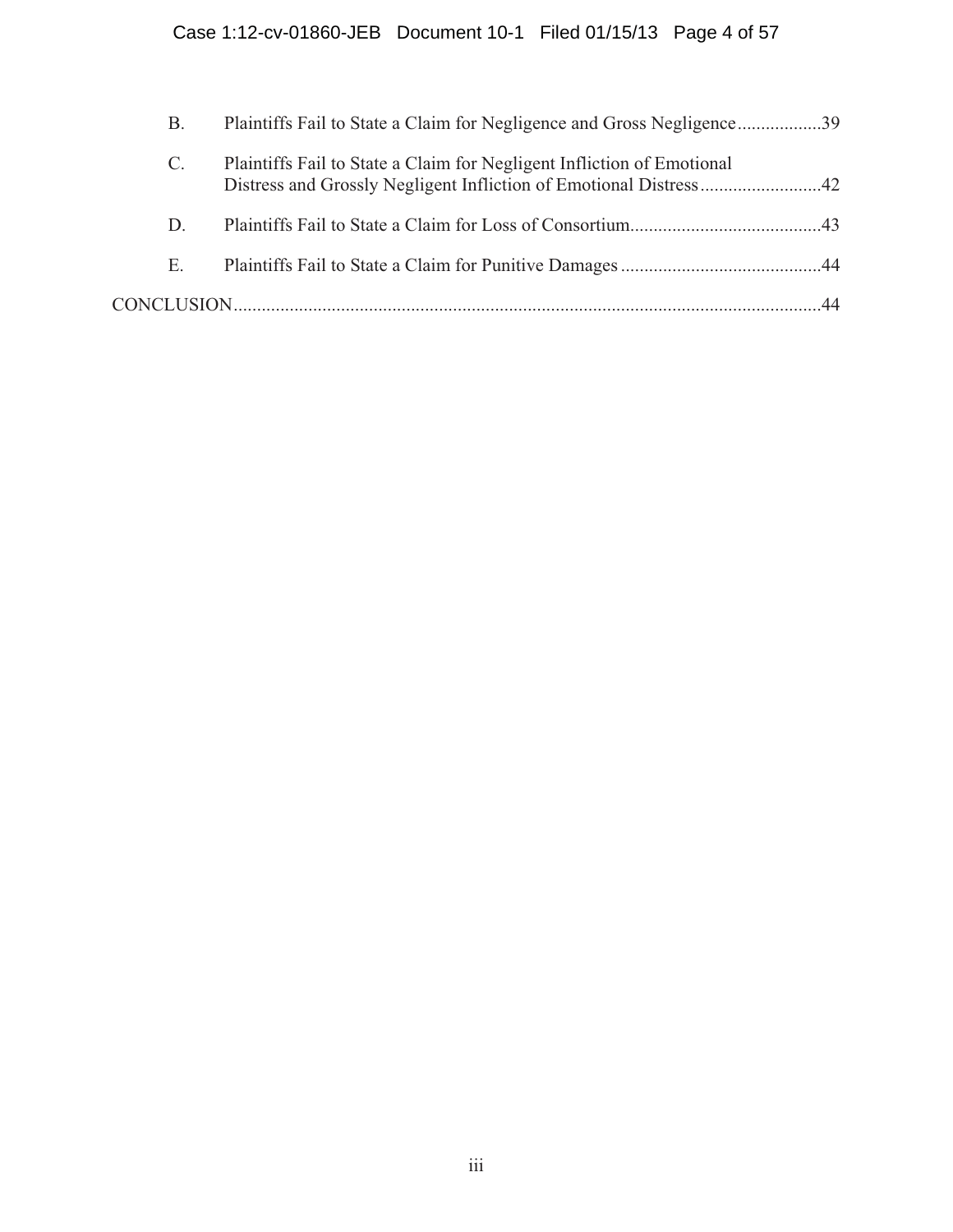| В.              | Plaintiffs Fail to State a Claim for Negligence and Gross Negligence39 |  |
|-----------------|------------------------------------------------------------------------|--|
| $\mathcal{C}$ . | Plaintiffs Fail to State a Claim for Negligent Infliction of Emotional |  |
| D.              |                                                                        |  |
| Е.              |                                                                        |  |
|                 |                                                                        |  |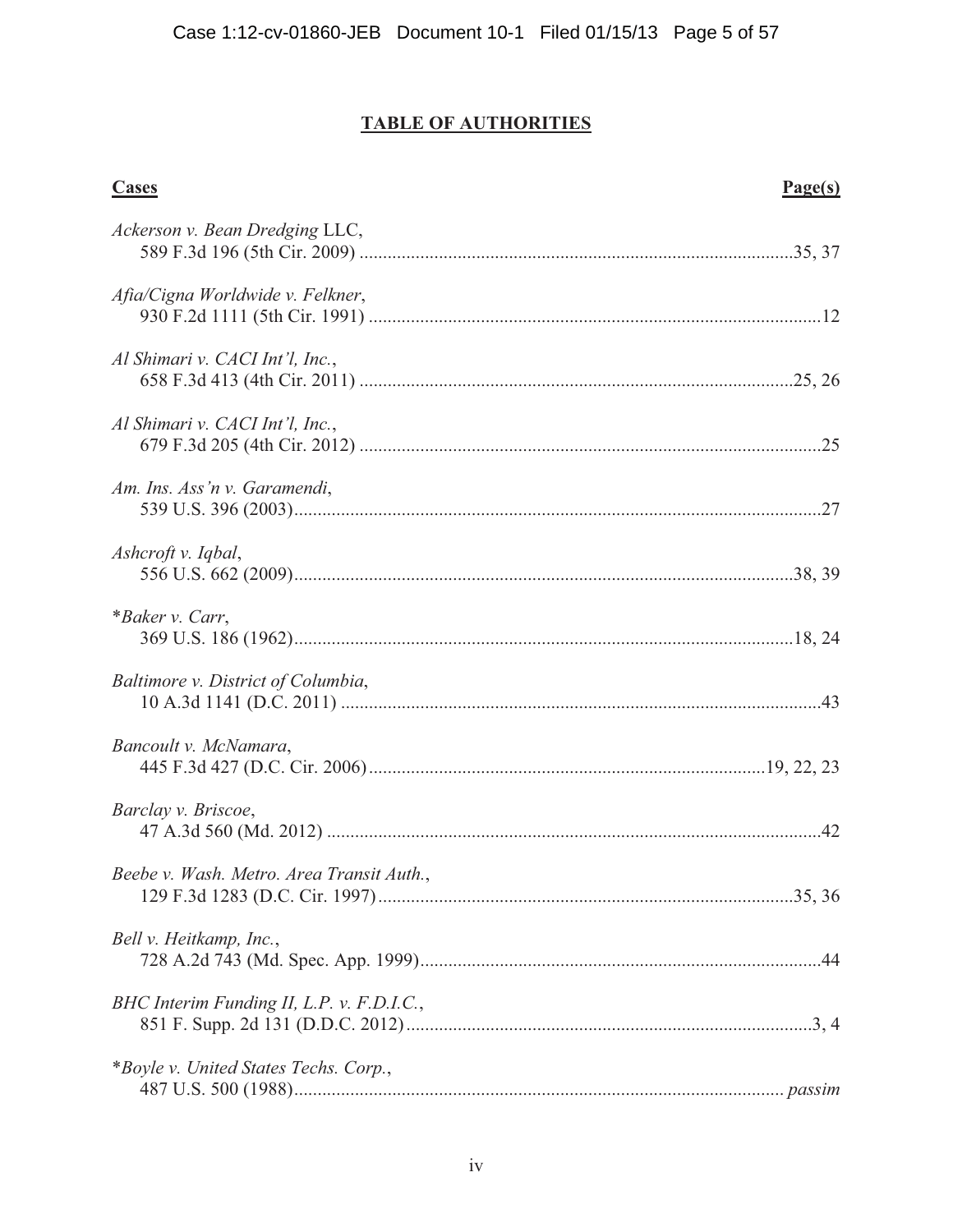# **TABLE OF AUTHORITIES**

| <b>Cases</b>                              | Page(s) |
|-------------------------------------------|---------|
| Ackerson v. Bean Dredging LLC,            |         |
| Afia/Cigna Worldwide v. Felkner,          |         |
| Al Shimari v. CACI Int'l, Inc.,           |         |
| Al Shimari v. CACI Int'l, Inc.,           |         |
| Am. Ins. Ass'n v. Garamendi,              |         |
| Ashcroft v. Iqbal,                        |         |
| *Baker v. Carr,                           |         |
| Baltimore v. District of Columbia,        |         |
| Bancoult v. McNamara,                     |         |
| Barclay v. Briscoe,                       |         |
| Beebe v. Wash. Metro. Area Transit Auth   |         |
| Bell v. Heitkamp, Inc.,                   |         |
| BHC Interim Funding II, L.P. v. F.D.I.C., |         |
| *Boyle v. United States Techs. Corp.,     |         |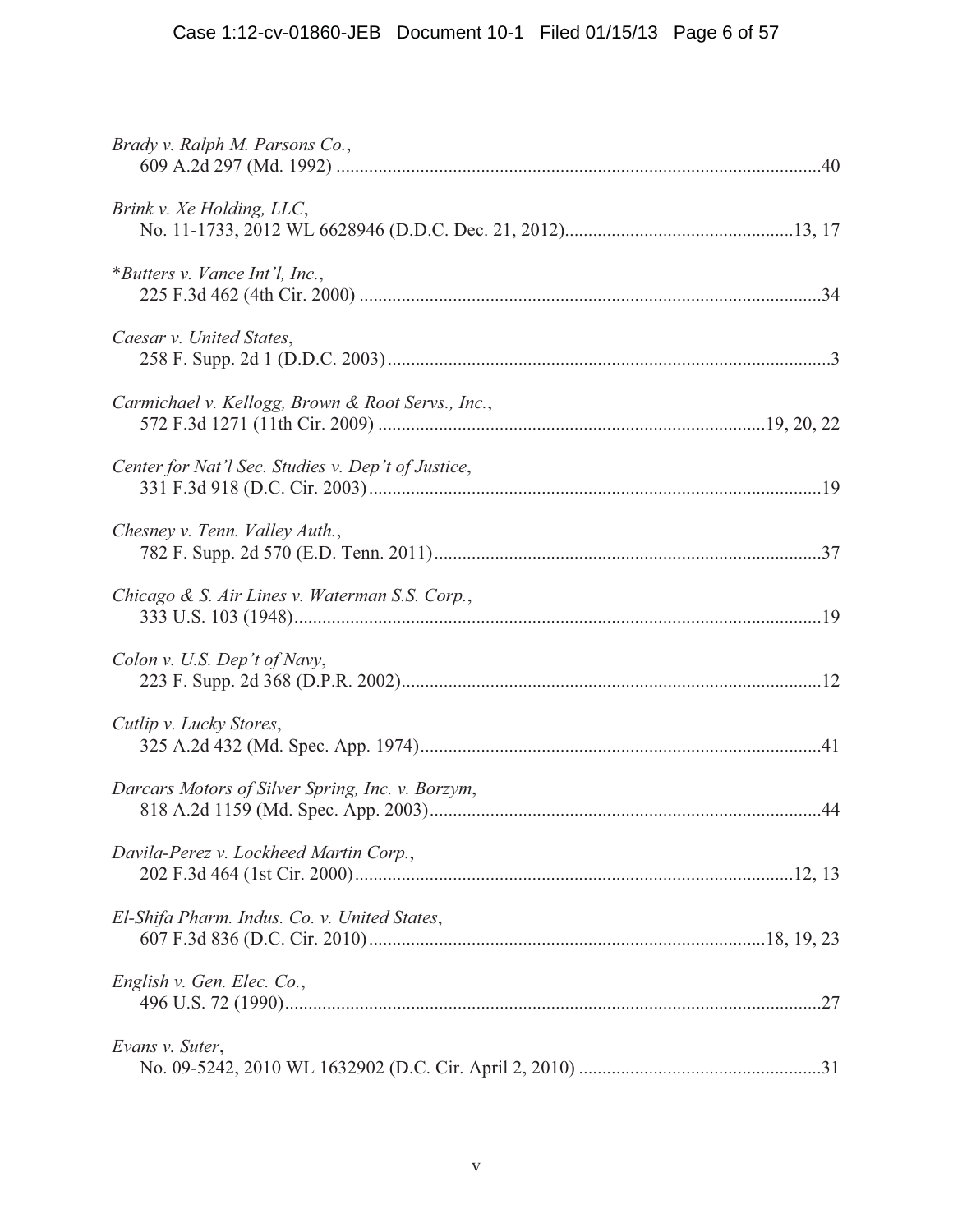| Brady v. Ralph M. Parsons Co.,                     |
|----------------------------------------------------|
| Brink v. Xe Holding, LLC,                          |
| *Butters v. Vance Int'l, Inc.,                     |
| Caesar v. United States,                           |
| Carmichael v. Kellogg, Brown & Root Servs., Inc.,  |
| Center for Nat'l Sec. Studies v. Dep't of Justice, |
| Chesney v. Tenn. Valley Auth.,                     |
| Chicago & S. Air Lines v. Waterman S.S. Corp.,     |
| Colon v. U.S. Dep't of Navy,                       |
| Cutlip v. Lucky Stores,                            |
| Darcars Motors of Silver Spring, Inc. v. Borzym,   |
| Davila-Perez v. Lockheed Martin Corp.,             |
| El-Shifa Pharm. Indus. Co. v. United States,       |
| English v. Gen. Elec. Co.,                         |
| Evans v. Suter,                                    |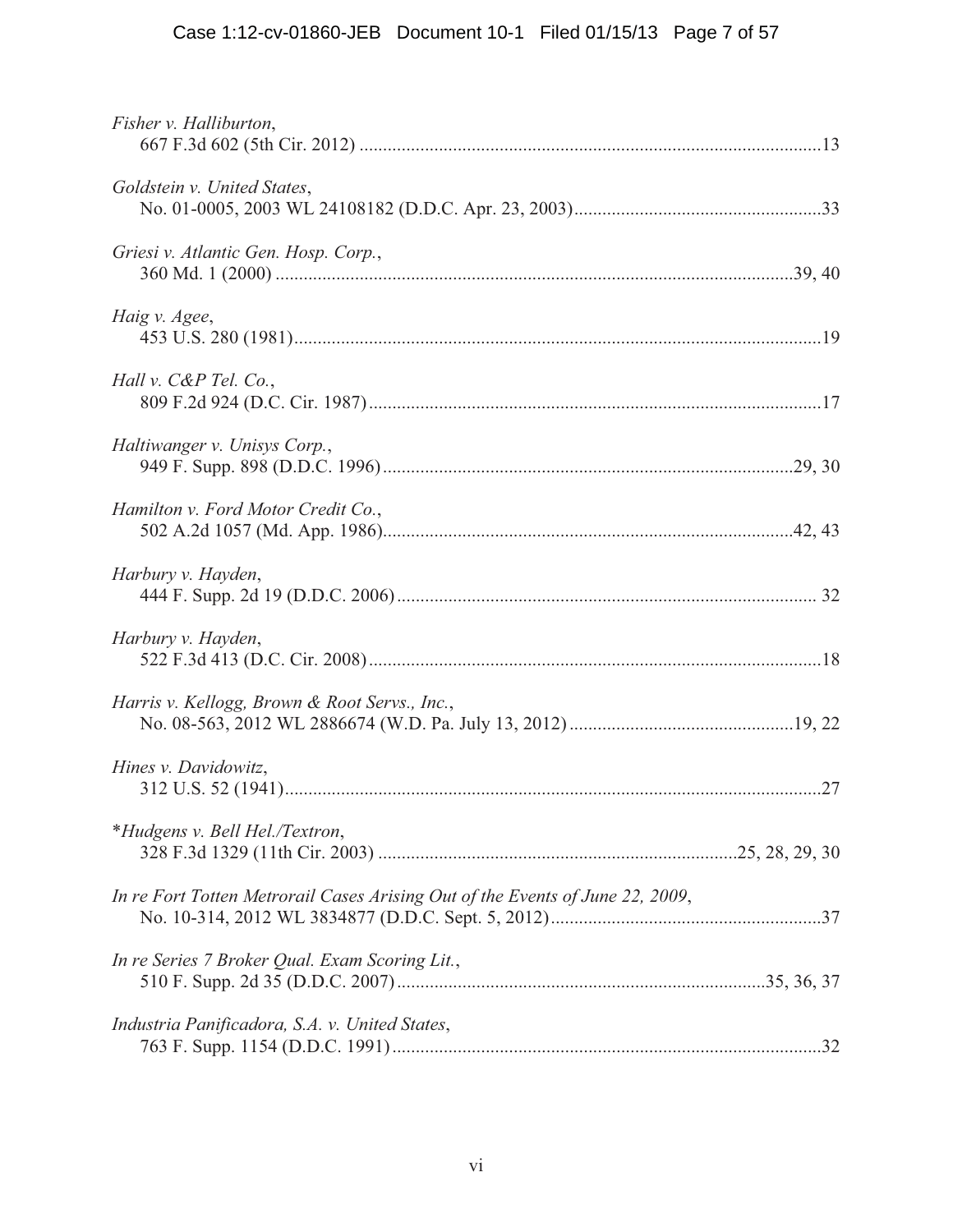| Fisher v. Halliburton,                                                        |  |
|-------------------------------------------------------------------------------|--|
| Goldstein v. United States,                                                   |  |
| Griesi v. Atlantic Gen. Hosp. Corp.,                                          |  |
| Haig v. Agee,                                                                 |  |
| Hall v. $C\&P$ Tel. $Co.$                                                     |  |
| Haltiwanger v. Unisys Corp.,                                                  |  |
| Hamilton v. Ford Motor Credit Co.,                                            |  |
| Harbury v. Hayden,                                                            |  |
| Harbury v. Hayden,                                                            |  |
| Harris v. Kellogg, Brown & Root Servs., Inc.,                                 |  |
| Hines v. Davidowitz,                                                          |  |
| *Hudgens v. Bell Hel./Textron,                                                |  |
| In re Fort Totten Metrorail Cases Arising Out of the Events of June 22, 2009, |  |
| In re Series 7 Broker Qual. Exam Scoring Lit.,                                |  |
| Industria Panificadora, S.A. v. United States,                                |  |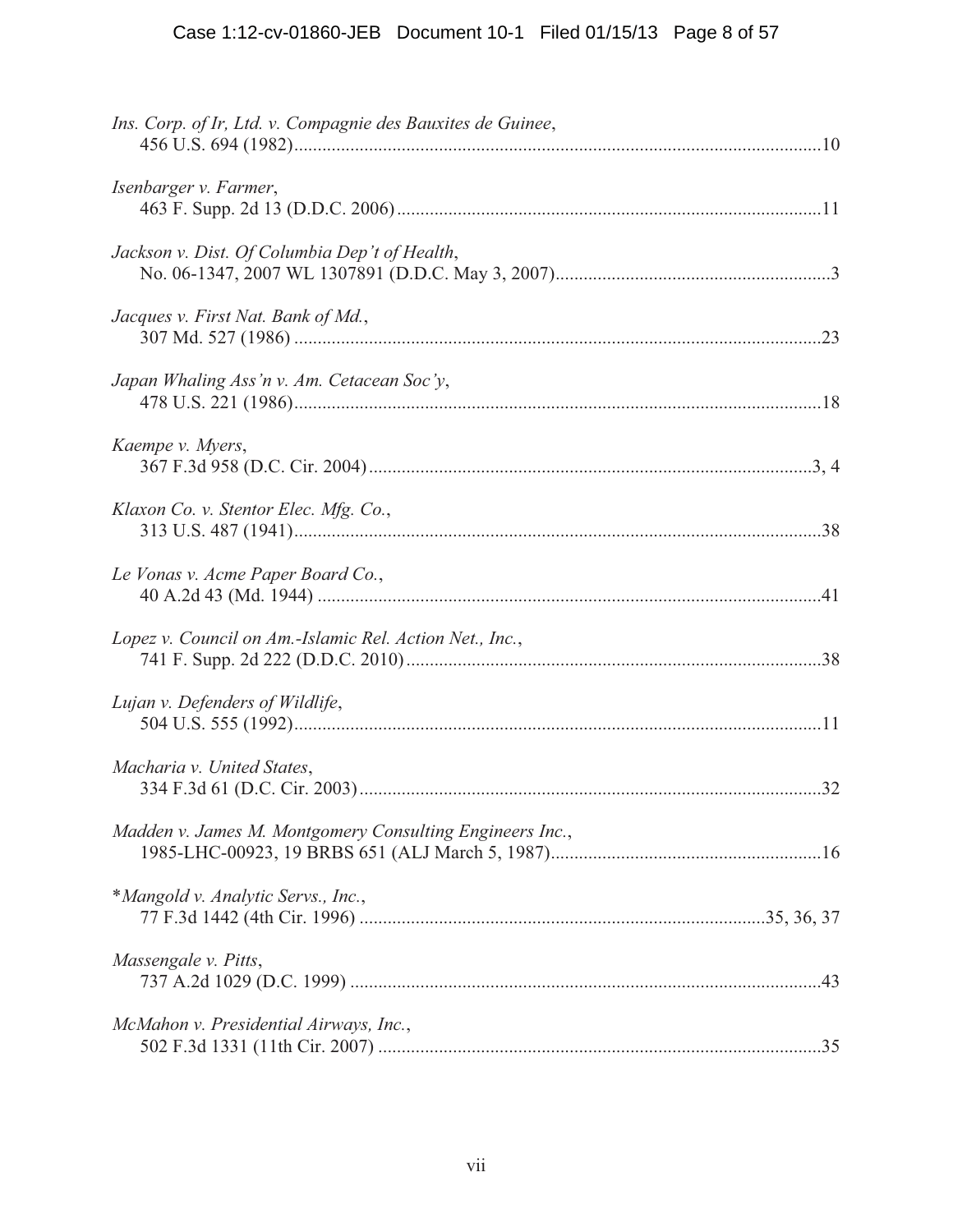| Ins. Corp. of Ir, Ltd. v. Compagnie des Bauxites de Guinee, |
|-------------------------------------------------------------|
| Isenbarger v. Farmer,                                       |
| Jackson v. Dist. Of Columbia Dep't of Health,               |
| Jacques v. First Nat. Bank of Md.,                          |
| Japan Whaling Ass'n v. Am. Cetacean Soc'y,                  |
| Kaempe v. Myers,                                            |
| Klaxon Co. v. Stentor Elec. Mfg. Co.,                       |
| Le Vonas v. Acme Paper Board Co.,                           |
| Lopez v. Council on Am.-Islamic Rel. Action Net., Inc.,     |
| Lujan v. Defenders of Wildlife,                             |
| Macharia v. United States,                                  |
| Madden v. James M. Montgomery Consulting Engineers Inc.,    |
| *Mangold v. Analytic Servs., Inc.,                          |
| Massengale v. Pitts,                                        |
| McMahon v. Presidential Airways, Inc.,                      |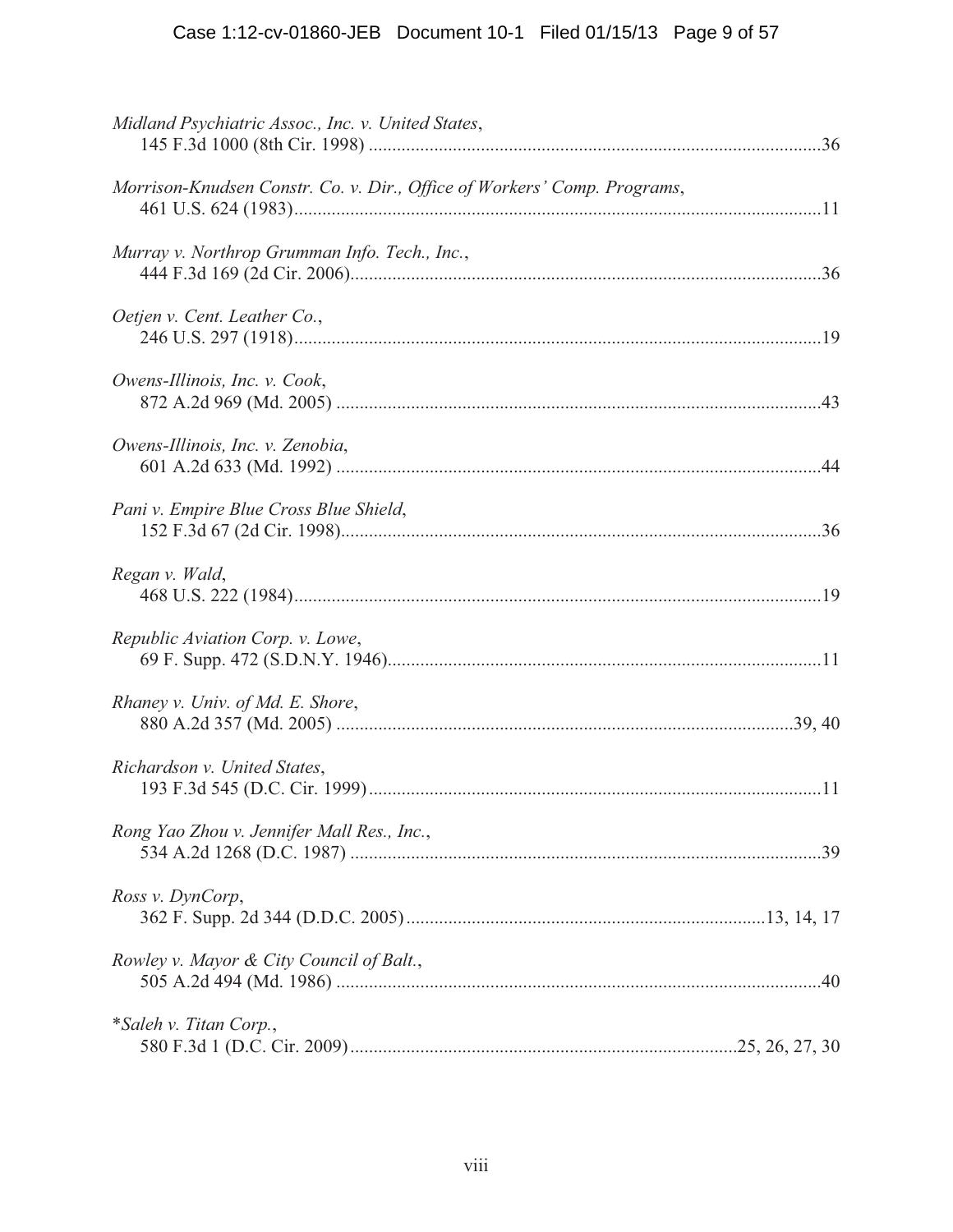# Case 1:12-cv-01860-JEB Document 10-1 Filed 01/15/13 Page 9 of 57

| Midland Psychiatric Assoc., Inc. v. United States,                       |  |
|--------------------------------------------------------------------------|--|
| Morrison-Knudsen Constr. Co. v. Dir., Office of Workers' Comp. Programs, |  |
| Murray v. Northrop Grumman Info. Tech., Inc.,                            |  |
| Oetjen v. Cent. Leather Co.,                                             |  |
| Owens-Illinois, Inc. v. Cook,                                            |  |
| Owens-Illinois, Inc. v. Zenobia,                                         |  |
| Pani v. Empire Blue Cross Blue Shield,                                   |  |
| Regan v. Wald,                                                           |  |
| Republic Aviation Corp. v. Lowe,                                         |  |
| Rhaney v. Univ. of Md. E. Shore,                                         |  |
| Richardson v. United States,                                             |  |
| Rong Yao Zhou v. Jennifer Mall Res., Inc.,                               |  |
| Ross v. DynCorp,                                                         |  |
| Rowley v. Mayor & City Council of Balt.,                                 |  |
| *Saleh v. Titan Corp.,                                                   |  |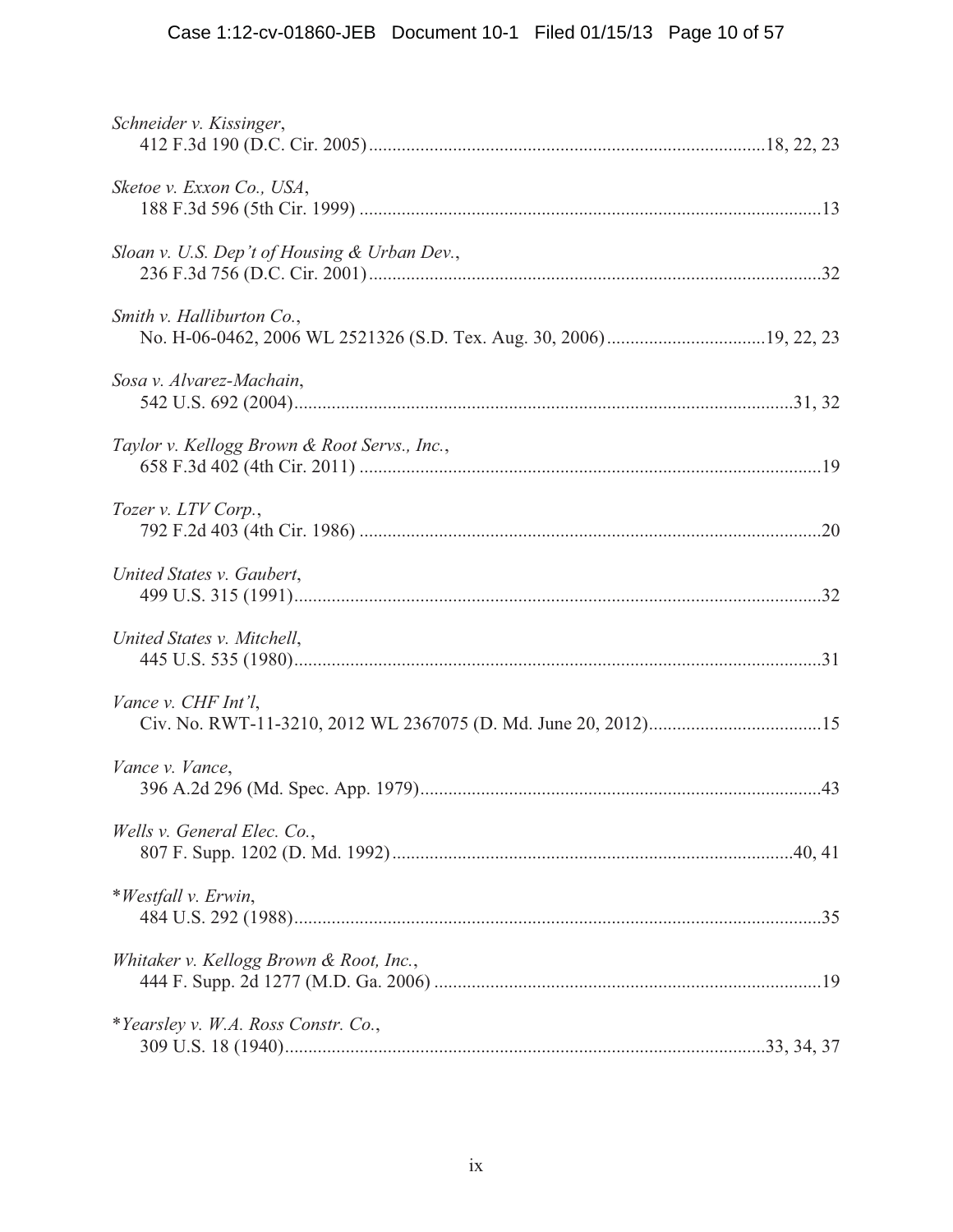| Schneider v. Kissinger,                      |  |
|----------------------------------------------|--|
| Sketoe v. Exxon Co., USA,                    |  |
| Sloan v. U.S. Dep't of Housing & Urban Dev., |  |
| Smith v. Halliburton Co.,                    |  |
| Sosa v. Alvarez-Machain,                     |  |
| Taylor v. Kellogg Brown & Root Servs., Inc., |  |
| Tozer v. LTV Corp.,                          |  |
| United States v. Gaubert,                    |  |
| United States v. Mitchell,                   |  |
| Vance v. CHF Int'l,                          |  |
| Vance v. Vance,                              |  |
| Wells v. General Elec. Co.,                  |  |
| *Westfall v. Erwin,                          |  |
| Whitaker v. Kellogg Brown & Root, Inc.,      |  |
| *Yearsley v. W.A. Ross Constr. Co.,          |  |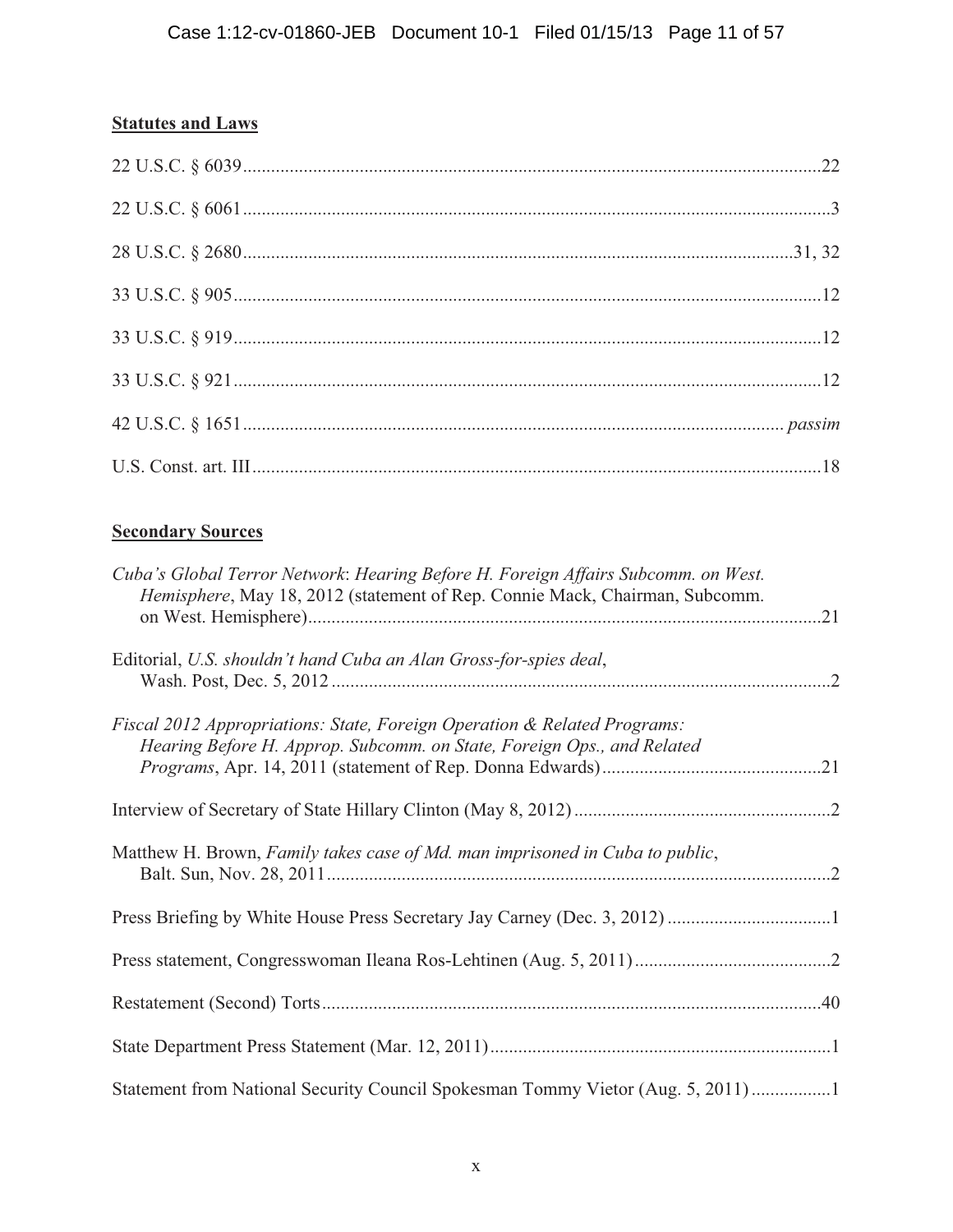# **Statutes and Laws**

# **Secondary Sources**

| Cuba's Global Terror Network: Hearing Before H. Foreign Affairs Subcomm. on West.<br>Hemisphere, May 18, 2012 (statement of Rep. Connie Mack, Chairman, Subcomm. |  |
|------------------------------------------------------------------------------------------------------------------------------------------------------------------|--|
| Editorial, U.S. shouldn't hand Cuba an Alan Gross-for-spies deal,                                                                                                |  |
| Fiscal 2012 Appropriations: State, Foreign Operation & Related Programs:<br>Hearing Before H. Approp. Subcomm. on State, Foreign Ops., and Related               |  |
|                                                                                                                                                                  |  |
| Matthew H. Brown, Family takes case of Md. man imprisoned in Cuba to public,                                                                                     |  |
|                                                                                                                                                                  |  |
|                                                                                                                                                                  |  |
|                                                                                                                                                                  |  |
|                                                                                                                                                                  |  |
| Statement from National Security Council Spokesman Tommy Vietor (Aug. 5, 2011)1                                                                                  |  |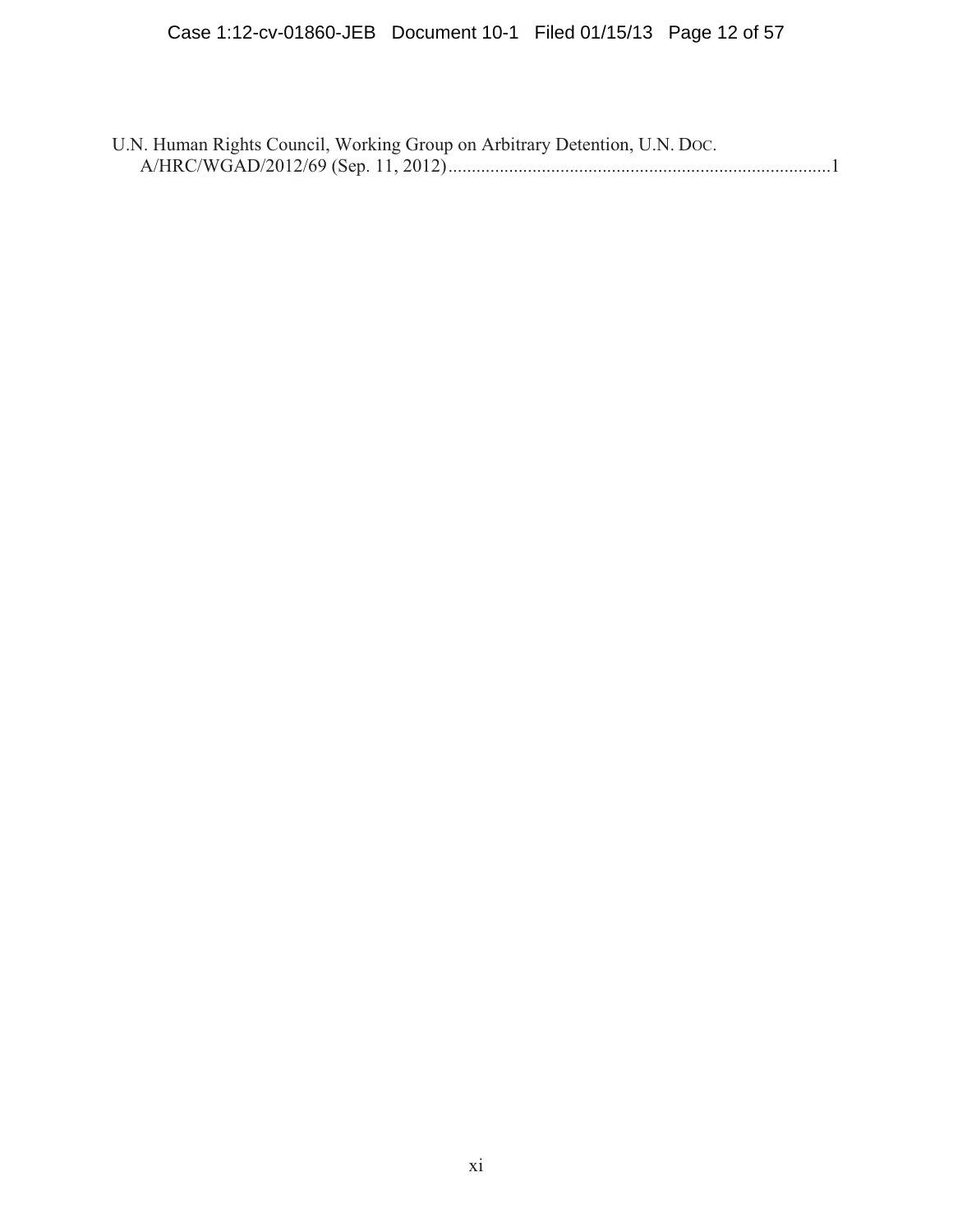| U.N. Human Rights Council, Working Group on Arbitrary Detention, U.N. Doc. |
|----------------------------------------------------------------------------|
|                                                                            |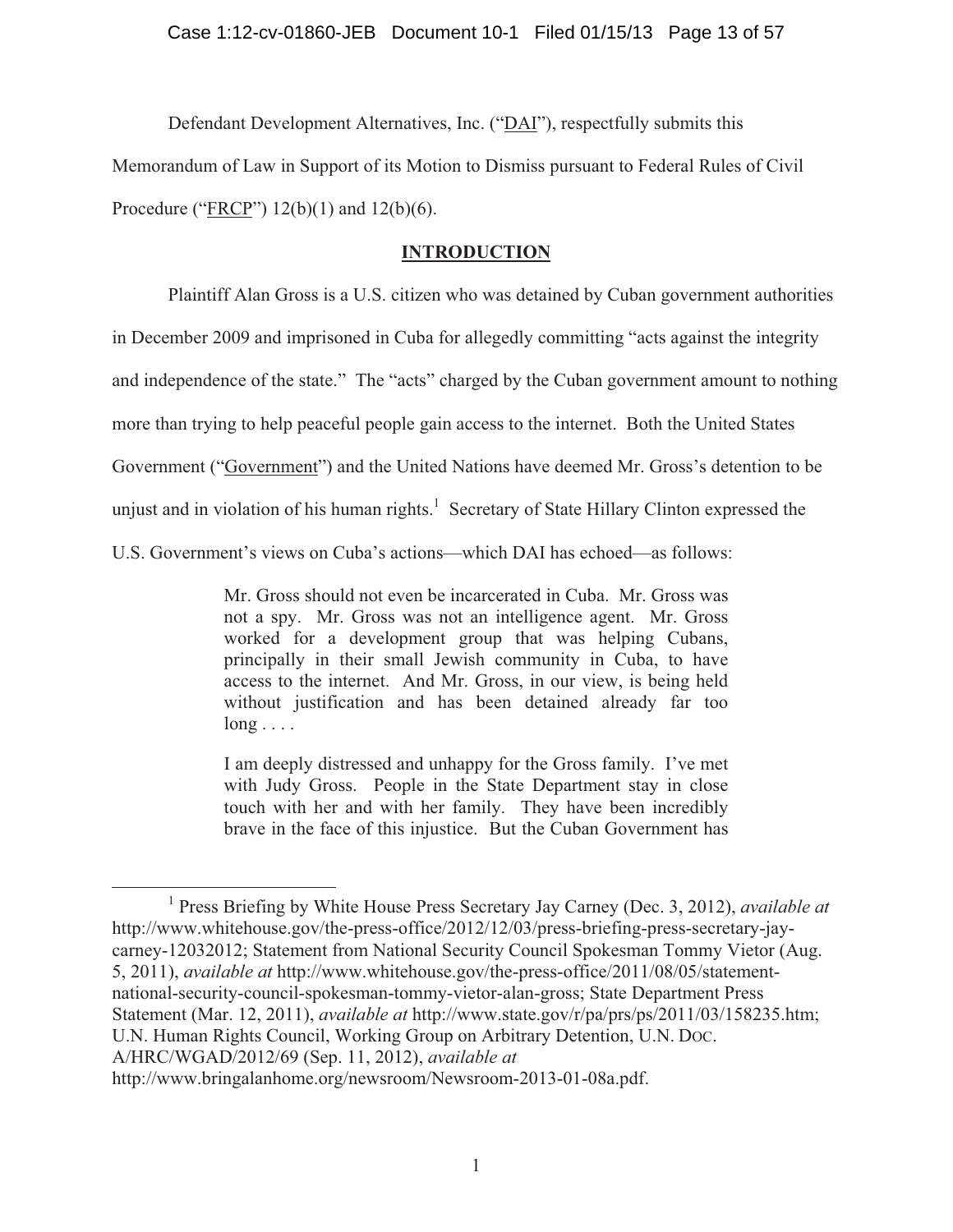Defendant Development Alternatives, Inc. ("DAI"), respectfully submits this

Memorandum of Law in Support of its Motion to Dismiss pursuant to Federal Rules of Civil

Procedure ("FRCP") 12(b)(1) and 12(b)(6).

# **INTRODUCTION**

Plaintiff Alan Gross is a U.S. citizen who was detained by Cuban government authorities

in December 2009 and imprisoned in Cuba for allegedly committing "acts against the integrity

and independence of the state." The "acts" charged by the Cuban government amount to nothing

more than trying to help peaceful people gain access to the internet. Both the United States

Government ("Government") and the United Nations have deemed Mr. Gross's detention to be

unjust and in violation of his human rights.<sup>1</sup> Secretary of State Hillary Clinton expressed the

U.S. Government's views on Cuba's actions—which DAI has echoed—as follows:

Mr. Gross should not even be incarcerated in Cuba. Mr. Gross was not a spy. Mr. Gross was not an intelligence agent. Mr. Gross worked for a development group that was helping Cubans, principally in their small Jewish community in Cuba, to have access to the internet. And Mr. Gross, in our view, is being held without justification and has been detained already far too  $long \dots$ 

I am deeply distressed and unhappy for the Gross family. I've met with Judy Gross. People in the State Department stay in close touch with her and with her family. They have been incredibly brave in the face of this injustice. But the Cuban Government has

<sup>&</sup>lt;sup>1</sup> Press Briefing by White House Press Secretary Jay Carney (Dec. 3, 2012), *available at* http://www.whitehouse.gov/the-press-office/2012/12/03/press-briefing-press-secretary-jaycarney-12032012; Statement from National Security Council Spokesman Tommy Vietor (Aug. 5, 2011), *available at* http://www.whitehouse.gov/the-press-office/2011/08/05/statementnational-security-council-spokesman-tommy-vietor-alan-gross; State Department Press Statement (Mar. 12, 2011), *available at* http://www.state.gov/r/pa/prs/ps/2011/03/158235.htm; U.N. Human Rights Council, Working Group on Arbitrary Detention, U.N. DOC. A/HRC/WGAD/2012/69 (Sep. 11, 2012), *available at*  http://www.bringalanhome.org/newsroom/Newsroom-2013-01-08a.pdf.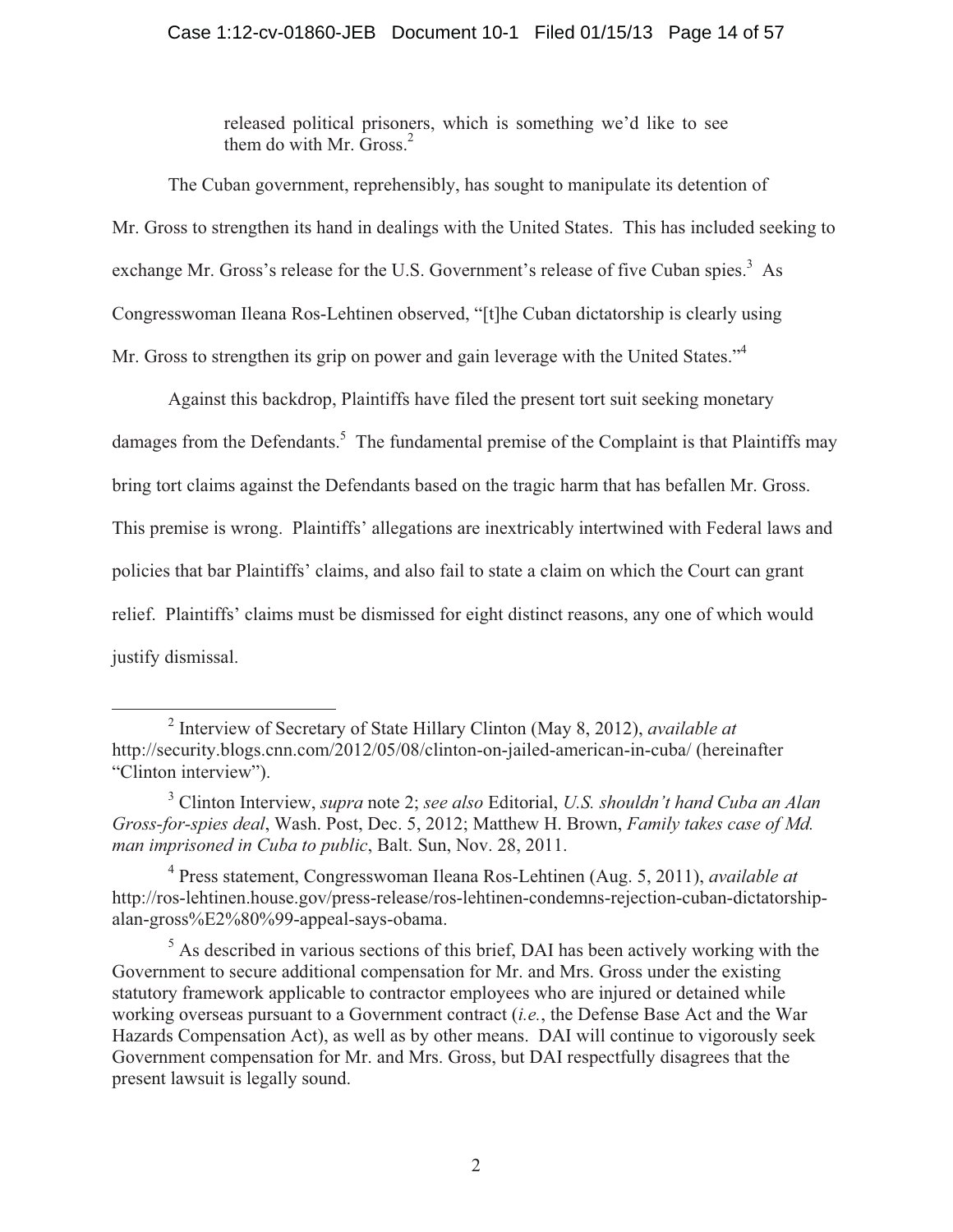## Case 1:12-cv-01860-JEB Document 10-1 Filed 01/15/13 Page 14 of 57

released political prisoners, which is something we'd like to see them do with Mr. Gross. $2$ 

 The Cuban government, reprehensibly, has sought to manipulate its detention of Mr. Gross to strengthen its hand in dealings with the United States. This has included seeking to exchange Mr. Gross's release for the U.S. Government's release of five Cuban spies.<sup>3</sup> As Congresswoman Ileana Ros-Lehtinen observed, "[t]he Cuban dictatorship is clearly using Mr. Gross to strengthen its grip on power and gain leverage with the United States."<sup>4</sup>

Against this backdrop, Plaintiffs have filed the present tort suit seeking monetary damages from the Defendants.<sup>5</sup> The fundamental premise of the Complaint is that Plaintiffs may bring tort claims against the Defendants based on the tragic harm that has befallen Mr. Gross. This premise is wrong. Plaintiffs' allegations are inextricably intertwined with Federal laws and policies that bar Plaintiffs' claims, and also fail to state a claim on which the Court can grant relief. Plaintiffs' claims must be dismissed for eight distinct reasons, any one of which would justify dismissal.

<sup>2</sup> Interview of Secretary of State Hillary Clinton (May 8, 2012), *available at*  http://security.blogs.cnn.com/2012/05/08/clinton-on-jailed-american-in-cuba/ (hereinafter "Clinton interview").

<sup>3</sup> Clinton Interview, *supra* note 2; *see also* Editorial, *U.S. shouldn't hand Cuba an Alan Gross-for-spies deal*, Wash. Post, Dec. 5, 2012; Matthew H. Brown, *Family takes case of Md. man imprisoned in Cuba to public*, Balt. Sun, Nov. 28, 2011.

<sup>4</sup> Press statement, Congresswoman Ileana Ros-Lehtinen (Aug. 5, 2011), *available at*  http://ros-lehtinen.house.gov/press-release/ros-lehtinen-condemns-rejection-cuban-dictatorshipalan-gross%E2%80%99-appeal-says-obama.

 $<sup>5</sup>$  As described in various sections of this brief, DAI has been actively working with the</sup> Government to secure additional compensation for Mr. and Mrs. Gross under the existing statutory framework applicable to contractor employees who are injured or detained while working overseas pursuant to a Government contract (*i.e.*, the Defense Base Act and the War Hazards Compensation Act), as well as by other means. DAI will continue to vigorously seek Government compensation for Mr. and Mrs. Gross, but DAI respectfully disagrees that the present lawsuit is legally sound.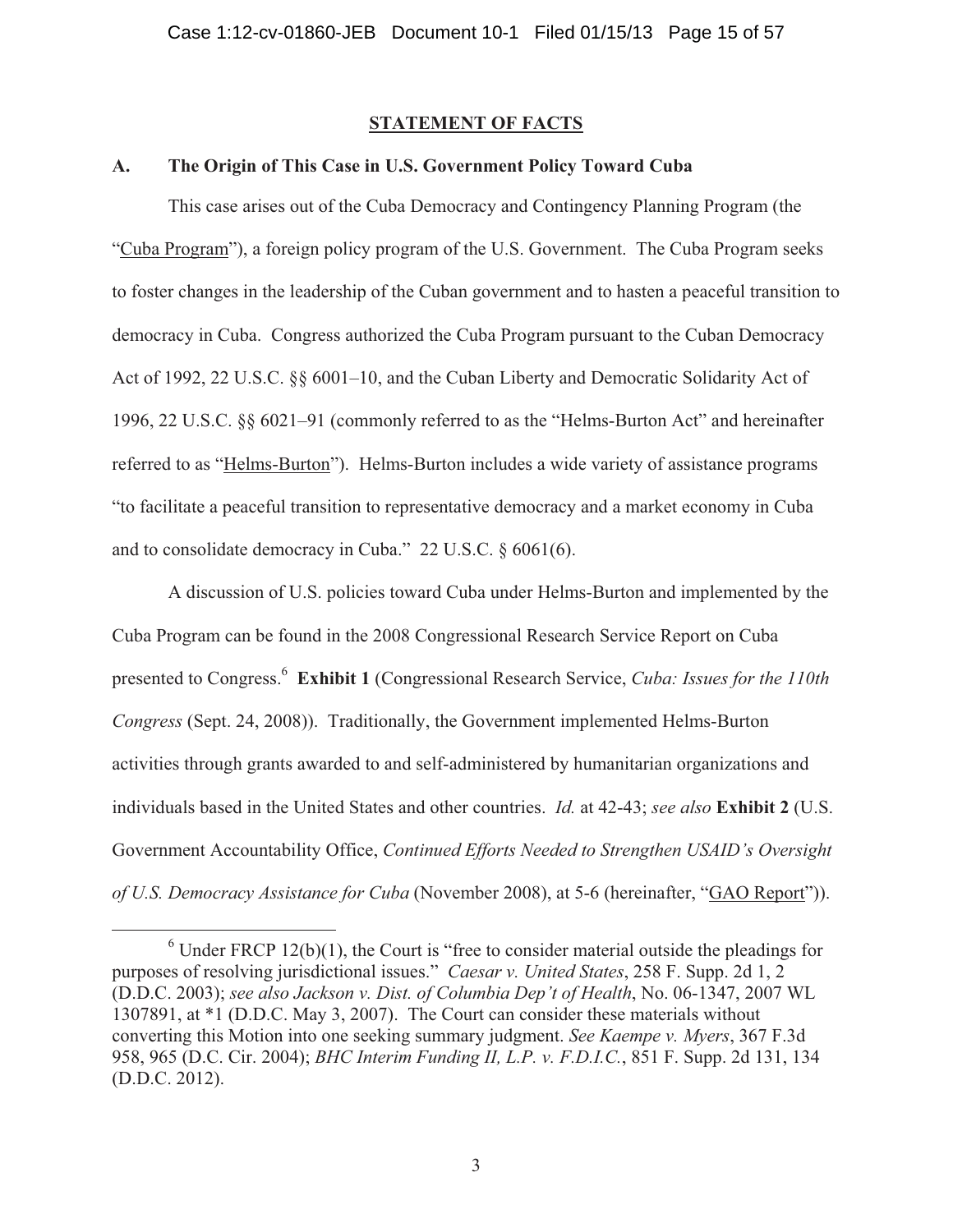#### **STATEMENT OF FACTS**

### **A. The Origin of This Case in U.S. Government Policy Toward Cuba**

This case arises out of the Cuba Democracy and Contingency Planning Program (the "Cuba Program"), a foreign policy program of the U.S. Government. The Cuba Program seeks to foster changes in the leadership of the Cuban government and to hasten a peaceful transition to democracy in Cuba. Congress authorized the Cuba Program pursuant to the Cuban Democracy Act of 1992, 22 U.S.C. §§ 6001–10, and the Cuban Liberty and Democratic Solidarity Act of 1996, 22 U.S.C. §§ 6021–91 (commonly referred to as the "Helms-Burton Act" and hereinafter referred to as "Helms-Burton"). Helms-Burton includes a wide variety of assistance programs "to facilitate a peaceful transition to representative democracy and a market economy in Cuba and to consolidate democracy in Cuba." 22 U.S.C. § 6061(6).

A discussion of U.S. policies toward Cuba under Helms-Burton and implemented by the Cuba Program can be found in the 2008 Congressional Research Service Report on Cuba presented to Congress.6 **Exhibit 1** (Congressional Research Service, *Cuba: Issues for the 110th Congress* (Sept. 24, 2008)). Traditionally, the Government implemented Helms-Burton activities through grants awarded to and self-administered by humanitarian organizations and individuals based in the United States and other countries. *Id.* at 42-43; *see also* **Exhibit 2** (U.S. Government Accountability Office, *Continued Efforts Needed to Strengthen USAID's Oversight of U.S. Democracy Assistance for Cuba* (November 2008), at 5-6 (hereinafter, "GAO Report")).

 $6$  Under FRCP 12(b)(1), the Court is "free to consider material outside the pleadings for purposes of resolving jurisdictional issues." *Caesar v. United States*, 258 F. Supp. 2d 1, 2 (D.D.C. 2003); *see also Jackson v. Dist. of Columbia Dep't of Health*, No. 06-1347, 2007 WL 1307891, at \*1 (D.D.C. May 3, 2007). The Court can consider these materials without converting this Motion into one seeking summary judgment. *See Kaempe v. Myers*, 367 F.3d 958, 965 (D.C. Cir. 2004); *BHC Interim Funding II, L.P. v. F.D.I.C.*, 851 F. Supp. 2d 131, 134 (D.D.C. 2012).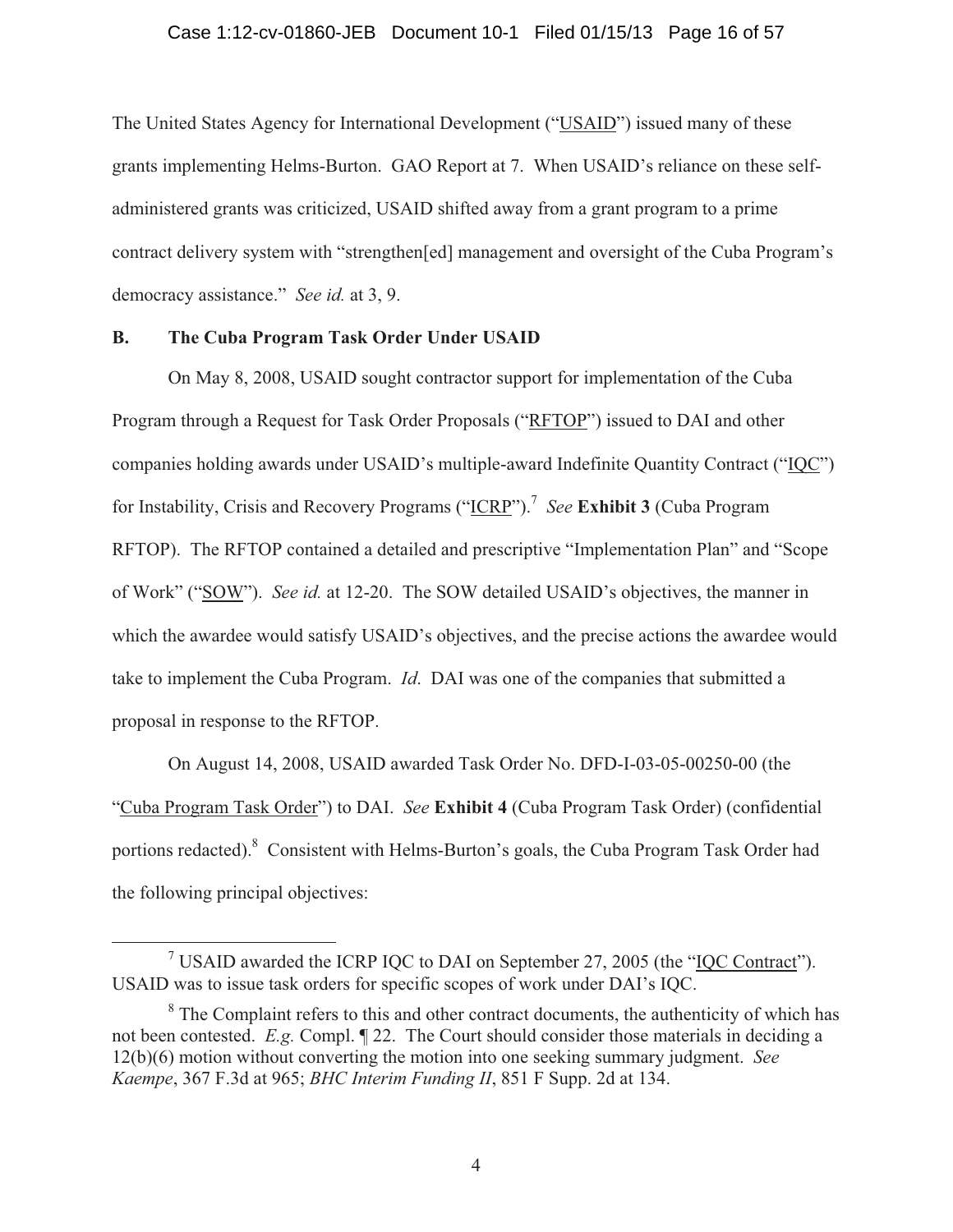#### Case 1:12-cv-01860-JEB Document 10-1 Filed 01/15/13 Page 16 of 57

The United States Agency for International Development ("USAID") issued many of these grants implementing Helms-Burton. GAO Report at 7. When USAID's reliance on these selfadministered grants was criticized, USAID shifted away from a grant program to a prime contract delivery system with "strengthen[ed] management and oversight of the Cuba Program's democracy assistance." *See id.* at 3, 9.

## **B. The Cuba Program Task Order Under USAID**

On May 8, 2008, USAID sought contractor support for implementation of the Cuba Program through a Request for Task Order Proposals ("RFTOP") issued to DAI and other companies holding awards under USAID's multiple-award Indefinite Quantity Contract ("IQC") for Instability, Crisis and Recovery Programs ("ICRP").<sup>7</sup> *See* **Exhibit 3** (Cuba Program RFTOP). The RFTOP contained a detailed and prescriptive "Implementation Plan" and "Scope of Work" ("SOW"). *See id.* at 12-20. The SOW detailed USAID's objectives, the manner in which the awardee would satisfy USAID's objectives, and the precise actions the awardee would take to implement the Cuba Program. *Id*. DAI was one of the companies that submitted a proposal in response to the RFTOP.

On August 14, 2008, USAID awarded Task Order No. DFD-I-03-05-00250-00 (the "Cuba Program Task Order") to DAI. *See* **Exhibit 4** (Cuba Program Task Order) (confidential portions redacted). <sup>8</sup> Consistent with Helms-Burton's goals, the Cuba Program Task Order had the following principal objectives:

<sup>&</sup>lt;sup>7</sup> USAID awarded the ICRP IQC to DAI on September 27, 2005 (the "IQC Contract"). USAID was to issue task orders for specific scopes of work under DAI's IQC.

<sup>&</sup>lt;sup>8</sup> The Complaint refers to this and other contract documents, the authenticity of which has not been contested. *E.g.* Compl. ¶ 22. The Court should consider those materials in deciding a 12(b)(6) motion without converting the motion into one seeking summary judgment. *See Kaempe*, 367 F.3d at 965; *BHC Interim Funding II*, 851 F Supp. 2d at 134.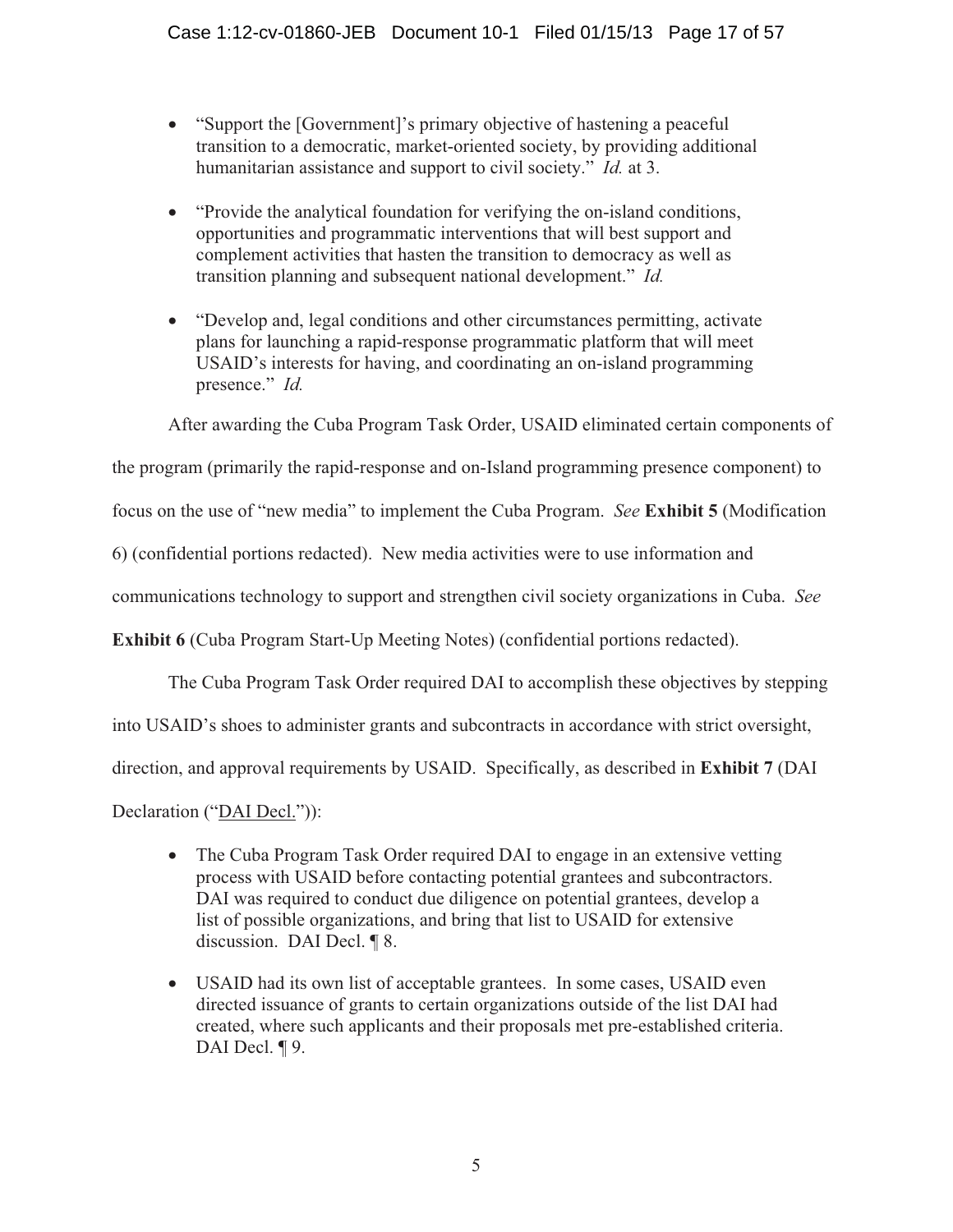- "Support the [Government]'s primary objective of hastening a peaceful transition to a democratic, market-oriented society, by providing additional humanitarian assistance and support to civil society." *Id.* at 3.
- "Provide the analytical foundation for verifying the on-island conditions, opportunities and programmatic interventions that will best support and complement activities that hasten the transition to democracy as well as transition planning and subsequent national development." *Id.*
- "Develop and, legal conditions and other circumstances permitting, activate plans for launching a rapid-response programmatic platform that will meet USAID's interests for having, and coordinating an on-island programming presence." *Id.*

After awarding the Cuba Program Task Order, USAID eliminated certain components of

the program (primarily the rapid-response and on-Island programming presence component) to

focus on the use of "new media" to implement the Cuba Program. *See* **Exhibit 5** (Modification

6) (confidential portions redacted). New media activities were to use information and

communications technology to support and strengthen civil society organizations in Cuba. *See*

**Exhibit 6** (Cuba Program Start-Up Meeting Notes) (confidential portions redacted).

The Cuba Program Task Order required DAI to accomplish these objectives by stepping

into USAID's shoes to administer grants and subcontracts in accordance with strict oversight,

direction, and approval requirements by USAID. Specifically, as described in **Exhibit 7** (DAI

Declaration ("DAI Decl.")):

- The Cuba Program Task Order required DAI to engage in an extensive vetting process with USAID before contacting potential grantees and subcontractors. DAI was required to conduct due diligence on potential grantees, develop a list of possible organizations, and bring that list to USAID for extensive discussion. DAI Decl. ¶ 8.
- USAID had its own list of acceptable grantees. In some cases, USAID even directed issuance of grants to certain organizations outside of the list DAI had created, where such applicants and their proposals met pre-established criteria. DAI Decl. **[9.]**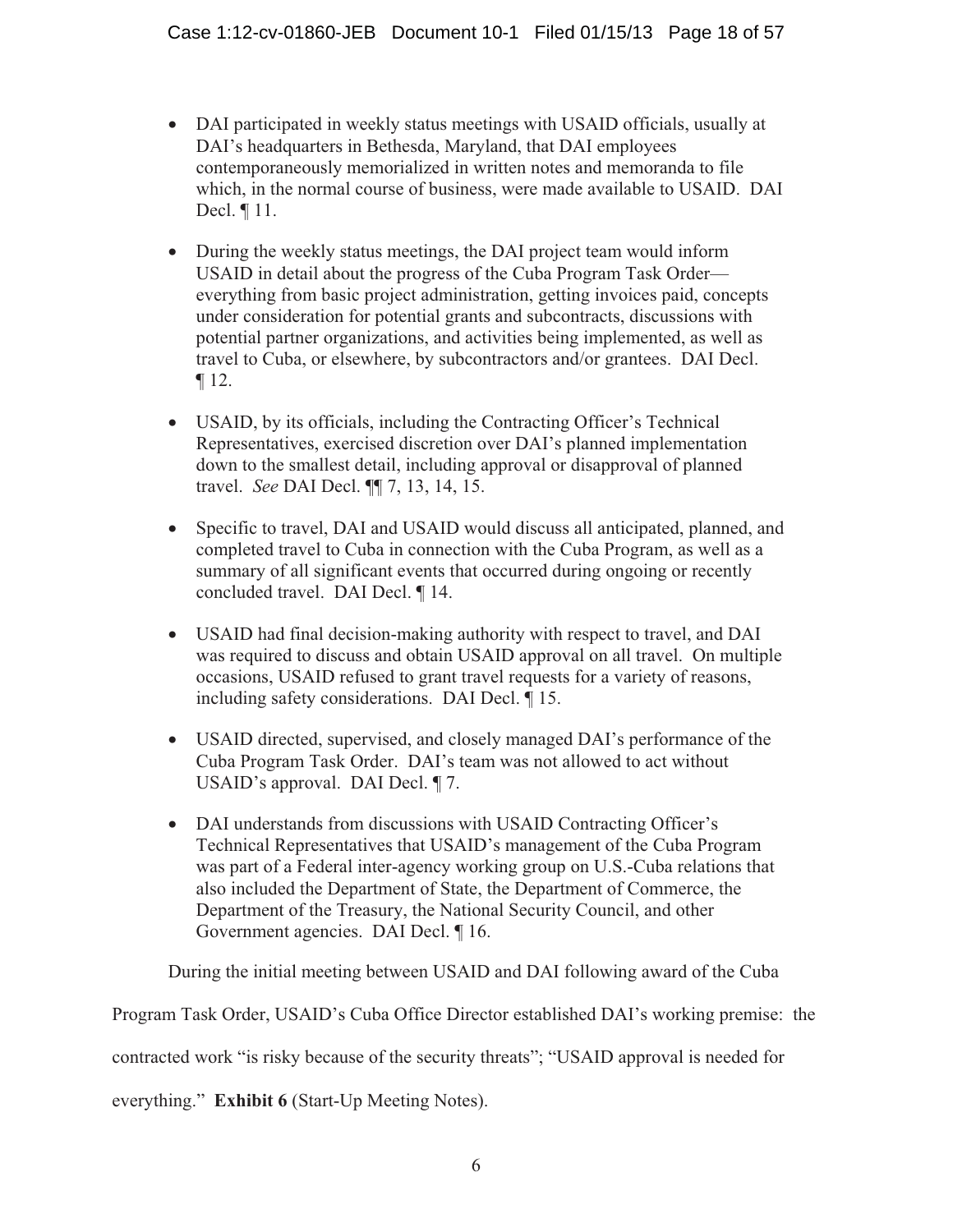- DAI participated in weekly status meetings with USAID officials, usually at DAI's headquarters in Bethesda, Maryland, that DAI employees contemporaneously memorialized in written notes and memoranda to file which, in the normal course of business, were made available to USAID. DAI Decl. ¶ 11.
- During the weekly status meetings, the DAI project team would inform USAID in detail about the progress of the Cuba Program Task Order everything from basic project administration, getting invoices paid, concepts under consideration for potential grants and subcontracts, discussions with potential partner organizations, and activities being implemented, as well as travel to Cuba, or elsewhere, by subcontractors and/or grantees. DAI Decl. ¶ 12.
- USAID, by its officials, including the Contracting Officer's Technical Representatives, exercised discretion over DAI's planned implementation down to the smallest detail, including approval or disapproval of planned travel. *See* DAI Decl. ¶¶ 7, 13, 14, 15.
- Specific to travel, DAI and USAID would discuss all anticipated, planned, and completed travel to Cuba in connection with the Cuba Program, as well as a summary of all significant events that occurred during ongoing or recently concluded travel. DAI Decl. ¶ 14.
- USAID had final decision-making authority with respect to travel, and DAI was required to discuss and obtain USAID approval on all travel. On multiple occasions, USAID refused to grant travel requests for a variety of reasons, including safety considerations. DAI Decl. ¶ 15.
- USAID directed, supervised, and closely managed DAI's performance of the Cuba Program Task Order. DAI's team was not allowed to act without USAID's approval. DAI Decl. ¶ 7.
- DAI understands from discussions with USAID Contracting Officer's Technical Representatives that USAID's management of the Cuba Program was part of a Federal inter-agency working group on U.S.-Cuba relations that also included the Department of State, the Department of Commerce, the Department of the Treasury, the National Security Council, and other Government agencies. DAI Decl. ¶ 16.

During the initial meeting between USAID and DAI following award of the Cuba

Program Task Order, USAID's Cuba Office Director established DAI's working premise: the

contracted work "is risky because of the security threats"; "USAID approval is needed for

everything." **Exhibit 6** (Start-Up Meeting Notes).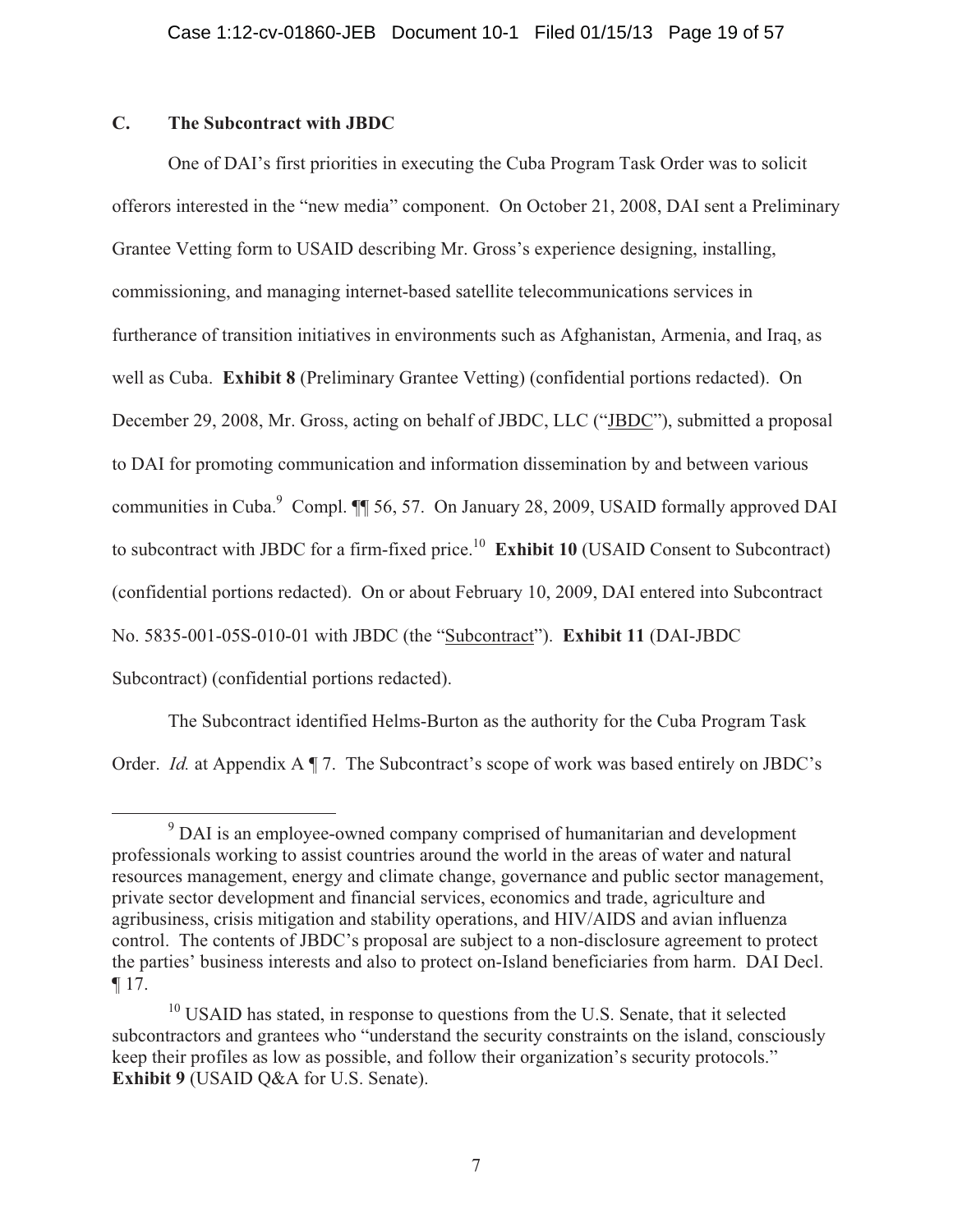# **C. The Subcontract with JBDC**

One of DAI's first priorities in executing the Cuba Program Task Order was to solicit offerors interested in the "new media" component. On October 21, 2008, DAI sent a Preliminary Grantee Vetting form to USAID describing Mr. Gross's experience designing, installing, commissioning, and managing internet-based satellite telecommunications services in furtherance of transition initiatives in environments such as Afghanistan, Armenia, and Iraq, as well as Cuba. **Exhibit 8** (Preliminary Grantee Vetting) (confidential portions redacted). On December 29, 2008, Mr. Gross, acting on behalf of JBDC, LLC ("JBDC"), submitted a proposal to DAI for promoting communication and information dissemination by and between various communities in Cuba.<sup>9</sup> Compl. ¶ 56, 57. On January 28, 2009, USAID formally approved DAI to subcontract with JBDC for a firm-fixed price.10 **Exhibit 10** (USAID Consent to Subcontract) (confidential portions redacted). On or about February 10, 2009, DAI entered into Subcontract No. 5835-001-05S-010-01 with JBDC (the "Subcontract"). **Exhibit 11** (DAI-JBDC Subcontract) (confidential portions redacted).

The Subcontract identified Helms-Burton as the authority for the Cuba Program Task Order. *Id.* at Appendix A ¶ 7. The Subcontract's scope of work was based entirely on JBDC's

<sup>&</sup>lt;sup>9</sup> DAI is an employee-owned company comprised of humanitarian and development professionals working to assist countries around the world in the areas of water and natural resources management, energy and climate change, governance and public sector management, private sector development and financial services, economics and trade, agriculture and agribusiness, crisis mitigation and stability operations, and HIV/AIDS and avian influenza control. The contents of JBDC's proposal are subject to a non-disclosure agreement to protect the parties' business interests and also to protect on-Island beneficiaries from harm. DAI Decl. ¶ 17.

<sup>&</sup>lt;sup>10</sup> USAID has stated, in response to questions from the U.S. Senate, that it selected subcontractors and grantees who "understand the security constraints on the island, consciously keep their profiles as low as possible, and follow their organization's security protocols." **Exhibit 9** (USAID Q&A for U.S. Senate).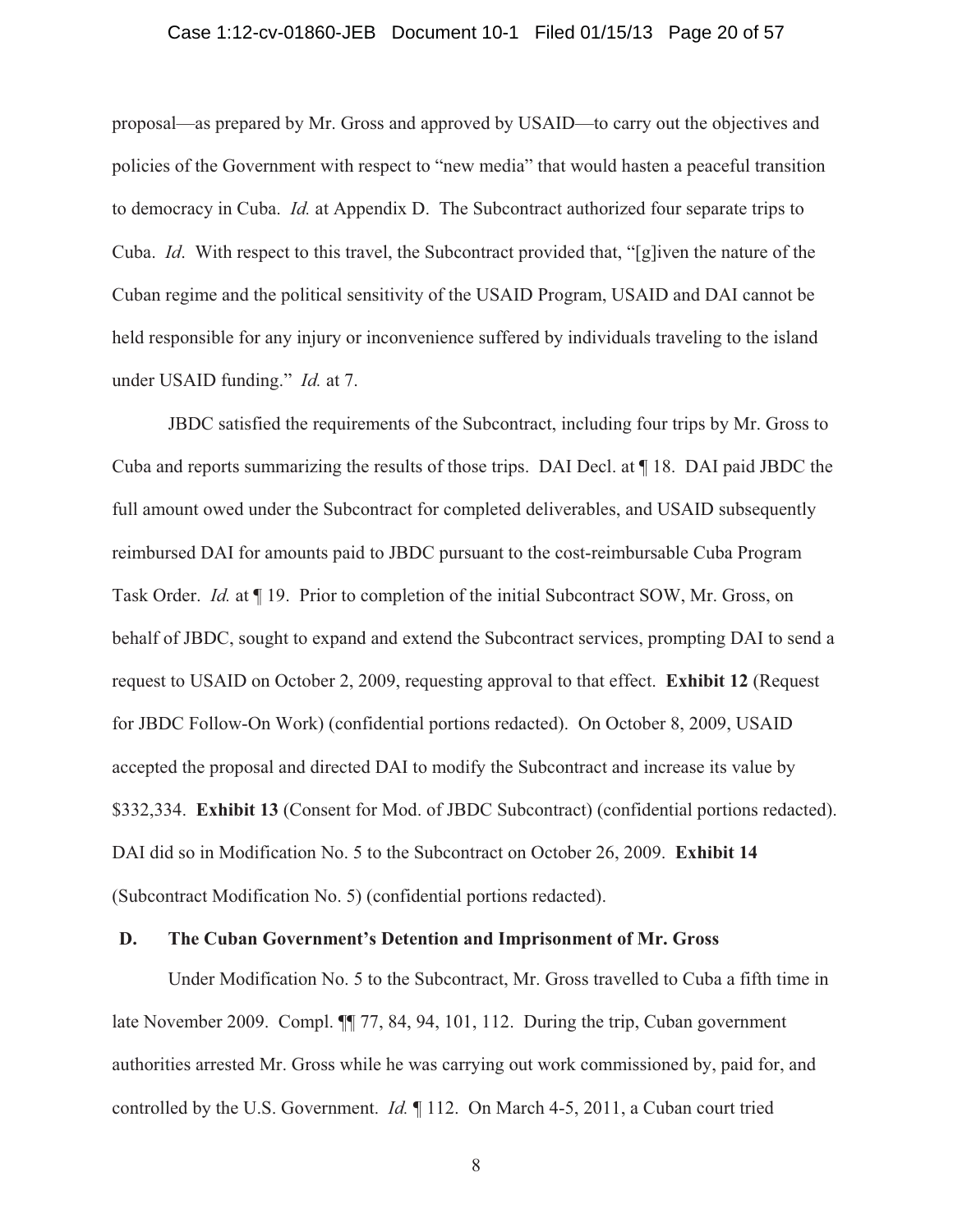#### Case 1:12-cv-01860-JEB Document 10-1 Filed 01/15/13 Page 20 of 57

proposal—as prepared by Mr. Gross and approved by USAID—to carry out the objectives and policies of the Government with respect to "new media" that would hasten a peaceful transition to democracy in Cuba. *Id.* at Appendix D. The Subcontract authorized four separate trips to Cuba. *Id*. With respect to this travel, the Subcontract provided that, "[g]iven the nature of the Cuban regime and the political sensitivity of the USAID Program, USAID and DAI cannot be held responsible for any injury or inconvenience suffered by individuals traveling to the island under USAID funding." *Id.* at 7.

JBDC satisfied the requirements of the Subcontract, including four trips by Mr. Gross to Cuba and reports summarizing the results of those trips. DAI Decl. at ¶ 18. DAI paid JBDC the full amount owed under the Subcontract for completed deliverables, and USAID subsequently reimbursed DAI for amounts paid to JBDC pursuant to the cost-reimbursable Cuba Program Task Order. *Id.* at ¶ 19. Prior to completion of the initial Subcontract SOW, Mr. Gross, on behalf of JBDC, sought to expand and extend the Subcontract services, prompting DAI to send a request to USAID on October 2, 2009, requesting approval to that effect. **Exhibit 12** (Request for JBDC Follow-On Work) (confidential portions redacted). On October 8, 2009, USAID accepted the proposal and directed DAI to modify the Subcontract and increase its value by \$332,334. **Exhibit 13** (Consent for Mod. of JBDC Subcontract) (confidential portions redacted). DAI did so in Modification No. 5 to the Subcontract on October 26, 2009. **Exhibit 14** (Subcontract Modification No. 5) (confidential portions redacted).

#### **D. The Cuban Government's Detention and Imprisonment of Mr. Gross**

Under Modification No. 5 to the Subcontract, Mr. Gross travelled to Cuba a fifth time in late November 2009. Compl.  $\P$  77, 84, 94, 101, 112. During the trip, Cuban government authorities arrested Mr. Gross while he was carrying out work commissioned by, paid for, and controlled by the U.S. Government. *Id.* ¶ 112. On March 4-5, 2011, a Cuban court tried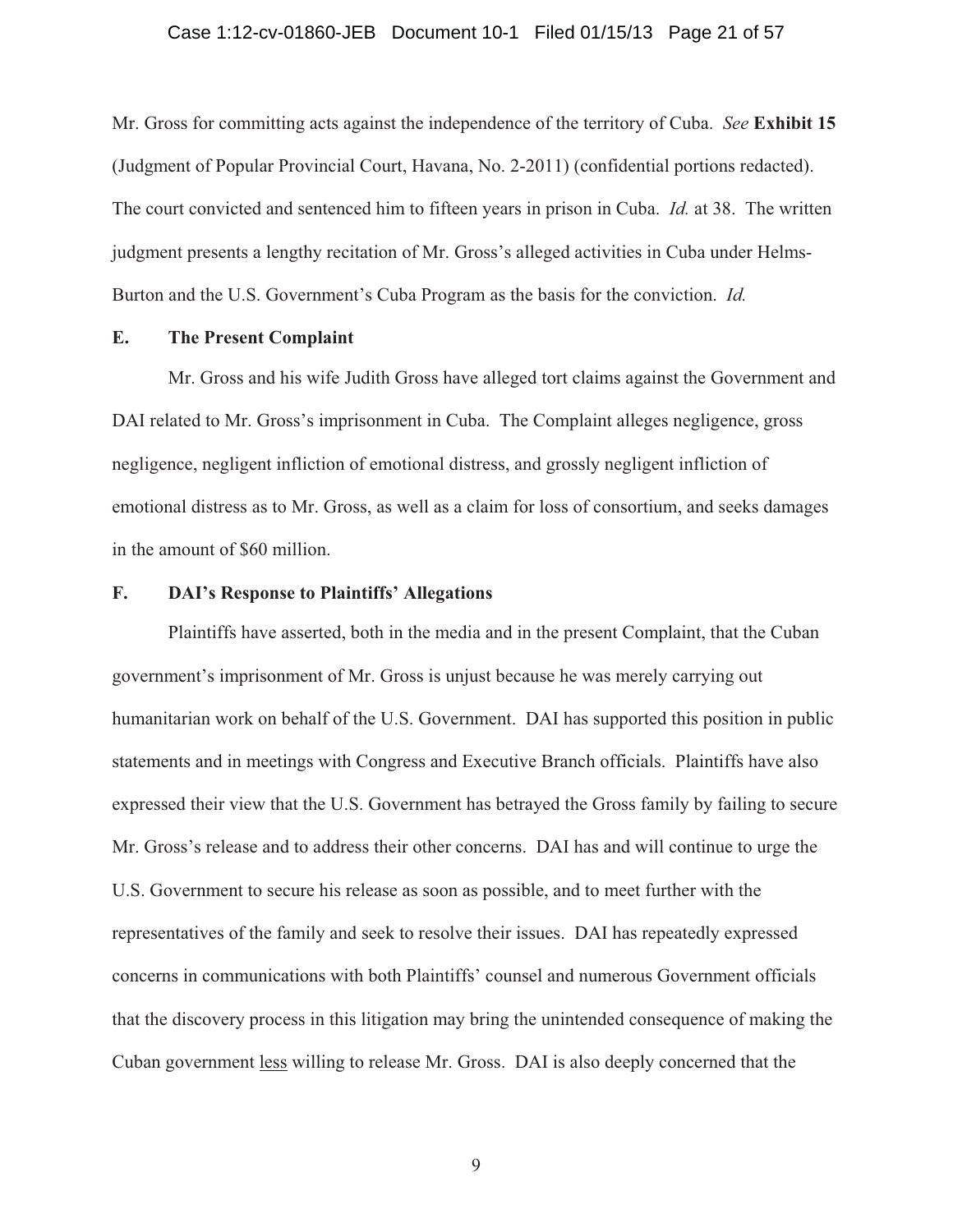#### Case 1:12-cv-01860-JEB Document 10-1 Filed 01/15/13 Page 21 of 57

Mr. Gross for committing acts against the independence of the territory of Cuba. *See* **Exhibit 15**  (Judgment of Popular Provincial Court, Havana, No. 2-2011) (confidential portions redacted). The court convicted and sentenced him to fifteen years in prison in Cuba. *Id.* at 38. The written judgment presents a lengthy recitation of Mr. Gross's alleged activities in Cuba under Helms-Burton and the U.S. Government's Cuba Program as the basis for the conviction. *Id.*

## **E. The Present Complaint**

Mr. Gross and his wife Judith Gross have alleged tort claims against the Government and DAI related to Mr. Gross's imprisonment in Cuba. The Complaint alleges negligence, gross negligence, negligent infliction of emotional distress, and grossly negligent infliction of emotional distress as to Mr. Gross, as well as a claim for loss of consortium, and seeks damages in the amount of \$60 million.

## **F. DAI's Response to Plaintiffs' Allegations**

Plaintiffs have asserted, both in the media and in the present Complaint, that the Cuban government's imprisonment of Mr. Gross is unjust because he was merely carrying out humanitarian work on behalf of the U.S. Government. DAI has supported this position in public statements and in meetings with Congress and Executive Branch officials. Plaintiffs have also expressed their view that the U.S. Government has betrayed the Gross family by failing to secure Mr. Gross's release and to address their other concerns. DAI has and will continue to urge the U.S. Government to secure his release as soon as possible, and to meet further with the representatives of the family and seek to resolve their issues. DAI has repeatedly expressed concerns in communications with both Plaintiffs' counsel and numerous Government officials that the discovery process in this litigation may bring the unintended consequence of making the Cuban government less willing to release Mr. Gross. DAI is also deeply concerned that the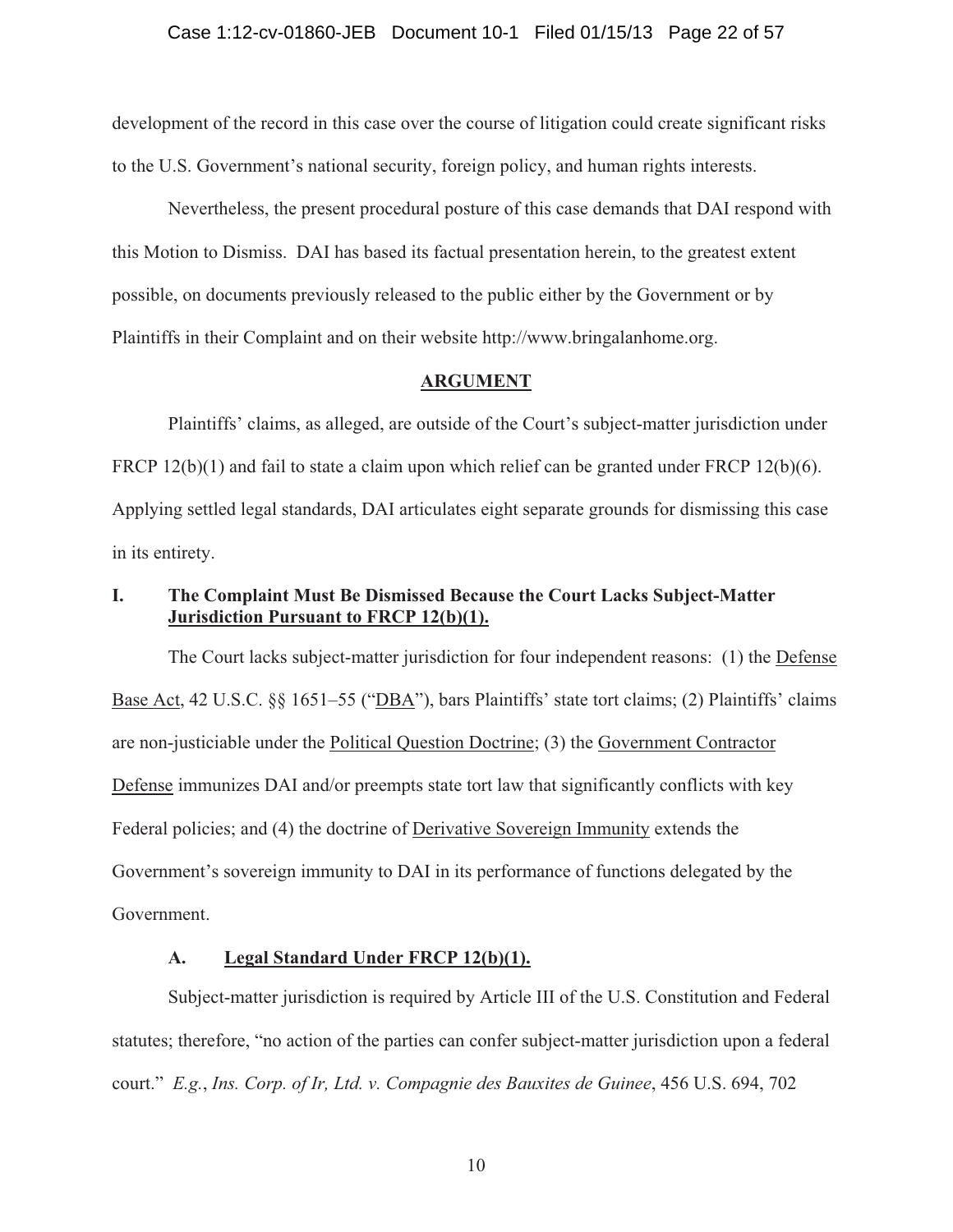development of the record in this case over the course of litigation could create significant risks to the U.S. Government's national security, foreign policy, and human rights interests.

Nevertheless, the present procedural posture of this case demands that DAI respond with this Motion to Dismiss. DAI has based its factual presentation herein, to the greatest extent possible, on documents previously released to the public either by the Government or by Plaintiffs in their Complaint and on their website http://www.bringalanhome.org.

#### **ARGUMENT**

 Plaintiffs' claims, as alleged, are outside of the Court's subject-matter jurisdiction under FRCP  $12(b)(1)$  and fail to state a claim upon which relief can be granted under FRCP  $12(b)(6)$ . Applying settled legal standards, DAI articulates eight separate grounds for dismissing this case in its entirety.

# **I. The Complaint Must Be Dismissed Because the Court Lacks Subject-Matter Jurisdiction Pursuant to FRCP 12(b)(1).**

 The Court lacks subject-matter jurisdiction for four independent reasons: (1) the Defense Base Act, 42 U.S.C. §§ 1651–55 ("DBA"), bars Plaintiffs' state tort claims; (2) Plaintiffs' claims are non-justiciable under the Political Question Doctrine; (3) the Government Contractor Defense immunizes DAI and/or preempts state tort law that significantly conflicts with key Federal policies; and (4) the doctrine of Derivative Sovereign Immunity extends the Government's sovereign immunity to DAI in its performance of functions delegated by the Government.

## **A. Legal Standard Under FRCP 12(b)(1).**

Subject-matter jurisdiction is required by Article III of the U.S. Constitution and Federal statutes; therefore, "no action of the parties can confer subject-matter jurisdiction upon a federal court." *E.g.*, *Ins. Corp. of Ir, Ltd. v. Compagnie des Bauxites de Guinee*, 456 U.S. 694, 702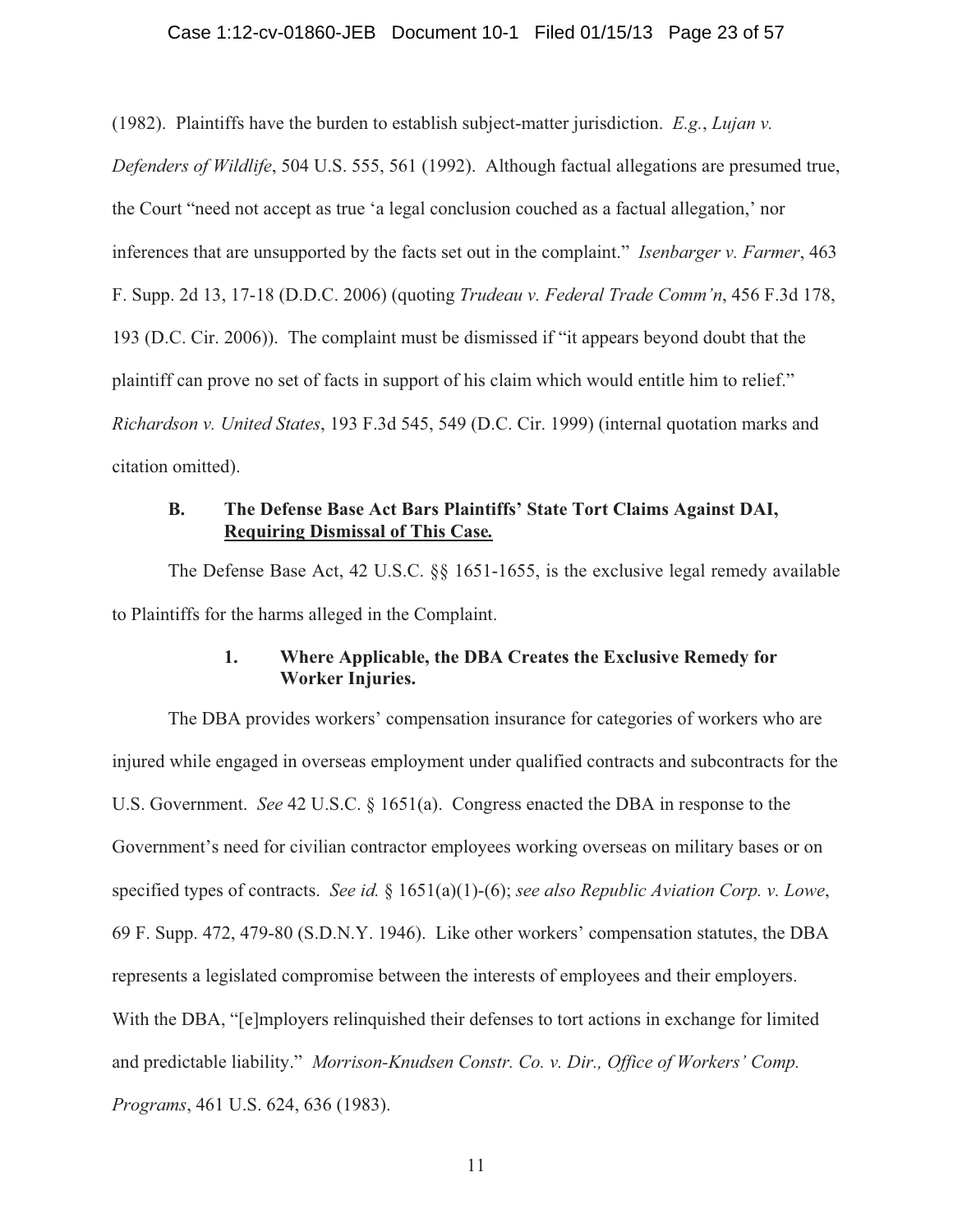#### Case 1:12-cv-01860-JEB Document 10-1 Filed 01/15/13 Page 23 of 57

(1982). Plaintiffs have the burden to establish subject-matter jurisdiction. *E.g.*, *Lujan v.* 

*Defenders of Wildlife*, 504 U.S. 555, 561 (1992). Although factual allegations are presumed true, the Court "need not accept as true 'a legal conclusion couched as a factual allegation,' nor inferences that are unsupported by the facts set out in the complaint." *Isenbarger v. Farmer*, 463 F. Supp. 2d 13, 17-18 (D.D.C. 2006) (quoting *Trudeau v. Federal Trade Comm'n*, 456 F.3d 178, 193 (D.C. Cir. 2006)). The complaint must be dismissed if "it appears beyond doubt that the plaintiff can prove no set of facts in support of his claim which would entitle him to relief." *Richardson v. United States*, 193 F.3d 545, 549 (D.C. Cir. 1999) (internal quotation marks and citation omitted).

## **B. The Defense Base Act Bars Plaintiffs' State Tort Claims Against DAI, Requiring Dismissal of This Case***.*

 The Defense Base Act, 42 U.S.C. §§ 1651-1655, is the exclusive legal remedy available to Plaintiffs for the harms alleged in the Complaint.

## **1. Where Applicable, the DBA Creates the Exclusive Remedy for Worker Injuries.**

 The DBA provides workers' compensation insurance for categories of workers who are injured while engaged in overseas employment under qualified contracts and subcontracts for the U.S. Government. *See* 42 U.S.C. § 1651(a). Congress enacted the DBA in response to the Government's need for civilian contractor employees working overseas on military bases or on specified types of contracts. *See id.* § 1651(a)(1)-(6); *see also Republic Aviation Corp. v. Lowe*, 69 F. Supp. 472, 479-80 (S.D.N.Y. 1946). Like other workers' compensation statutes, the DBA represents a legislated compromise between the interests of employees and their employers. With the DBA, "[e]mployers relinquished their defenses to tort actions in exchange for limited and predictable liability." *Morrison-Knudsen Constr. Co. v. Dir., Office of Workers' Comp. Programs*, 461 U.S. 624, 636 (1983).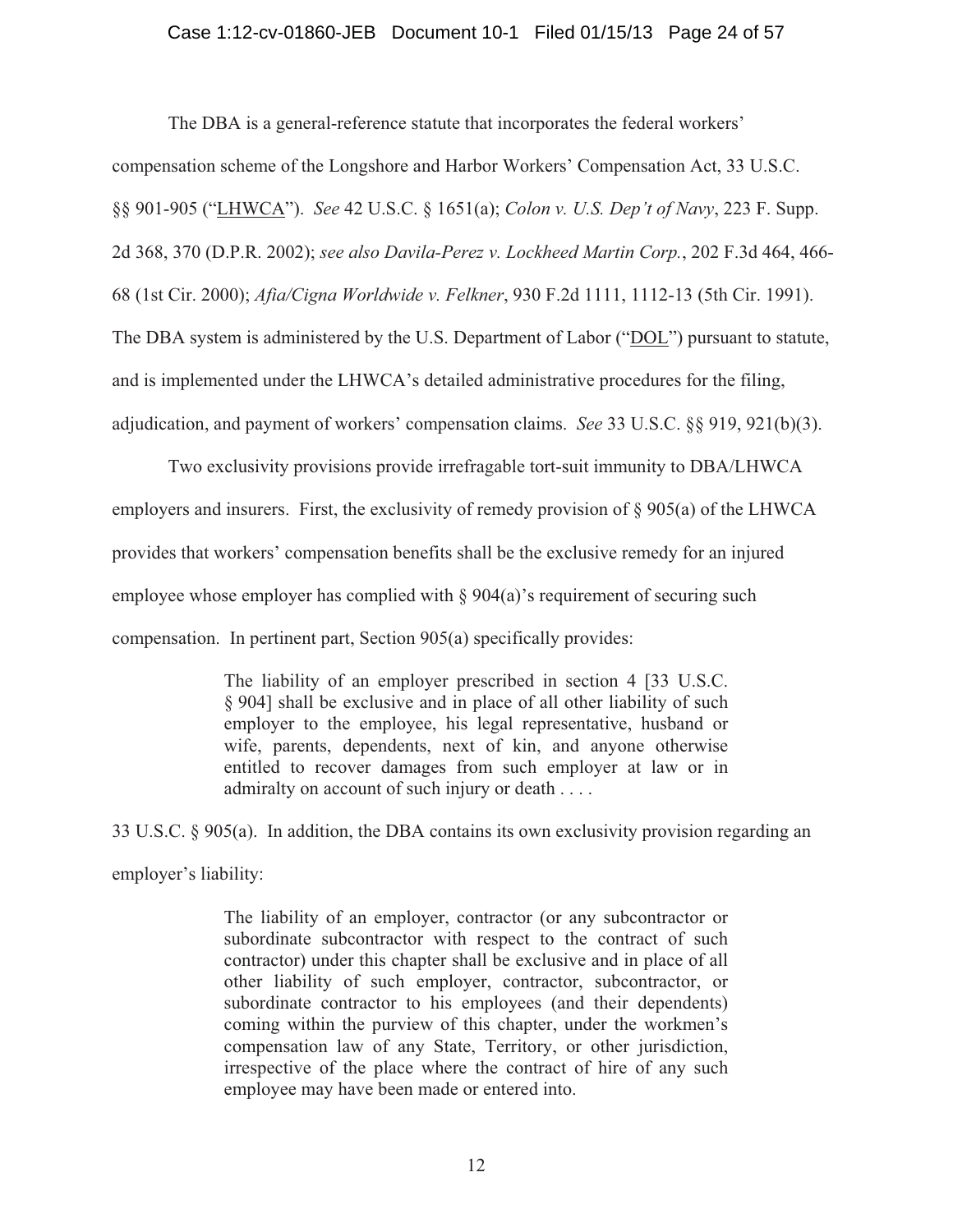#### Case 1:12-cv-01860-JEB Document 10-1 Filed 01/15/13 Page 24 of 57

The DBA is a general-reference statute that incorporates the federal workers'

compensation scheme of the Longshore and Harbor Workers' Compensation Act, 33 U.S.C.

§§ 901-905 ("LHWCA"). *See* 42 U.S.C. § 1651(a); *Colon v. U.S. Dep't of Navy*, 223 F. Supp.

2d 368, 370 (D.P.R. 2002); *see also Davila-Perez v. Lockheed Martin Corp.*, 202 F.3d 464, 466-

68 (1st Cir. 2000); *Afia/Cigna Worldwide v. Felkner*, 930 F.2d 1111, 1112-13 (5th Cir. 1991).

The DBA system is administered by the U.S. Department of Labor ("DOL") pursuant to statute,

and is implemented under the LHWCA's detailed administrative procedures for the filing,

adjudication, and payment of workers' compensation claims. *See* 33 U.S.C. §§ 919, 921(b)(3).

 Two exclusivity provisions provide irrefragable tort-suit immunity to DBA/LHWCA employers and insurers. First, the exclusivity of remedy provision of  $\S 905(a)$  of the LHWCA provides that workers' compensation benefits shall be the exclusive remedy for an injured employee whose employer has complied with § 904(a)'s requirement of securing such compensation. In pertinent part, Section 905(a) specifically provides:

> The liability of an employer prescribed in section 4 [33 U.S.C. § 904] shall be exclusive and in place of all other liability of such employer to the employee, his legal representative, husband or wife, parents, dependents, next of kin, and anyone otherwise entitled to recover damages from such employer at law or in admiralty on account of such injury or death . . . .

33 U.S.C. § 905(a). In addition, the DBA contains its own exclusivity provision regarding an employer's liability:

> The liability of an employer, contractor (or any subcontractor or subordinate subcontractor with respect to the contract of such contractor) under this chapter shall be exclusive and in place of all other liability of such employer, contractor, subcontractor, or subordinate contractor to his employees (and their dependents) coming within the purview of this chapter, under the workmen's compensation law of any State, Territory, or other jurisdiction, irrespective of the place where the contract of hire of any such employee may have been made or entered into.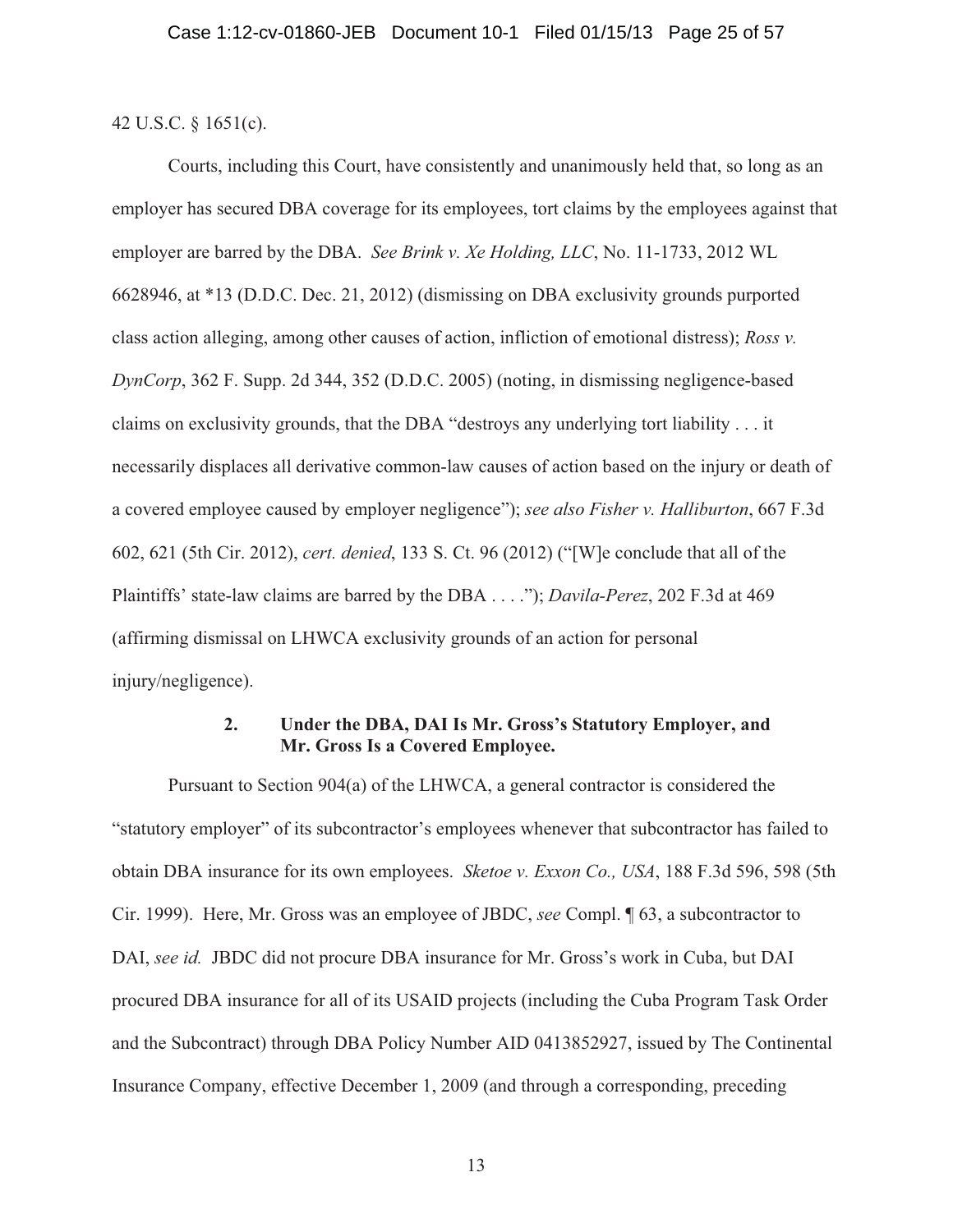42 U.S.C. § 1651(c).

 Courts, including this Court, have consistently and unanimously held that, so long as an employer has secured DBA coverage for its employees, tort claims by the employees against that employer are barred by the DBA. *See Brink v. Xe Holding, LLC*, No. 11-1733, 2012 WL 6628946, at \*13 (D.D.C. Dec. 21, 2012) (dismissing on DBA exclusivity grounds purported class action alleging, among other causes of action, infliction of emotional distress); *Ross v. DynCorp*, 362 F. Supp. 2d 344, 352 (D.D.C. 2005) (noting, in dismissing negligence-based claims on exclusivity grounds, that the DBA "destroys any underlying tort liability . . . it necessarily displaces all derivative common-law causes of action based on the injury or death of a covered employee caused by employer negligence"); *see also Fisher v. Halliburton*, 667 F.3d 602, 621 (5th Cir. 2012), *cert. denied*, 133 S. Ct. 96 (2012) ("[W]e conclude that all of the Plaintiffs' state-law claims are barred by the DBA . . . ."); *Davila-Perez*, 202 F.3d at 469 (affirming dismissal on LHWCA exclusivity grounds of an action for personal injury/negligence).

## **2. Under the DBA, DAI Is Mr. Gross's Statutory Employer, and Mr. Gross Is a Covered Employee.**

 Pursuant to Section 904(a) of the LHWCA, a general contractor is considered the "statutory employer" of its subcontractor's employees whenever that subcontractor has failed to obtain DBA insurance for its own employees. *Sketoe v. Exxon Co., USA*, 188 F.3d 596, 598 (5th Cir. 1999). Here, Mr. Gross was an employee of JBDC, *see* Compl. ¶ 63, a subcontractor to DAI, *see id.* JBDC did not procure DBA insurance for Mr. Gross's work in Cuba, but DAI procured DBA insurance for all of its USAID projects (including the Cuba Program Task Order and the Subcontract) through DBA Policy Number AID 0413852927, issued by The Continental Insurance Company, effective December 1, 2009 (and through a corresponding, preceding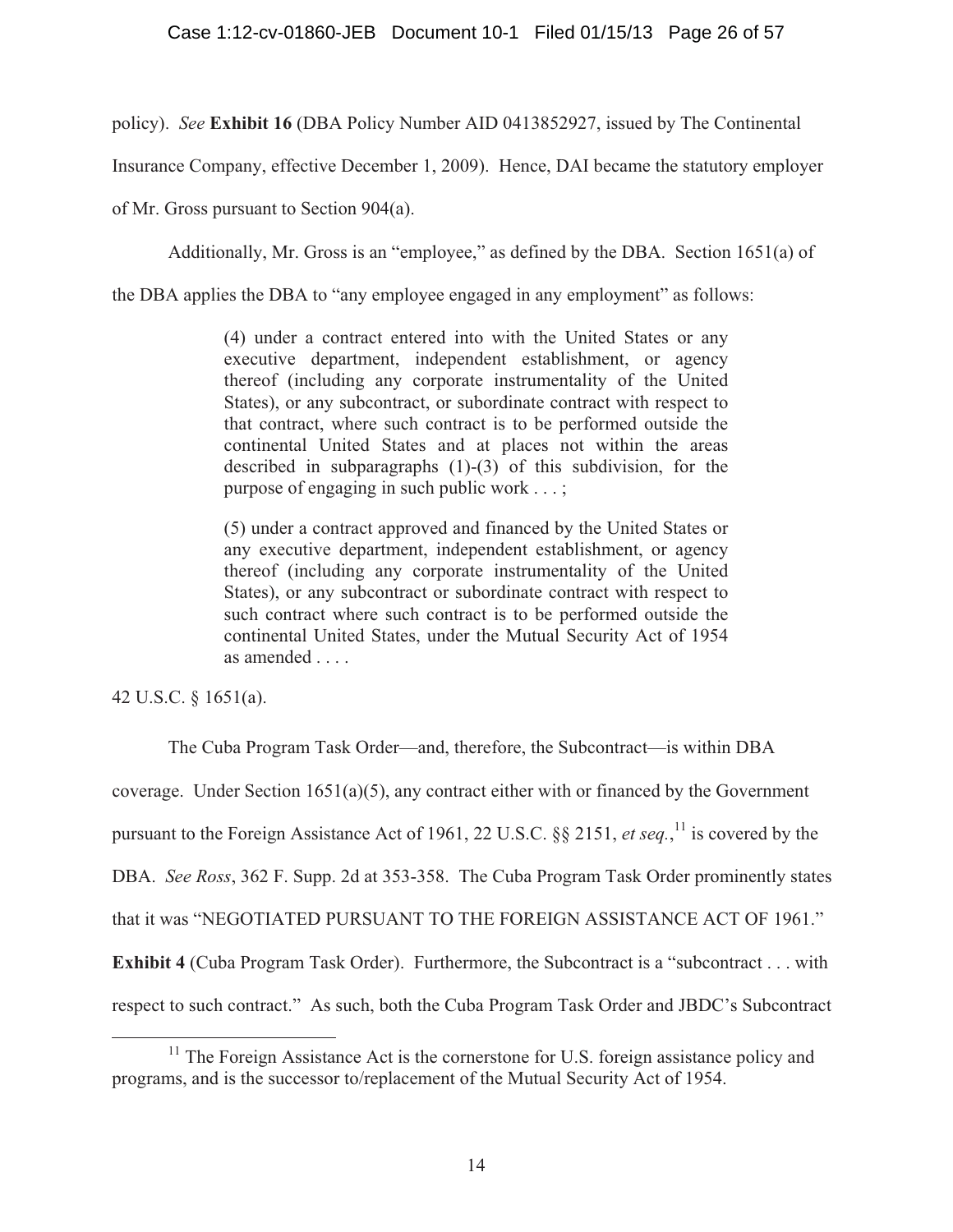policy). *See* **Exhibit 16** (DBA Policy Number AID 0413852927, issued by The Continental

Insurance Company, effective December 1, 2009). Hence, DAI became the statutory employer

of Mr. Gross pursuant to Section 904(a).

Additionally, Mr. Gross is an "employee," as defined by the DBA. Section 1651(a) of

the DBA applies the DBA to "any employee engaged in any employment" as follows:

(4) under a contract entered into with the United States or any executive department, independent establishment, or agency thereof (including any corporate instrumentality of the United States), or any subcontract, or subordinate contract with respect to that contract, where such contract is to be performed outside the continental United States and at places not within the areas described in subparagraphs (1)-(3) of this subdivision, for the purpose of engaging in such public work . . . ;

(5) under a contract approved and financed by the United States or any executive department, independent establishment, or agency thereof (including any corporate instrumentality of the United States), or any subcontract or subordinate contract with respect to such contract where such contract is to be performed outside the continental United States, under the Mutual Security Act of 1954 as amended . . . .

42 U.S.C. § 1651(a).

The Cuba Program Task Order—and, therefore, the Subcontract—is within DBA

coverage. Under Section  $1651(a)(5)$ , any contract either with or financed by the Government

pursuant to the Foreign Assistance Act of 1961, 22 U.S.C. §§ 2151, *et seq.*,<sup>11</sup> is covered by the

DBA. *See Ross*, 362 F. Supp. 2d at 353-358. The Cuba Program Task Order prominently states

that it was "NEGOTIATED PURSUANT TO THE FOREIGN ASSISTANCE ACT OF 1961."

**Exhibit 4** (Cuba Program Task Order). Furthermore, the Subcontract is a "subcontract . . . with

respect to such contract." As such, both the Cuba Program Task Order and JBDC's Subcontract

<sup>&</sup>lt;sup>11</sup> The Foreign Assistance Act is the cornerstone for U.S. foreign assistance policy and programs, and is the successor to/replacement of the Mutual Security Act of 1954.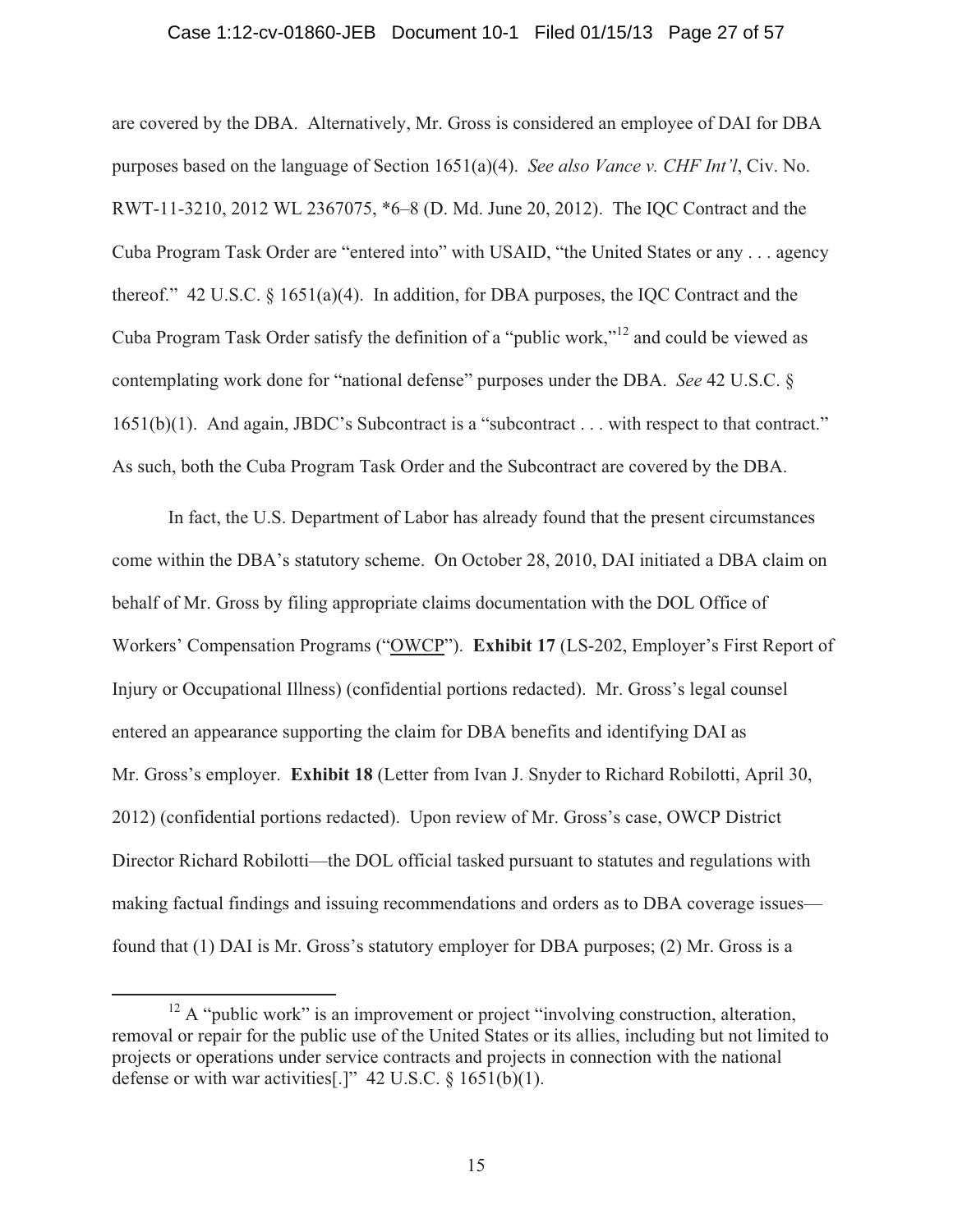#### Case 1:12-cv-01860-JEB Document 10-1 Filed 01/15/13 Page 27 of 57

are covered by the DBA. Alternatively, Mr. Gross is considered an employee of DAI for DBA purposes based on the language of Section 1651(a)(4). *See also Vance v. CHF Int'l*, Civ. No. RWT-11-3210, 2012 WL 2367075, \*6–8 (D. Md. June 20, 2012). The IQC Contract and the Cuba Program Task Order are "entered into" with USAID, "the United States or any . . . agency thereof." 42 U.S.C.  $\S$  1651(a)(4). In addition, for DBA purposes, the IQC Contract and the Cuba Program Task Order satisfy the definition of a "public work,"12 and could be viewed as contemplating work done for "national defense" purposes under the DBA. *See* 42 U.S.C. § 1651(b)(1). And again, JBDC's Subcontract is a "subcontract . . . with respect to that contract." As such, both the Cuba Program Task Order and the Subcontract are covered by the DBA.

 In fact, the U.S. Department of Labor has already found that the present circumstances come within the DBA's statutory scheme. On October 28, 2010, DAI initiated a DBA claim on behalf of Mr. Gross by filing appropriate claims documentation with the DOL Office of Workers' Compensation Programs ("OWCP"). **Exhibit 17** (LS-202, Employer's First Report of Injury or Occupational Illness) (confidential portions redacted). Mr. Gross's legal counsel entered an appearance supporting the claim for DBA benefits and identifying DAI as Mr. Gross's employer. **Exhibit 18** (Letter from Ivan J. Snyder to Richard Robilotti, April 30, 2012) (confidential portions redacted). Upon review of Mr. Gross's case, OWCP District Director Richard Robilotti—the DOL official tasked pursuant to statutes and regulations with making factual findings and issuing recommendations and orders as to DBA coverage issues found that (1) DAI is Mr. Gross's statutory employer for DBA purposes; (2) Mr. Gross is a

<sup>&</sup>lt;sup>12</sup> A "public work" is an improvement or project "involving construction, alteration, removal or repair for the public use of the United States or its allies, including but not limited to projects or operations under service contracts and projects in connection with the national defense or with war activities[.]"  $42 \text{ U.S.C.} \& 1651(b)(1)$ .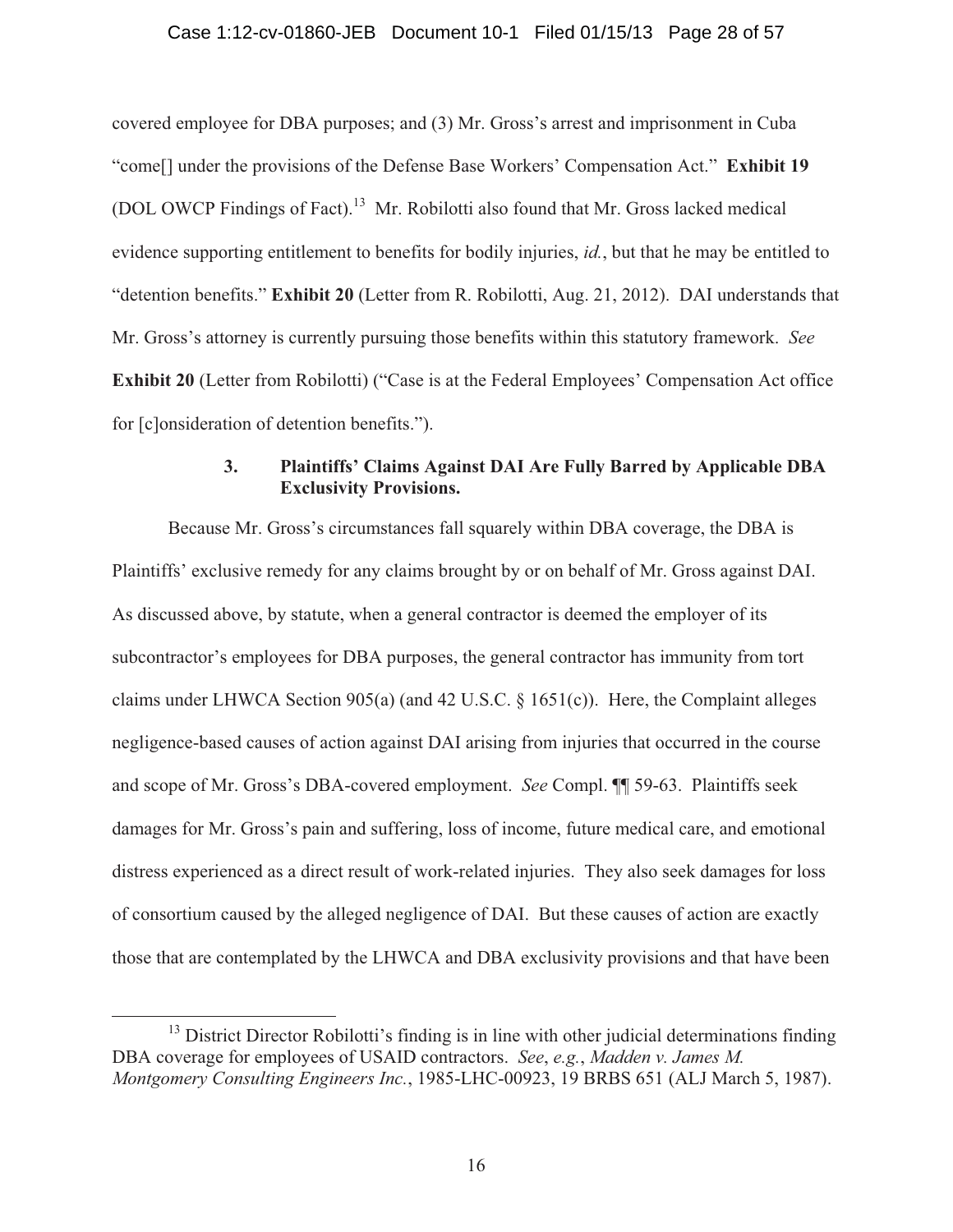covered employee for DBA purposes; and (3) Mr. Gross's arrest and imprisonment in Cuba "come[] under the provisions of the Defense Base Workers' Compensation Act." **Exhibit 19** (DOL OWCP Findings of Fact).13 Mr. Robilotti also found that Mr. Gross lacked medical evidence supporting entitlement to benefits for bodily injuries, *id.*, but that he may be entitled to "detention benefits." **Exhibit 20** (Letter from R. Robilotti, Aug. 21, 2012). DAI understands that Mr. Gross's attorney is currently pursuing those benefits within this statutory framework. *See* **Exhibit 20** (Letter from Robilotti) ("Case is at the Federal Employees' Compensation Act office for [c]onsideration of detention benefits.").

## **3. Plaintiffs' Claims Against DAI Are Fully Barred by Applicable DBA Exclusivity Provisions.**

 Because Mr. Gross's circumstances fall squarely within DBA coverage, the DBA is Plaintiffs' exclusive remedy for any claims brought by or on behalf of Mr. Gross against DAI. As discussed above, by statute, when a general contractor is deemed the employer of its subcontractor's employees for DBA purposes, the general contractor has immunity from tort claims under LHWCA Section 905(a) (and 42 U.S.C. § 1651(c)). Here, the Complaint alleges negligence-based causes of action against DAI arising from injuries that occurred in the course and scope of Mr. Gross's DBA-covered employment. *See* Compl. ¶¶ 59-63. Plaintiffs seek damages for Mr. Gross's pain and suffering, loss of income, future medical care, and emotional distress experienced as a direct result of work-related injuries. They also seek damages for loss of consortium caused by the alleged negligence of DAI. But these causes of action are exactly those that are contemplated by the LHWCA and DBA exclusivity provisions and that have been

<sup>&</sup>lt;sup>13</sup> District Director Robilotti's finding is in line with other judicial determinations finding DBA coverage for employees of USAID contractors. *See*, *e.g.*, *Madden v. James M. Montgomery Consulting Engineers Inc.*, 1985-LHC-00923, 19 BRBS 651 (ALJ March 5, 1987).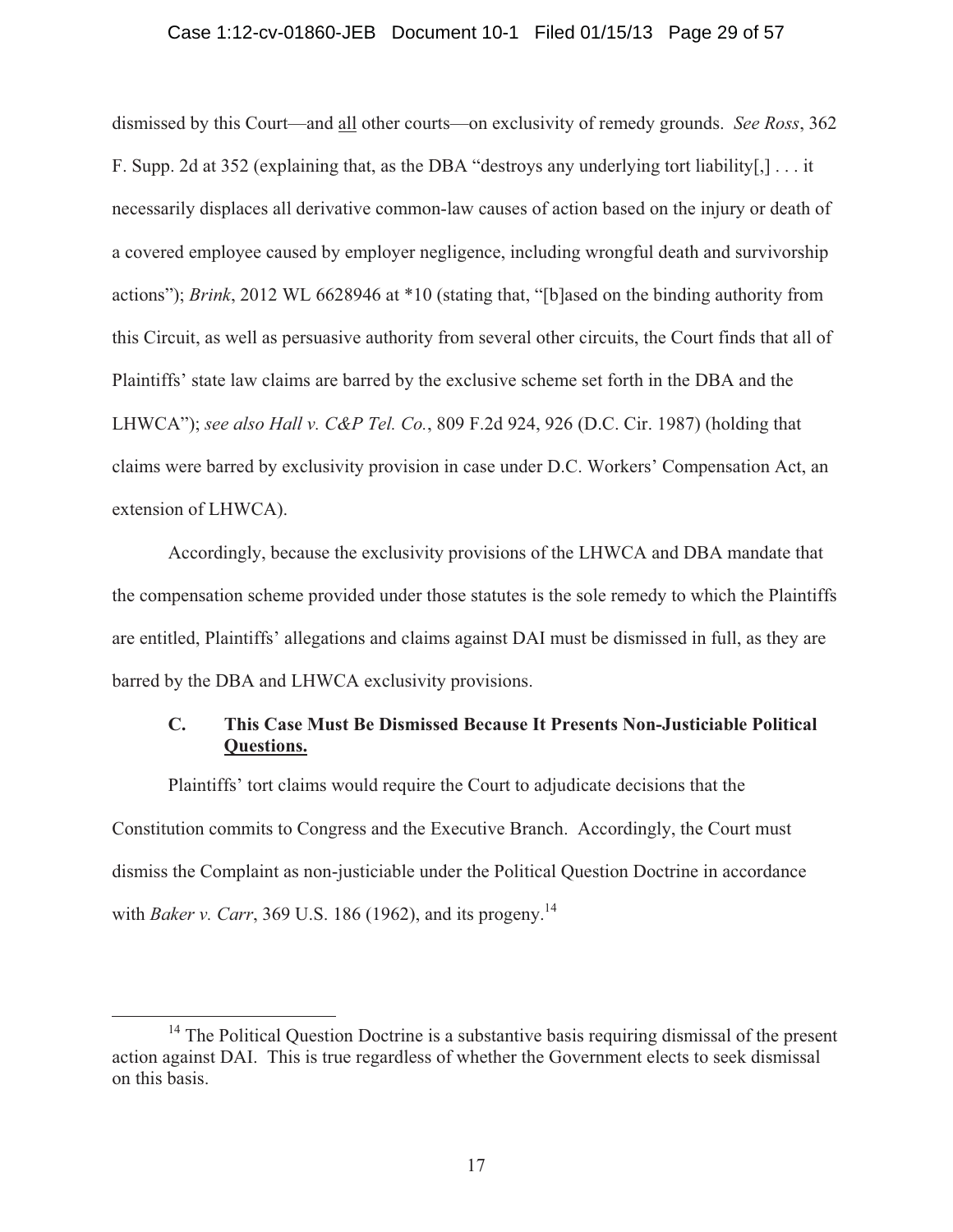#### Case 1:12-cv-01860-JEB Document 10-1 Filed 01/15/13 Page 29 of 57

dismissed by this Court—and all other courts—on exclusivity of remedy grounds. *See Ross*, 362 F. Supp. 2d at 352 (explaining that, as the DBA "destroys any underlying tort liability[,] . . . it necessarily displaces all derivative common-law causes of action based on the injury or death of a covered employee caused by employer negligence, including wrongful death and survivorship actions"); *Brink*, 2012 WL 6628946 at \*10 (stating that, "[b]ased on the binding authority from this Circuit, as well as persuasive authority from several other circuits, the Court finds that all of Plaintiffs' state law claims are barred by the exclusive scheme set forth in the DBA and the LHWCA"); *see also Hall v. C&P Tel. Co.*, 809 F.2d 924, 926 (D.C. Cir. 1987) (holding that claims were barred by exclusivity provision in case under D.C. Workers' Compensation Act, an extension of LHWCA).

 Accordingly, because the exclusivity provisions of the LHWCA and DBA mandate that the compensation scheme provided under those statutes is the sole remedy to which the Plaintiffs are entitled, Plaintiffs' allegations and claims against DAI must be dismissed in full, as they are barred by the DBA and LHWCA exclusivity provisions.

## **C. This Case Must Be Dismissed Because It Presents Non-Justiciable Political Questions.**

Plaintiffs' tort claims would require the Court to adjudicate decisions that the Constitution commits to Congress and the Executive Branch. Accordingly, the Court must dismiss the Complaint as non-justiciable under the Political Question Doctrine in accordance with *Baker v. Carr*, 369 U.S. 186 (1962), and its progeny.<sup>14</sup>

<sup>&</sup>lt;sup>14</sup> The Political Question Doctrine is a substantive basis requiring dismissal of the present action against DAI. This is true regardless of whether the Government elects to seek dismissal on this basis.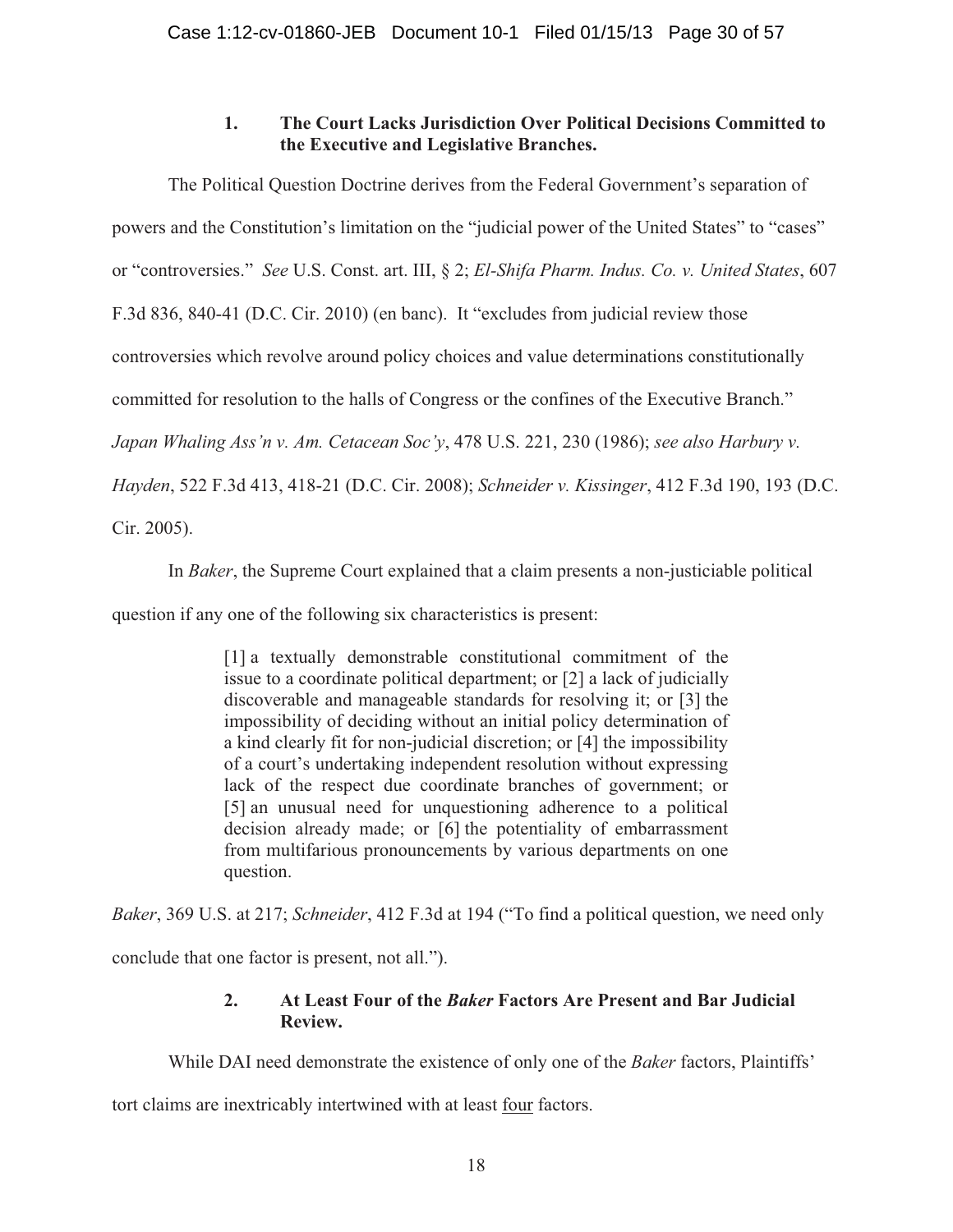# **1. The Court Lacks Jurisdiction Over Political Decisions Committed to the Executive and Legislative Branches.**

The Political Question Doctrine derives from the Federal Government's separation of powers and the Constitution's limitation on the "judicial power of the United States" to "cases" or "controversies." *See* U.S. Const. art. III, § 2; *El-Shifa Pharm. Indus. Co. v. United States*, 607 F.3d 836, 840-41 (D.C. Cir. 2010) (en banc). It "excludes from judicial review those controversies which revolve around policy choices and value determinations constitutionally committed for resolution to the halls of Congress or the confines of the Executive Branch." *Japan Whaling Ass'n v. Am. Cetacean Soc'y*, 478 U.S. 221, 230 (1986); *see also Harbury v. Hayden*, 522 F.3d 413, 418-21 (D.C. Cir. 2008); *Schneider v. Kissinger*, 412 F.3d 190, 193 (D.C.

Cir. 2005).

In *Baker*, the Supreme Court explained that a claim presents a non-justiciable political

question if any one of the following six characteristics is present:

[1] a textually demonstrable constitutional commitment of the issue to a coordinate political department; or [2] a lack of judicially discoverable and manageable standards for resolving it; or [3] the impossibility of deciding without an initial policy determination of a kind clearly fit for non-judicial discretion; or [4] the impossibility of a court's undertaking independent resolution without expressing lack of the respect due coordinate branches of government; or [5] an unusual need for unquestioning adherence to a political decision already made; or [6] the potentiality of embarrassment from multifarious pronouncements by various departments on one question.

*Baker*, 369 U.S. at 217; *Schneider*, 412 F.3d at 194 ("To find a political question, we need only

conclude that one factor is present, not all.").

# **2. At Least Four of the** *Baker* **Factors Are Present and Bar Judicial Review.**

While DAI need demonstrate the existence of only one of the *Baker* factors, Plaintiffs'

tort claims are inextricably intertwined with at least four factors.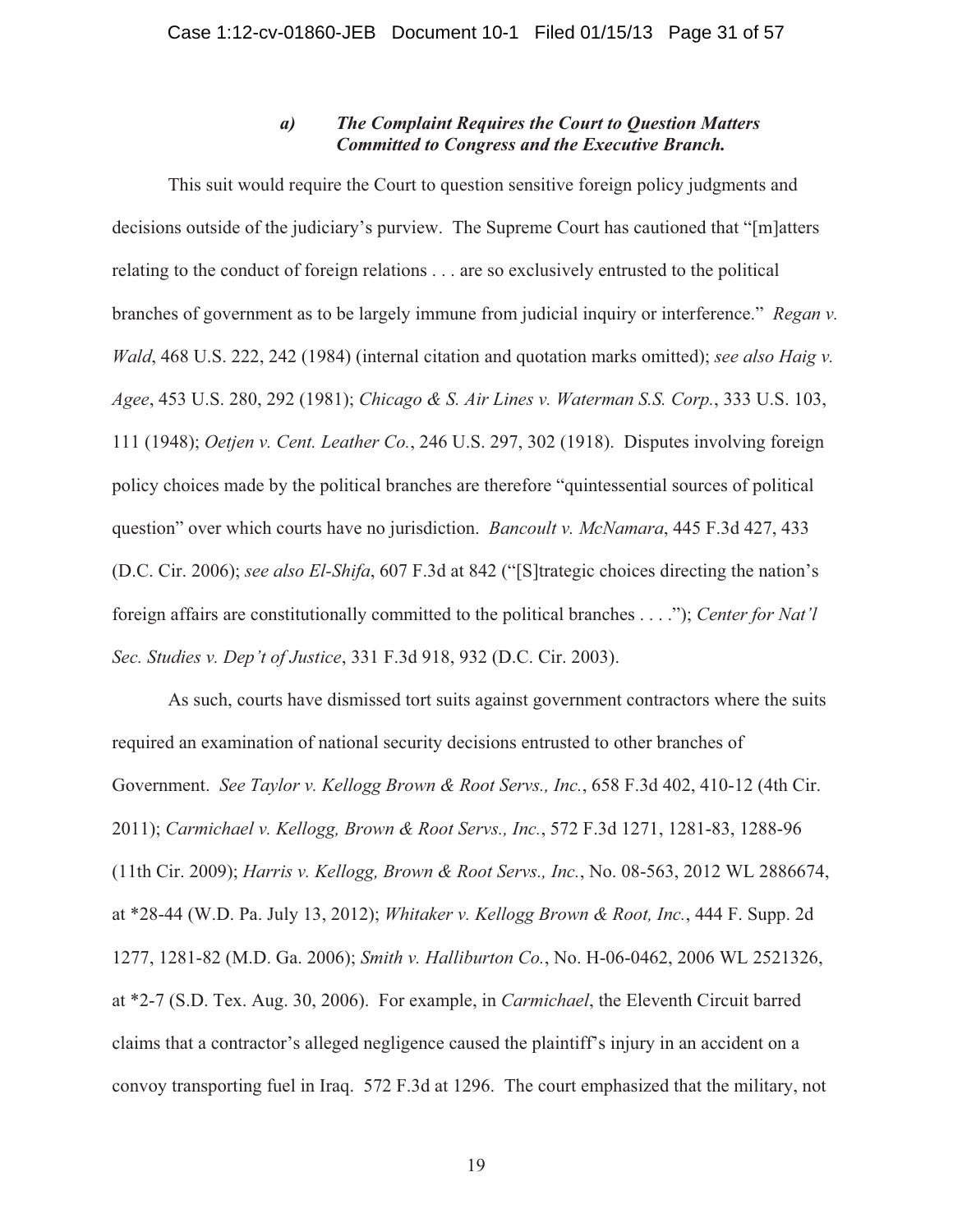## *a) The Complaint Requires the Court to Question Matters Committed to Congress and the Executive Branch.*

This suit would require the Court to question sensitive foreign policy judgments and decisions outside of the judiciary's purview. The Supreme Court has cautioned that "[m]atters relating to the conduct of foreign relations . . . are so exclusively entrusted to the political branches of government as to be largely immune from judicial inquiry or interference." *Regan v. Wald*, 468 U.S. 222, 242 (1984) (internal citation and quotation marks omitted); *see also Haig v. Agee*, 453 U.S. 280, 292 (1981); *Chicago & S. Air Lines v. Waterman S.S. Corp.*, 333 U.S. 103, 111 (1948); *Oetjen v. Cent. Leather Co.*, 246 U.S. 297, 302 (1918). Disputes involving foreign policy choices made by the political branches are therefore "quintessential sources of political question" over which courts have no jurisdiction. *Bancoult v. McNamara*, 445 F.3d 427, 433 (D.C. Cir. 2006); *see also El-Shifa*, 607 F.3d at 842 ("[S]trategic choices directing the nation's foreign affairs are constitutionally committed to the political branches . . . ."); *Center for Nat'l Sec. Studies v. Dep't of Justice*, 331 F.3d 918, 932 (D.C. Cir. 2003).

As such, courts have dismissed tort suits against government contractors where the suits required an examination of national security decisions entrusted to other branches of Government. *See Taylor v. Kellogg Brown & Root Servs., Inc.*, 658 F.3d 402, 410-12 (4th Cir. 2011); *Carmichael v. Kellogg, Brown & Root Servs., Inc.*, 572 F.3d 1271, 1281-83, 1288-96 (11th Cir. 2009); *Harris v. Kellogg, Brown & Root Servs., Inc.*, No. 08-563, 2012 WL 2886674, at \*28-44 (W.D. Pa. July 13, 2012); *Whitaker v. Kellogg Brown & Root, Inc.*, 444 F. Supp. 2d 1277, 1281-82 (M.D. Ga. 2006); *Smith v. Halliburton Co.*, No. H-06-0462, 2006 WL 2521326, at \*2-7 (S.D. Tex. Aug. 30, 2006). For example, in *Carmichael*, the Eleventh Circuit barred claims that a contractor's alleged negligence caused the plaintiff's injury in an accident on a convoy transporting fuel in Iraq. 572 F.3d at 1296. The court emphasized that the military, not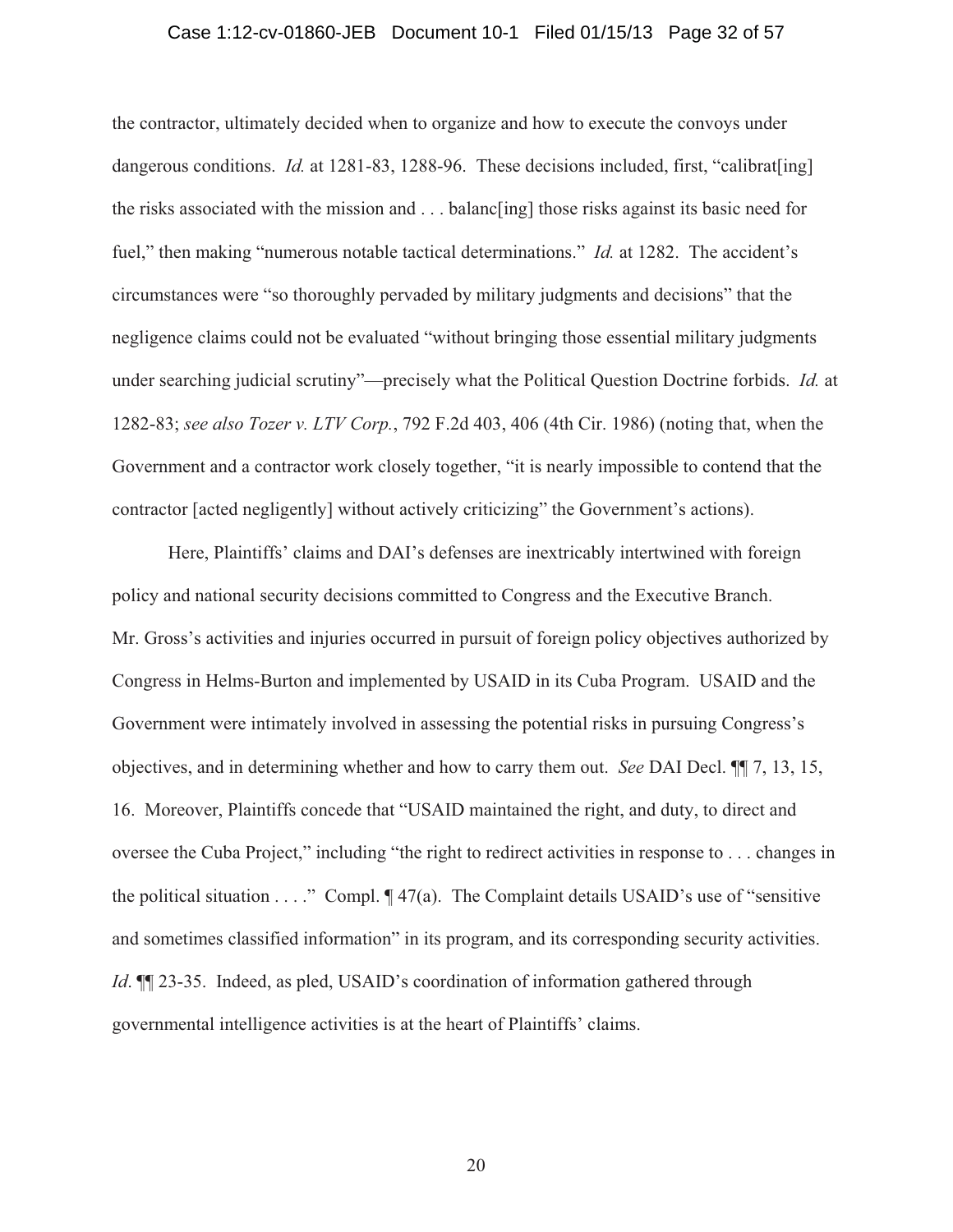#### Case 1:12-cv-01860-JEB Document 10-1 Filed 01/15/13 Page 32 of 57

the contractor, ultimately decided when to organize and how to execute the convoys under dangerous conditions. *Id.* at 1281-83, 1288-96. These decisions included, first, "calibrat[ing] the risks associated with the mission and . . . balanc[ing] those risks against its basic need for fuel," then making "numerous notable tactical determinations." *Id.* at 1282. The accident's circumstances were "so thoroughly pervaded by military judgments and decisions" that the negligence claims could not be evaluated "without bringing those essential military judgments under searching judicial scrutiny"—precisely what the Political Question Doctrine forbids. *Id.* at 1282-83; *see also Tozer v. LTV Corp.*, 792 F.2d 403, 406 (4th Cir. 1986) (noting that, when the Government and a contractor work closely together, "it is nearly impossible to contend that the contractor [acted negligently] without actively criticizing" the Government's actions).

Here, Plaintiffs' claims and DAI's defenses are inextricably intertwined with foreign policy and national security decisions committed to Congress and the Executive Branch. Mr. Gross's activities and injuries occurred in pursuit of foreign policy objectives authorized by Congress in Helms-Burton and implemented by USAID in its Cuba Program. USAID and the Government were intimately involved in assessing the potential risks in pursuing Congress's objectives, and in determining whether and how to carry them out. *See* DAI Decl. ¶¶ 7, 13, 15, 16. Moreover, Plaintiffs concede that "USAID maintained the right, and duty, to direct and oversee the Cuba Project," including "the right to redirect activities in response to . . . changes in the political situation  $\dots$ ." Compl.  $\P$  47(a). The Complaint details USAID's use of "sensitive" and sometimes classified information" in its program, and its corresponding security activities. *Id*.  $\mathbb{I}$  23-35. Indeed, as pled, USAID's coordination of information gathered through governmental intelligence activities is at the heart of Plaintiffs' claims.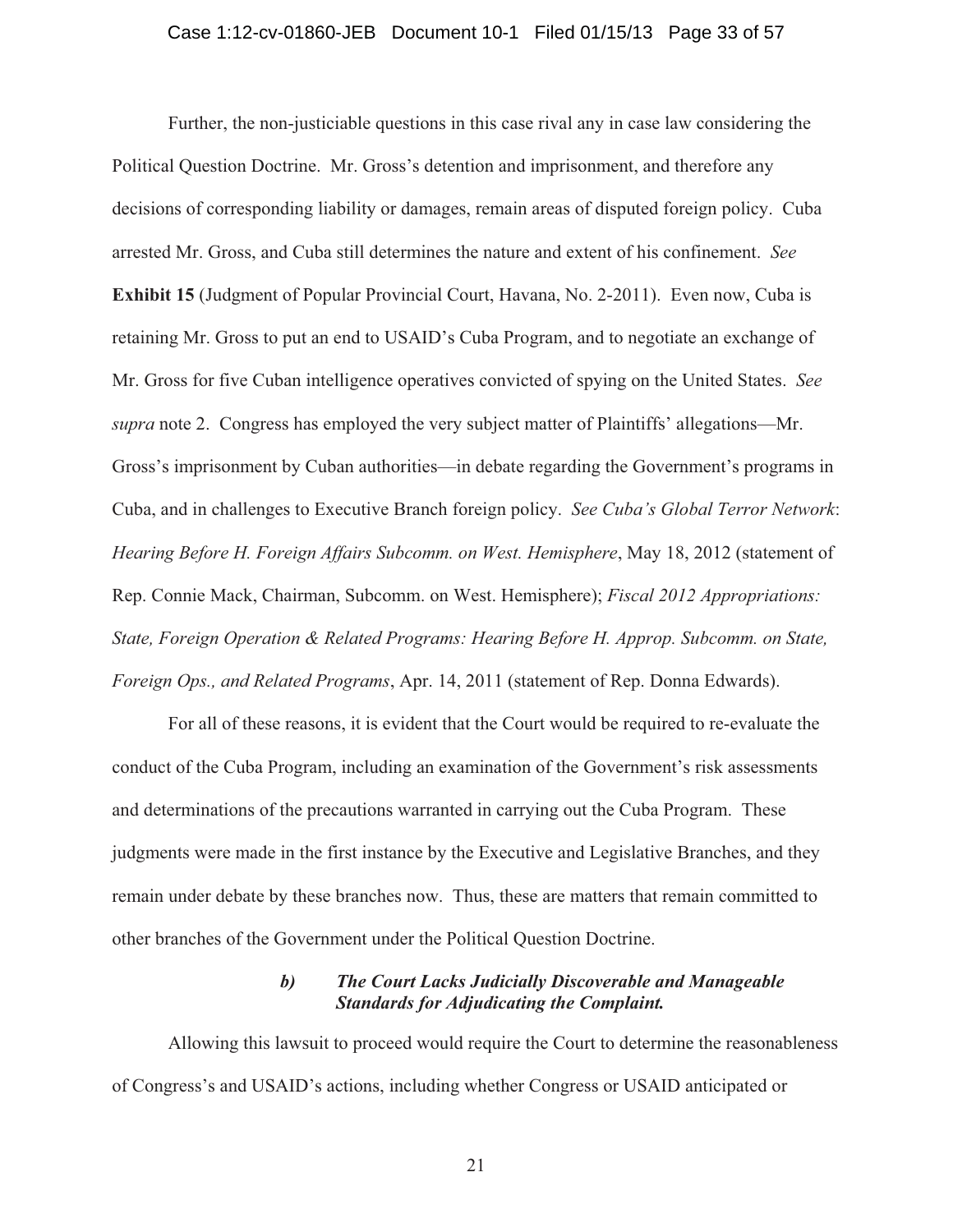#### Case 1:12-cv-01860-JEB Document 10-1 Filed 01/15/13 Page 33 of 57

Further, the non-justiciable questions in this case rival any in case law considering the Political Question Doctrine. Mr. Gross's detention and imprisonment, and therefore any decisions of corresponding liability or damages, remain areas of disputed foreign policy. Cuba arrested Mr. Gross, and Cuba still determines the nature and extent of his confinement. *See* **Exhibit 15** (Judgment of Popular Provincial Court, Havana, No. 2-2011). Even now, Cuba is retaining Mr. Gross to put an end to USAID's Cuba Program, and to negotiate an exchange of Mr. Gross for five Cuban intelligence operatives convicted of spying on the United States. *See supra* note 2. Congress has employed the very subject matter of Plaintiffs' allegations—Mr. Gross's imprisonment by Cuban authorities—in debate regarding the Government's programs in Cuba, and in challenges to Executive Branch foreign policy. *See Cuba's Global Terror Network*: *Hearing Before H. Foreign Affairs Subcomm. on West. Hemisphere*, May 18, 2012 (statement of Rep. Connie Mack, Chairman, Subcomm. on West. Hemisphere); *Fiscal 2012 Appropriations: State, Foreign Operation & Related Programs: Hearing Before H. Approp. Subcomm. on State, Foreign Ops., and Related Programs*, Apr. 14, 2011 (statement of Rep. Donna Edwards).

For all of these reasons, it is evident that the Court would be required to re-evaluate the conduct of the Cuba Program, including an examination of the Government's risk assessments and determinations of the precautions warranted in carrying out the Cuba Program. These judgments were made in the first instance by the Executive and Legislative Branches, and they remain under debate by these branches now. Thus, these are matters that remain committed to other branches of the Government under the Political Question Doctrine.

## *b) The Court Lacks Judicially Discoverable and Manageable Standards for Adjudicating the Complaint.*

Allowing this lawsuit to proceed would require the Court to determine the reasonableness of Congress's and USAID's actions, including whether Congress or USAID anticipated or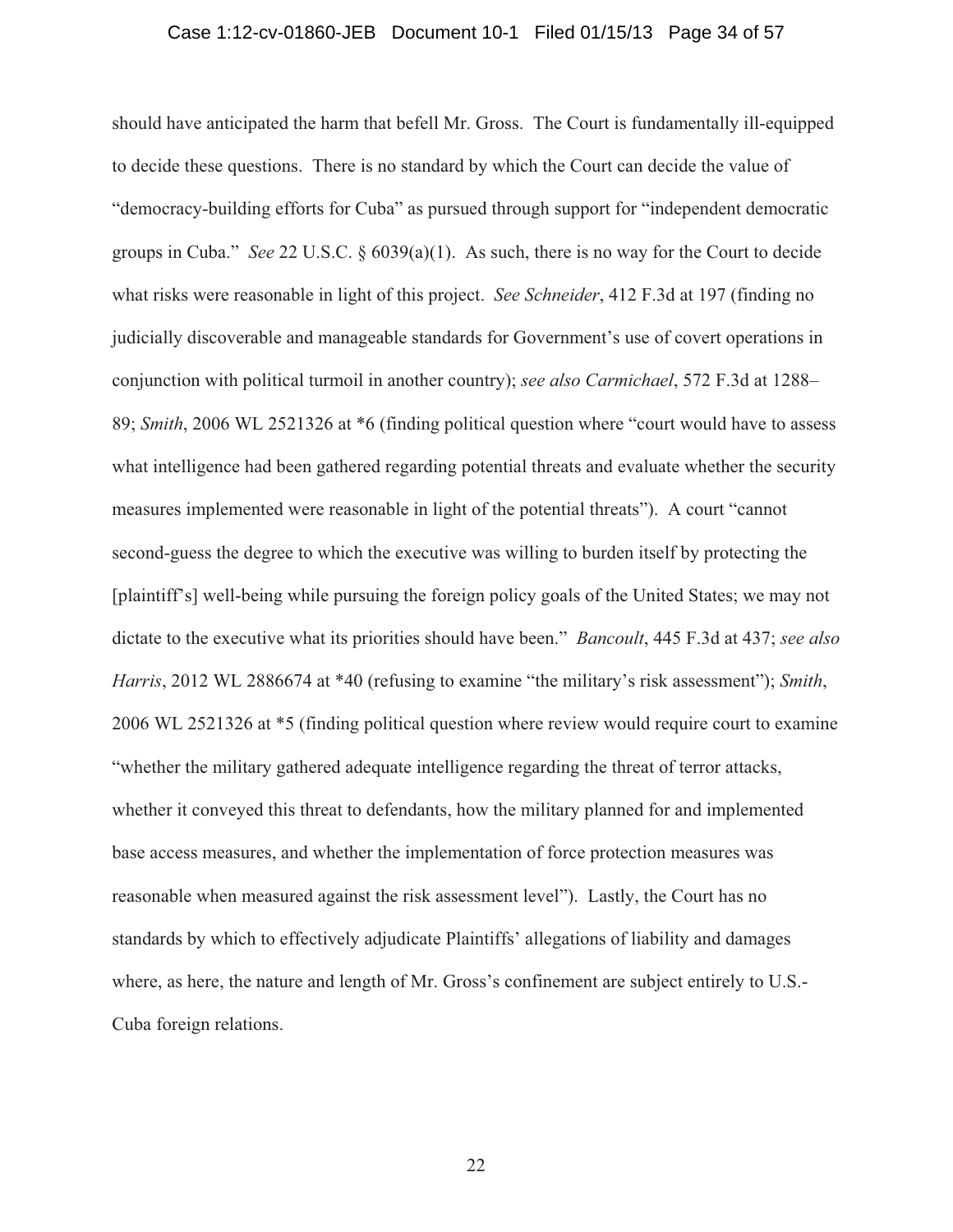#### Case 1:12-cv-01860-JEB Document 10-1 Filed 01/15/13 Page 34 of 57

should have anticipated the harm that befell Mr. Gross. The Court is fundamentally ill-equipped to decide these questions. There is no standard by which the Court can decide the value of "democracy-building efforts for Cuba" as pursued through support for "independent democratic groups in Cuba." *See* 22 U.S.C. § 6039(a)(1). As such, there is no way for the Court to decide what risks were reasonable in light of this project. *See Schneider*, 412 F.3d at 197 (finding no judicially discoverable and manageable standards for Government's use of covert operations in conjunction with political turmoil in another country); *see also Carmichael*, 572 F.3d at 1288– 89; *Smith*, 2006 WL 2521326 at \*6 (finding political question where "court would have to assess what intelligence had been gathered regarding potential threats and evaluate whether the security measures implemented were reasonable in light of the potential threats"). A court "cannot second-guess the degree to which the executive was willing to burden itself by protecting the [plaintiff's] well-being while pursuing the foreign policy goals of the United States; we may not dictate to the executive what its priorities should have been." *Bancoult*, 445 F.3d at 437; *see also Harris*, 2012 WL 2886674 at \*40 (refusing to examine "the military's risk assessment"); *Smith*, 2006 WL 2521326 at \*5 (finding political question where review would require court to examine "whether the military gathered adequate intelligence regarding the threat of terror attacks, whether it conveyed this threat to defendants, how the military planned for and implemented base access measures, and whether the implementation of force protection measures was reasonable when measured against the risk assessment level"). Lastly, the Court has no standards by which to effectively adjudicate Plaintiffs' allegations of liability and damages where, as here, the nature and length of Mr. Gross's confinement are subject entirely to U.S.- Cuba foreign relations.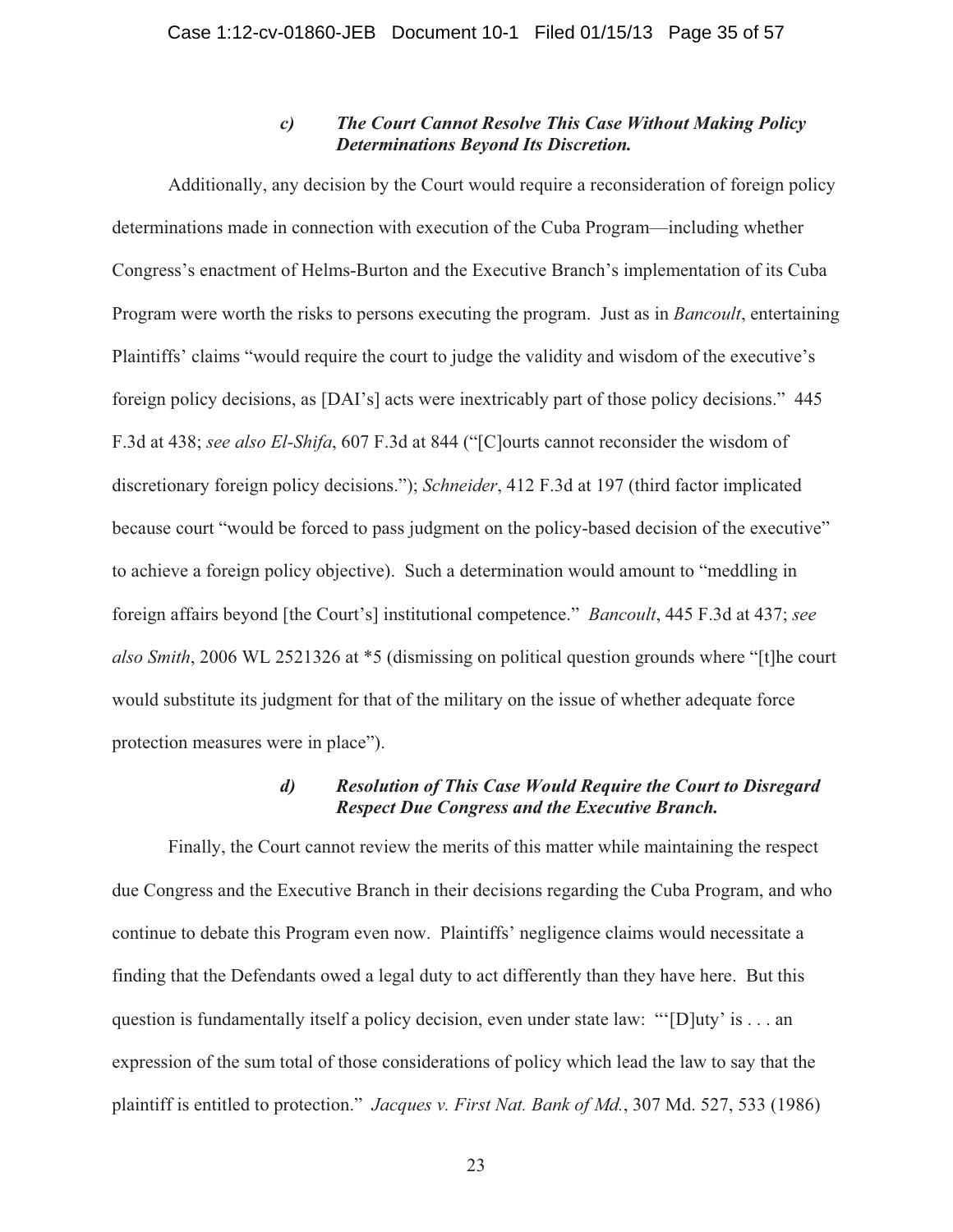## *c) The Court Cannot Resolve This Case Without Making Policy Determinations Beyond Its Discretion.*

Additionally, any decision by the Court would require a reconsideration of foreign policy determinations made in connection with execution of the Cuba Program—including whether Congress's enactment of Helms-Burton and the Executive Branch's implementation of its Cuba Program were worth the risks to persons executing the program. Just as in *Bancoult*, entertaining Plaintiffs' claims "would require the court to judge the validity and wisdom of the executive's foreign policy decisions, as [DAI's] acts were inextricably part of those policy decisions." 445 F.3d at 438; *see also El-Shifa*, 607 F.3d at 844 ("[C]ourts cannot reconsider the wisdom of discretionary foreign policy decisions."); *Schneider*, 412 F.3d at 197 (third factor implicated because court "would be forced to pass judgment on the policy-based decision of the executive" to achieve a foreign policy objective). Such a determination would amount to "meddling in foreign affairs beyond [the Court's] institutional competence." *Bancoult*, 445 F.3d at 437; *see also Smith*, 2006 WL 2521326 at \*5 (dismissing on political question grounds where "[t]he court would substitute its judgment for that of the military on the issue of whether adequate force protection measures were in place").

## *d) Resolution of This Case Would Require the Court to Disregard Respect Due Congress and the Executive Branch.*

Finally, the Court cannot review the merits of this matter while maintaining the respect due Congress and the Executive Branch in their decisions regarding the Cuba Program, and who continue to debate this Program even now. Plaintiffs' negligence claims would necessitate a finding that the Defendants owed a legal duty to act differently than they have here. But this question is fundamentally itself a policy decision, even under state law: "'[D]uty' is . . . an expression of the sum total of those considerations of policy which lead the law to say that the plaintiff is entitled to protection." *Jacques v. First Nat. Bank of Md.*, 307 Md. 527, 533 (1986)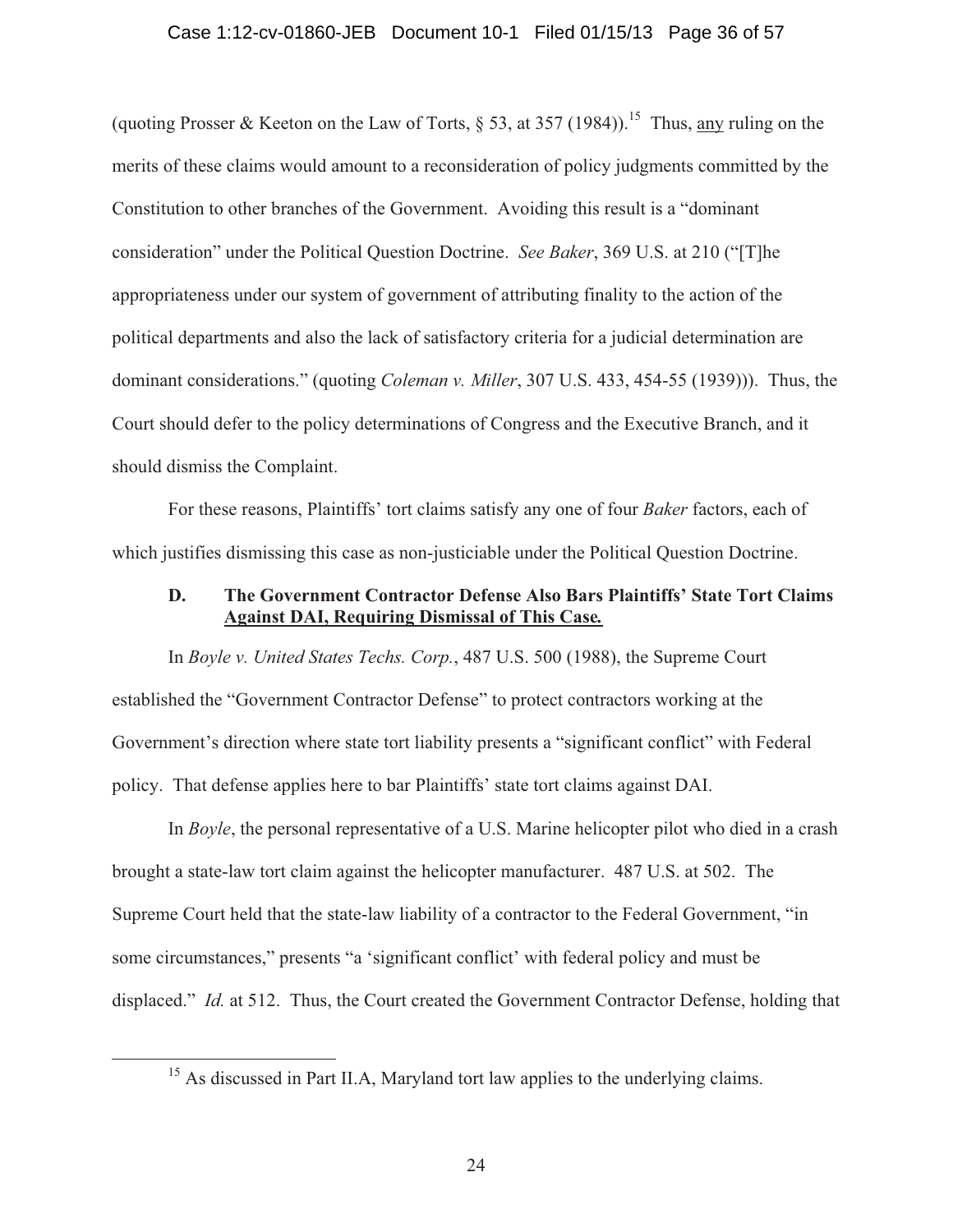#### Case 1:12-cv-01860-JEB Document 10-1 Filed 01/15/13 Page 36 of 57

(quoting Prosser & Keeton on the Law of Torts,  $\S$  53, at 357 (1984)).<sup>15</sup> Thus, any ruling on the merits of these claims would amount to a reconsideration of policy judgments committed by the Constitution to other branches of the Government. Avoiding this result is a "dominant consideration" under the Political Question Doctrine. *See Baker*, 369 U.S. at 210 ("[T]he appropriateness under our system of government of attributing finality to the action of the political departments and also the lack of satisfactory criteria for a judicial determination are dominant considerations." (quoting *Coleman v. Miller*, 307 U.S. 433, 454-55 (1939))). Thus, the Court should defer to the policy determinations of Congress and the Executive Branch, and it should dismiss the Complaint.

 For these reasons, Plaintiffs' tort claims satisfy any one of four *Baker* factors, each of which justifies dismissing this case as non-justiciable under the Political Question Doctrine.

## **D. The Government Contractor Defense Also Bars Plaintiffs' State Tort Claims Against DAI, Requiring Dismissal of This Case***.*

 In *Boyle v. United States Techs. Corp.*, 487 U.S. 500 (1988), the Supreme Court established the "Government Contractor Defense" to protect contractors working at the Government's direction where state tort liability presents a "significant conflict" with Federal policy. That defense applies here to bar Plaintiffs' state tort claims against DAI.

 In *Boyle*, the personal representative of a U.S. Marine helicopter pilot who died in a crash brought a state-law tort claim against the helicopter manufacturer. 487 U.S. at 502. The Supreme Court held that the state-law liability of a contractor to the Federal Government, "in some circumstances," presents "a 'significant conflict' with federal policy and must be displaced." *Id.* at 512. Thus, the Court created the Government Contractor Defense, holding that

<sup>&</sup>lt;sup>15</sup> As discussed in Part II.A, Maryland tort law applies to the underlying claims.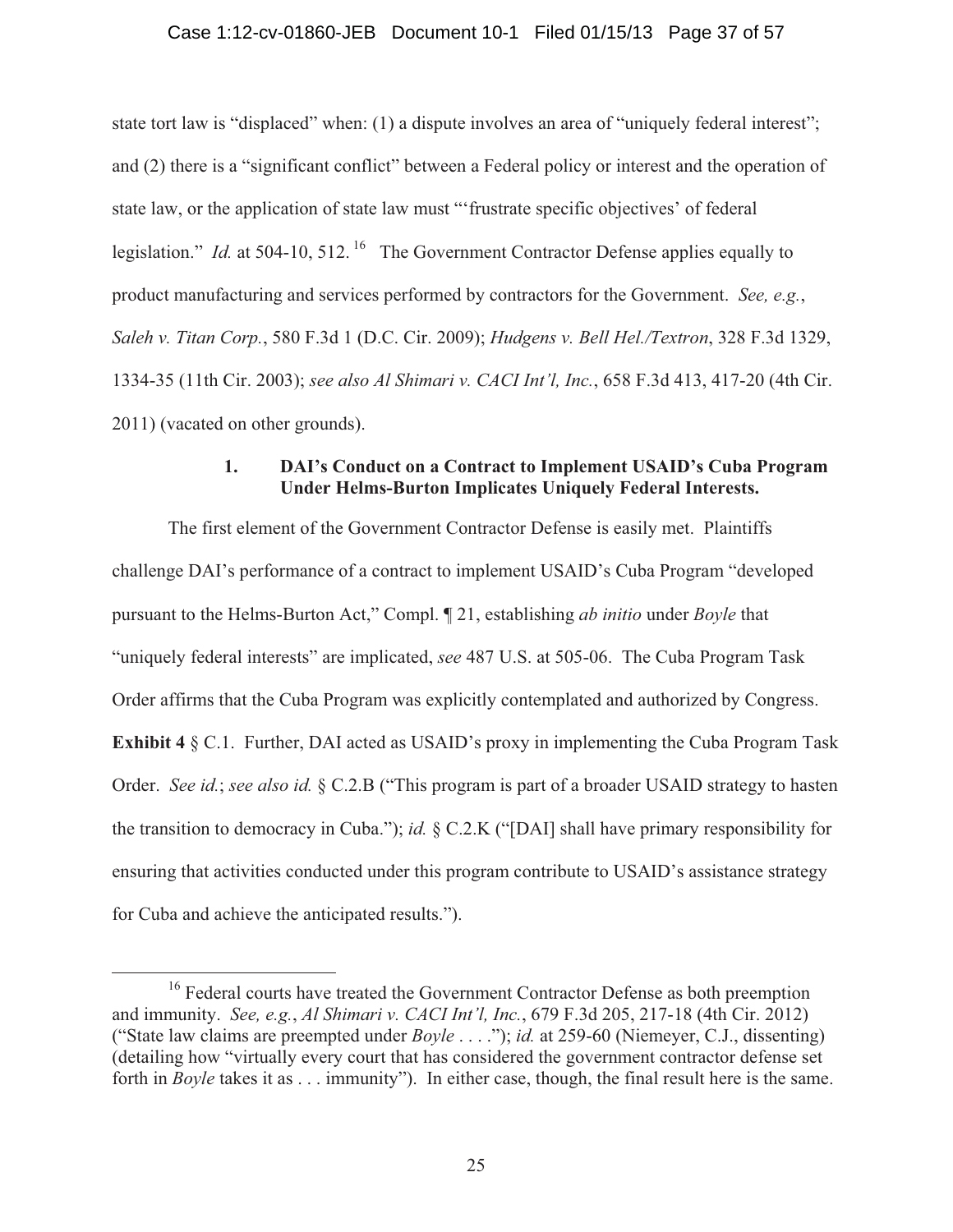state tort law is "displaced" when: (1) a dispute involves an area of "uniquely federal interest"; and (2) there is a "significant conflict" between a Federal policy or interest and the operation of state law, or the application of state law must "'frustrate specific objectives' of federal legislation." *Id.* at 504-10, 512.<sup>16</sup> The Government Contractor Defense applies equally to product manufacturing and services performed by contractors for the Government. *See, e.g.*, *Saleh v. Titan Corp.*, 580 F.3d 1 (D.C. Cir. 2009); *Hudgens v. Bell Hel./Textron*, 328 F.3d 1329, 1334-35 (11th Cir. 2003); *see also Al Shimari v. CACI Int'l, Inc.*, 658 F.3d 413, 417-20 (4th Cir. 2011) (vacated on other grounds).

# **1. DAI's Conduct on a Contract to Implement USAID's Cuba Program Under Helms-Burton Implicates Uniquely Federal Interests.**

 The first element of the Government Contractor Defense is easily met. Plaintiffs challenge DAI's performance of a contract to implement USAID's Cuba Program "developed pursuant to the Helms-Burton Act," Compl. ¶ 21, establishing *ab initio* under *Boyle* that "uniquely federal interests" are implicated, *see* 487 U.S. at 505-06. The Cuba Program Task Order affirms that the Cuba Program was explicitly contemplated and authorized by Congress. **Exhibit 4** § C.1. Further, DAI acted as USAID's proxy in implementing the Cuba Program Task Order. *See id.*; *see also id.* § C.2.B ("This program is part of a broader USAID strategy to hasten the transition to democracy in Cuba."); *id.* § C.2.K ("[DAI] shall have primary responsibility for ensuring that activities conducted under this program contribute to USAID's assistance strategy for Cuba and achieve the anticipated results.").

<sup>&</sup>lt;sup>16</sup> Federal courts have treated the Government Contractor Defense as both preemption and immunity. *See, e.g.*, *Al Shimari v. CACI Int'l, Inc.*, 679 F.3d 205, 217-18 (4th Cir. 2012) ("State law claims are preempted under *Boyle* . . . ."); *id.* at 259-60 (Niemeyer, C.J., dissenting) (detailing how "virtually every court that has considered the government contractor defense set forth in *Boyle* takes it as . . . immunity"). In either case, though, the final result here is the same.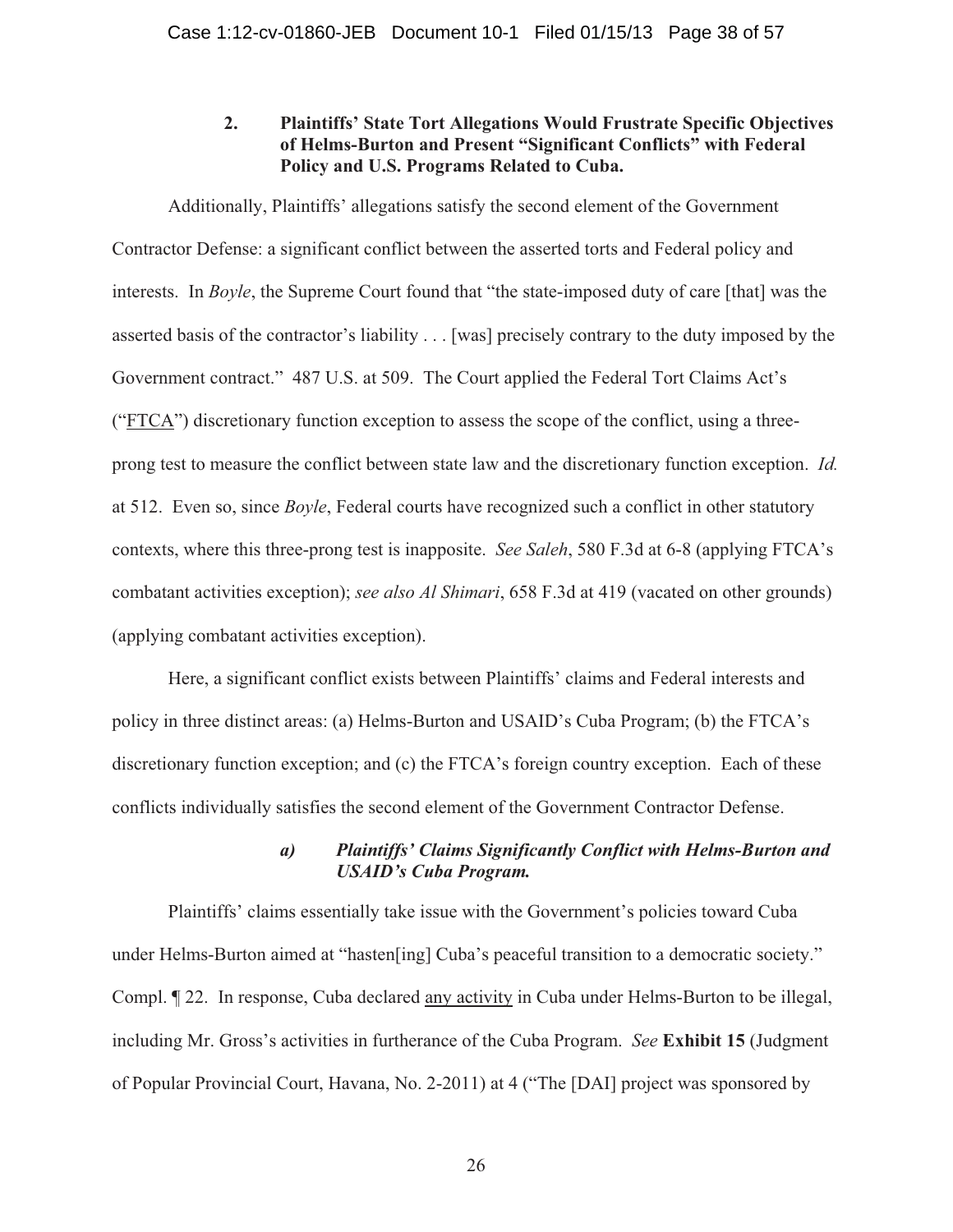## **2. Plaintiffs' State Tort Allegations Would Frustrate Specific Objectives of Helms-Burton and Present "Significant Conflicts" with Federal Policy and U.S. Programs Related to Cuba.**

 Additionally, Plaintiffs' allegations satisfy the second element of the Government Contractor Defense: a significant conflict between the asserted torts and Federal policy and interests. In *Boyle*, the Supreme Court found that "the state-imposed duty of care [that] was the asserted basis of the contractor's liability . . . [was] precisely contrary to the duty imposed by the Government contract." 487 U.S. at 509. The Court applied the Federal Tort Claims Act's ("FTCA") discretionary function exception to assess the scope of the conflict, using a threeprong test to measure the conflict between state law and the discretionary function exception. *Id.* at 512. Even so, since *Boyle*, Federal courts have recognized such a conflict in other statutory contexts, where this three-prong test is inapposite. *See Saleh*, 580 F.3d at 6-8 (applying FTCA's combatant activities exception); *see also Al Shimari*, 658 F.3d at 419 (vacated on other grounds) (applying combatant activities exception).

 Here, a significant conflict exists between Plaintiffs' claims and Federal interests and policy in three distinct areas: (a) Helms-Burton and USAID's Cuba Program; (b) the FTCA's discretionary function exception; and (c) the FTCA's foreign country exception. Each of these conflicts individually satisfies the second element of the Government Contractor Defense.

## *a) Plaintiffs' Claims Significantly Conflict with Helms-Burton and USAID's Cuba Program.*

 Plaintiffs' claims essentially take issue with the Government's policies toward Cuba under Helms-Burton aimed at "hasten[ing] Cuba's peaceful transition to a democratic society." Compl. ¶ 22. In response, Cuba declared any activity in Cuba under Helms-Burton to be illegal, including Mr. Gross's activities in furtherance of the Cuba Program. *See* **Exhibit 15** (Judgment of Popular Provincial Court, Havana, No. 2-2011) at 4 ("The [DAI] project was sponsored by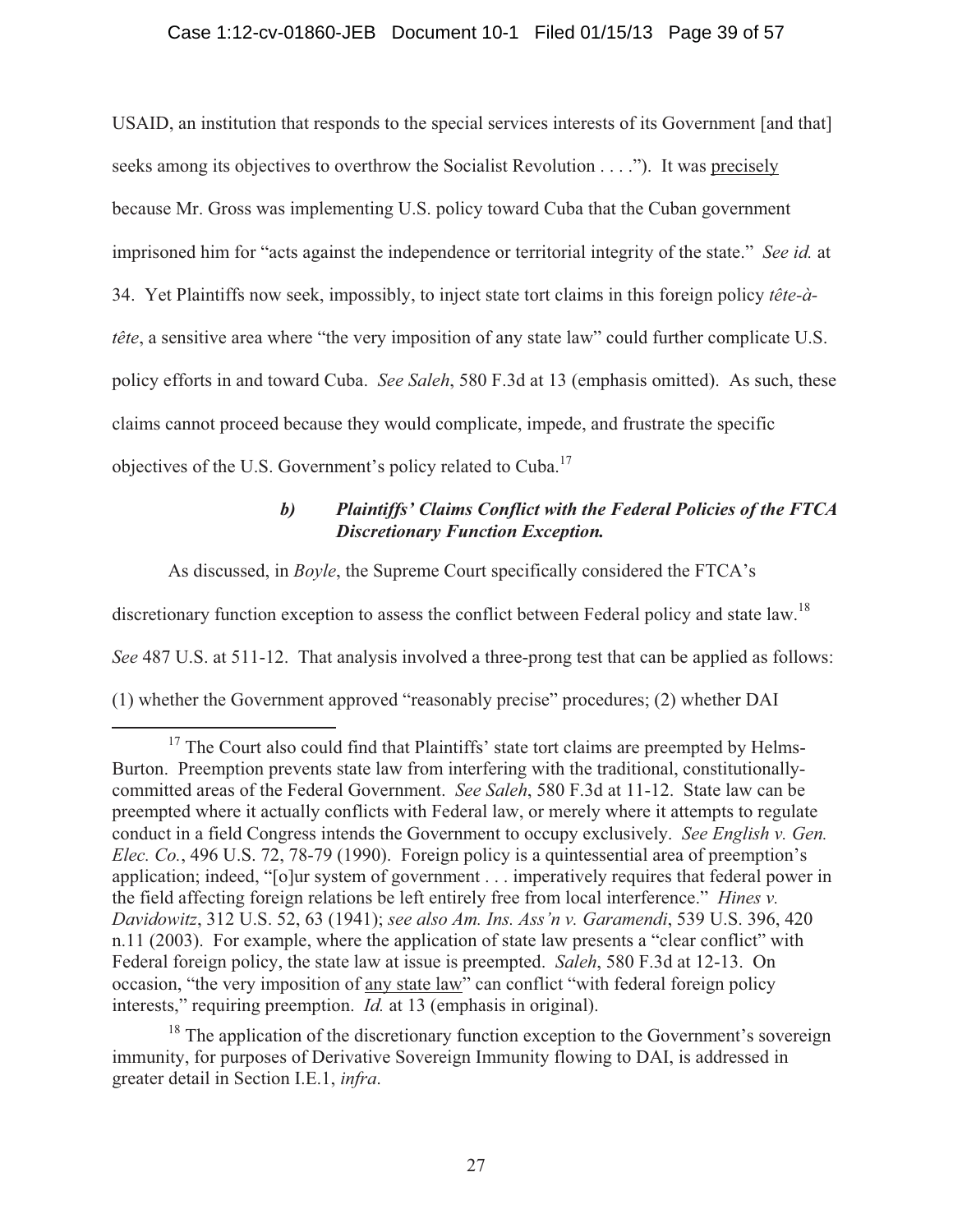### Case 1:12-cv-01860-JEB Document 10-1 Filed 01/15/13 Page 39 of 57

USAID, an institution that responds to the special services interests of its Government [and that] seeks among its objectives to overthrow the Socialist Revolution . . . ."). It was precisely because Mr. Gross was implementing U.S. policy toward Cuba that the Cuban government imprisoned him for "acts against the independence or territorial integrity of the state." *See id.* at 34. Yet Plaintiffs now seek, impossibly, to inject state tort claims in this foreign policy *tête-àtête*, a sensitive area where "the very imposition of any state law" could further complicate U.S. policy efforts in and toward Cuba. *See Saleh*, 580 F.3d at 13 (emphasis omitted). As such, these claims cannot proceed because they would complicate, impede, and frustrate the specific objectives of the U.S. Government's policy related to Cuba.<sup>17</sup>

# *b) Plaintiffs' Claims Conflict with the Federal Policies of the FTCA Discretionary Function Exception.*

As discussed, in *Boyle*, the Supreme Court specifically considered the FTCA's

discretionary function exception to assess the conflict between Federal policy and state law.<sup>18</sup>

*See* 487 U.S. at 511-12. That analysis involved a three-prong test that can be applied as follows:

(1) whether the Government approved "reasonably precise" procedures; (2) whether DAI

<sup>18</sup> The application of the discretionary function exception to the Government's sovereign immunity, for purposes of Derivative Sovereign Immunity flowing to DAI, is addressed in greater detail in Section I.E.1, *infra*.

 $17$  The Court also could find that Plaintiffs' state tort claims are preempted by Helms-Burton. Preemption prevents state law from interfering with the traditional, constitutionallycommitted areas of the Federal Government. *See Saleh*, 580 F.3d at 11-12. State law can be preempted where it actually conflicts with Federal law, or merely where it attempts to regulate conduct in a field Congress intends the Government to occupy exclusively. *See English v. Gen. Elec. Co.*, 496 U.S. 72, 78-79 (1990). Foreign policy is a quintessential area of preemption's application; indeed, "[o]ur system of government . . . imperatively requires that federal power in the field affecting foreign relations be left entirely free from local interference." *Hines v. Davidowitz*, 312 U.S. 52, 63 (1941); *see also Am. Ins. Ass'n v. Garamendi*, 539 U.S. 396, 420 n.11 (2003). For example, where the application of state law presents a "clear conflict" with Federal foreign policy, the state law at issue is preempted. *Saleh*, 580 F.3d at 12-13. On occasion, "the very imposition of any state law" can conflict "with federal foreign policy interests," requiring preemption. *Id.* at 13 (emphasis in original).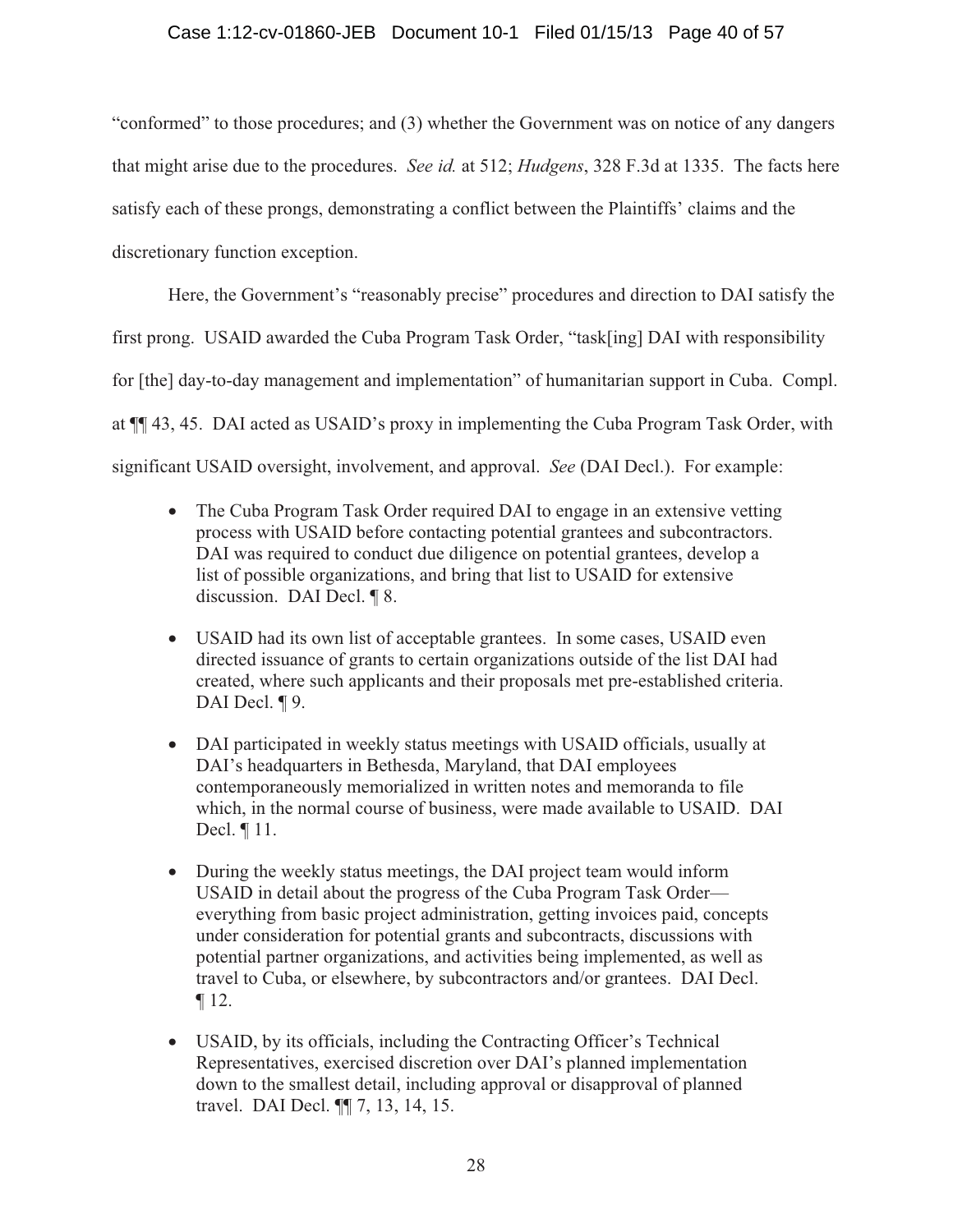## Case 1:12-cv-01860-JEB Document 10-1 Filed 01/15/13 Page 40 of 57

"conformed" to those procedures; and (3) whether the Government was on notice of any dangers that might arise due to the procedures. *See id.* at 512; *Hudgens*, 328 F.3d at 1335. The facts here satisfy each of these prongs, demonstrating a conflict between the Plaintiffs' claims and the discretionary function exception.

Here, the Government's "reasonably precise" procedures and direction to DAI satisfy the first prong. USAID awarded the Cuba Program Task Order, "task[ing] DAI with responsibility for [the] day-to-day management and implementation" of humanitarian support in Cuba. Compl. at ¶¶ 43, 45. DAI acted as USAID's proxy in implementing the Cuba Program Task Order, with significant USAID oversight, involvement, and approval. *See* (DAI Decl.). For example:

- The Cuba Program Task Order required DAI to engage in an extensive vetting process with USAID before contacting potential grantees and subcontractors. DAI was required to conduct due diligence on potential grantees, develop a list of possible organizations, and bring that list to USAID for extensive discussion. DAI Decl. ¶ 8.
- USAID had its own list of acceptable grantees. In some cases, USAID even directed issuance of grants to certain organizations outside of the list DAI had created, where such applicants and their proposals met pre-established criteria. DAI Decl. **[9.]**
- DAI participated in weekly status meetings with USAID officials, usually at DAI's headquarters in Bethesda, Maryland, that DAI employees contemporaneously memorialized in written notes and memoranda to file which, in the normal course of business, were made available to USAID. DAI Decl. ¶ 11.
- During the weekly status meetings, the DAI project team would inform USAID in detail about the progress of the Cuba Program Task Order everything from basic project administration, getting invoices paid, concepts under consideration for potential grants and subcontracts, discussions with potential partner organizations, and activities being implemented, as well as travel to Cuba, or elsewhere, by subcontractors and/or grantees. DAI Decl. ¶ 12.
- USAID, by its officials, including the Contracting Officer's Technical Representatives, exercised discretion over DAI's planned implementation down to the smallest detail, including approval or disapproval of planned travel. DAI Decl. ¶¶ 7, 13, 14, 15.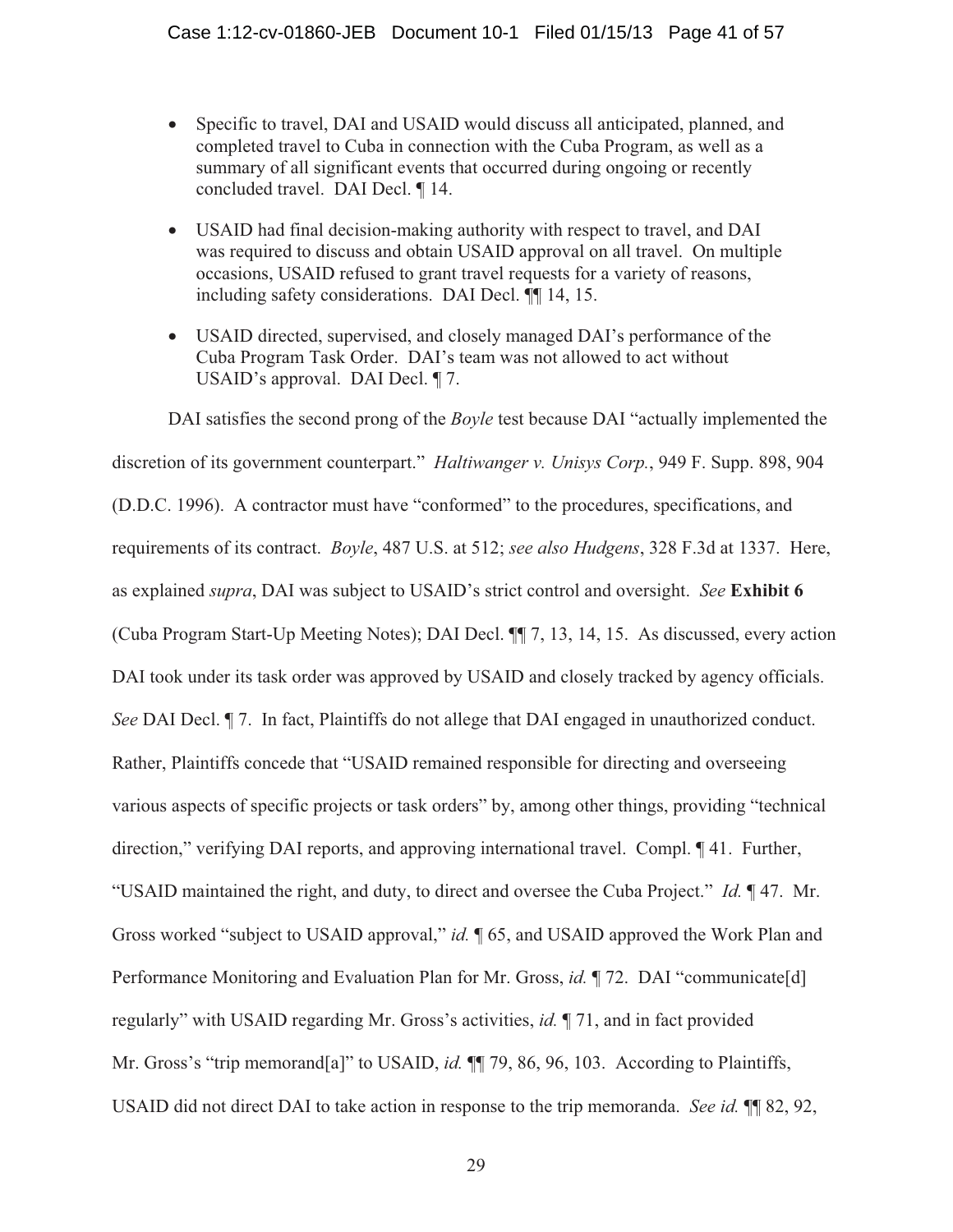- Specific to travel, DAI and USAID would discuss all anticipated, planned, and completed travel to Cuba in connection with the Cuba Program, as well as a summary of all significant events that occurred during ongoing or recently concluded travel. DAI Decl. ¶ 14.
- USAID had final decision-making authority with respect to travel, and DAI was required to discuss and obtain USAID approval on all travel. On multiple occasions, USAID refused to grant travel requests for a variety of reasons, including safety considerations. DAI Decl. ¶¶ 14, 15.
- USAID directed, supervised, and closely managed DAI's performance of the Cuba Program Task Order. DAI's team was not allowed to act without USAID's approval. DAI Decl. ¶ 7.

DAI satisfies the second prong of the *Boyle* test because DAI "actually implemented the discretion of its government counterpart." *Haltiwanger v. Unisys Corp.*, 949 F. Supp. 898, 904 (D.D.C. 1996). A contractor must have "conformed" to the procedures, specifications, and requirements of its contract. *Boyle*, 487 U.S. at 512; *see also Hudgens*, 328 F.3d at 1337. Here, as explained *supra*, DAI was subject to USAID's strict control and oversight. *See* **Exhibit 6** (Cuba Program Start-Up Meeting Notes); DAI Decl. ¶¶ 7, 13, 14, 15. As discussed, every action DAI took under its task order was approved by USAID and closely tracked by agency officials. *See* DAI Decl. ¶ 7. In fact, Plaintiffs do not allege that DAI engaged in unauthorized conduct. Rather, Plaintiffs concede that "USAID remained responsible for directing and overseeing various aspects of specific projects or task orders" by, among other things, providing "technical direction," verifying DAI reports, and approving international travel. Compl. ¶ 41. Further, "USAID maintained the right, and duty, to direct and oversee the Cuba Project." *Id.* ¶ 47. Mr. Gross worked "subject to USAID approval," *id.* ¶ 65, and USAID approved the Work Plan and Performance Monitoring and Evaluation Plan for Mr. Gross, *id.* 172. DAI "communicate[d] regularly" with USAID regarding Mr. Gross's activities, *id.* ¶ 71, and in fact provided Mr. Gross's "trip memorand<sup>[a]"</sup> to USAID, *id.* **[1]** 79, 86, 96, 103. According to Plaintiffs, USAID did not direct DAI to take action in response to the trip memoranda. *See id.* ¶¶ 82, 92,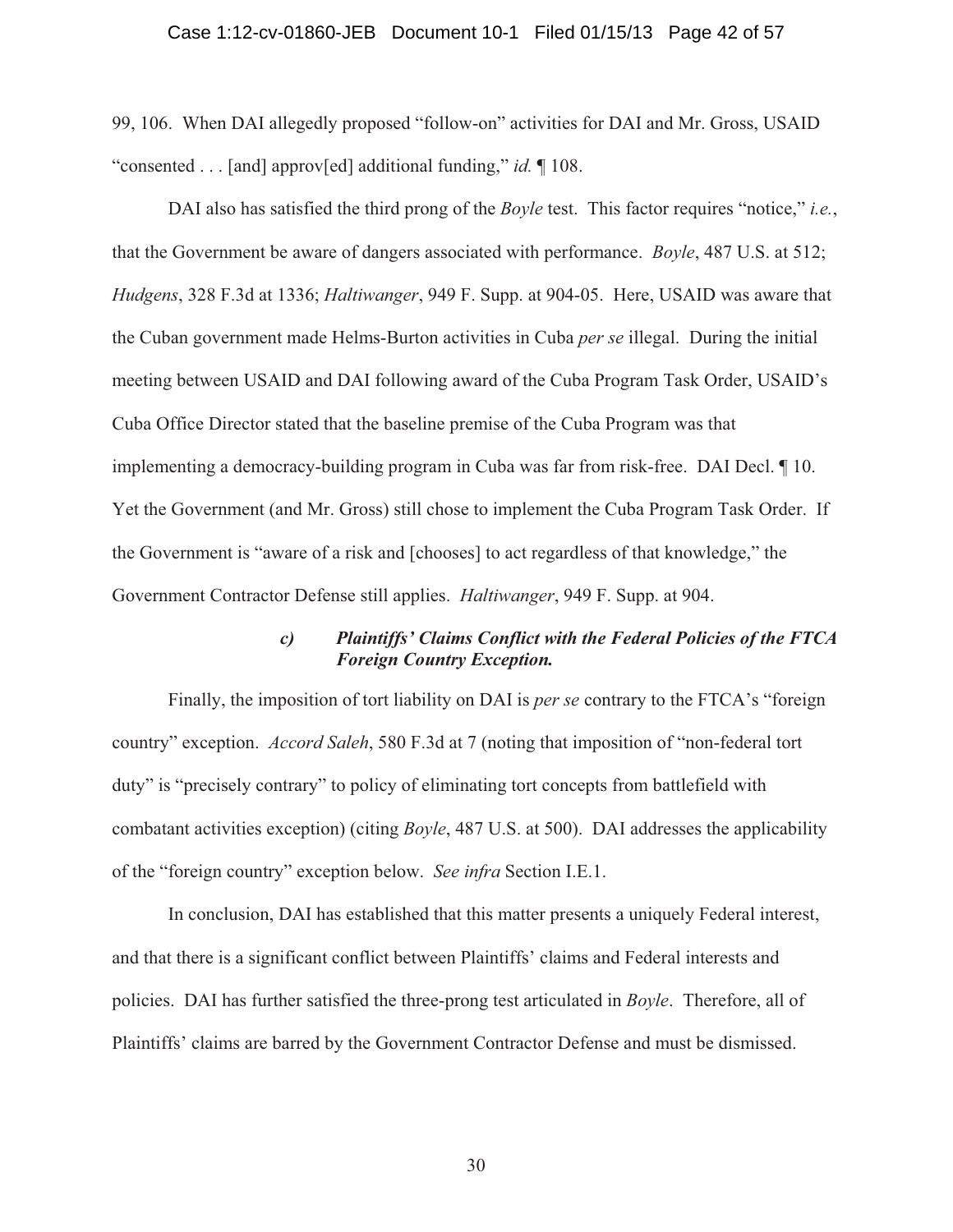#### Case 1:12-cv-01860-JEB Document 10-1 Filed 01/15/13 Page 42 of 57

99, 106. When DAI allegedly proposed "follow-on" activities for DAI and Mr. Gross, USAID "consented . . . [and] approv[ed] additional funding," *id.* ¶ 108.

 DAI also has satisfied the third prong of the *Boyle* test. This factor requires "notice," *i.e.*, that the Government be aware of dangers associated with performance. *Boyle*, 487 U.S. at 512; *Hudgens*, 328 F.3d at 1336; *Haltiwanger*, 949 F. Supp. at 904-05. Here, USAID was aware that the Cuban government made Helms-Burton activities in Cuba *per se* illegal. During the initial meeting between USAID and DAI following award of the Cuba Program Task Order, USAID's Cuba Office Director stated that the baseline premise of the Cuba Program was that implementing a democracy-building program in Cuba was far from risk-free. DAI Decl. ¶ 10. Yet the Government (and Mr. Gross) still chose to implement the Cuba Program Task Order. If the Government is "aware of a risk and [chooses] to act regardless of that knowledge," the Government Contractor Defense still applies. *Haltiwanger*, 949 F. Supp. at 904.

## *c) Plaintiffs' Claims Conflict with the Federal Policies of the FTCA Foreign Country Exception.*

 Finally, the imposition of tort liability on DAI is *per se* contrary to the FTCA's "foreign country" exception. *Accord Saleh*, 580 F.3d at 7 (noting that imposition of "non-federal tort duty" is "precisely contrary" to policy of eliminating tort concepts from battlefield with combatant activities exception) (citing *Boyle*, 487 U.S. at 500). DAI addresses the applicability of the "foreign country" exception below. *See infra* Section I.E.1.

 In conclusion, DAI has established that this matter presents a uniquely Federal interest, and that there is a significant conflict between Plaintiffs' claims and Federal interests and policies. DAI has further satisfied the three-prong test articulated in *Boyle*. Therefore, all of Plaintiffs' claims are barred by the Government Contractor Defense and must be dismissed.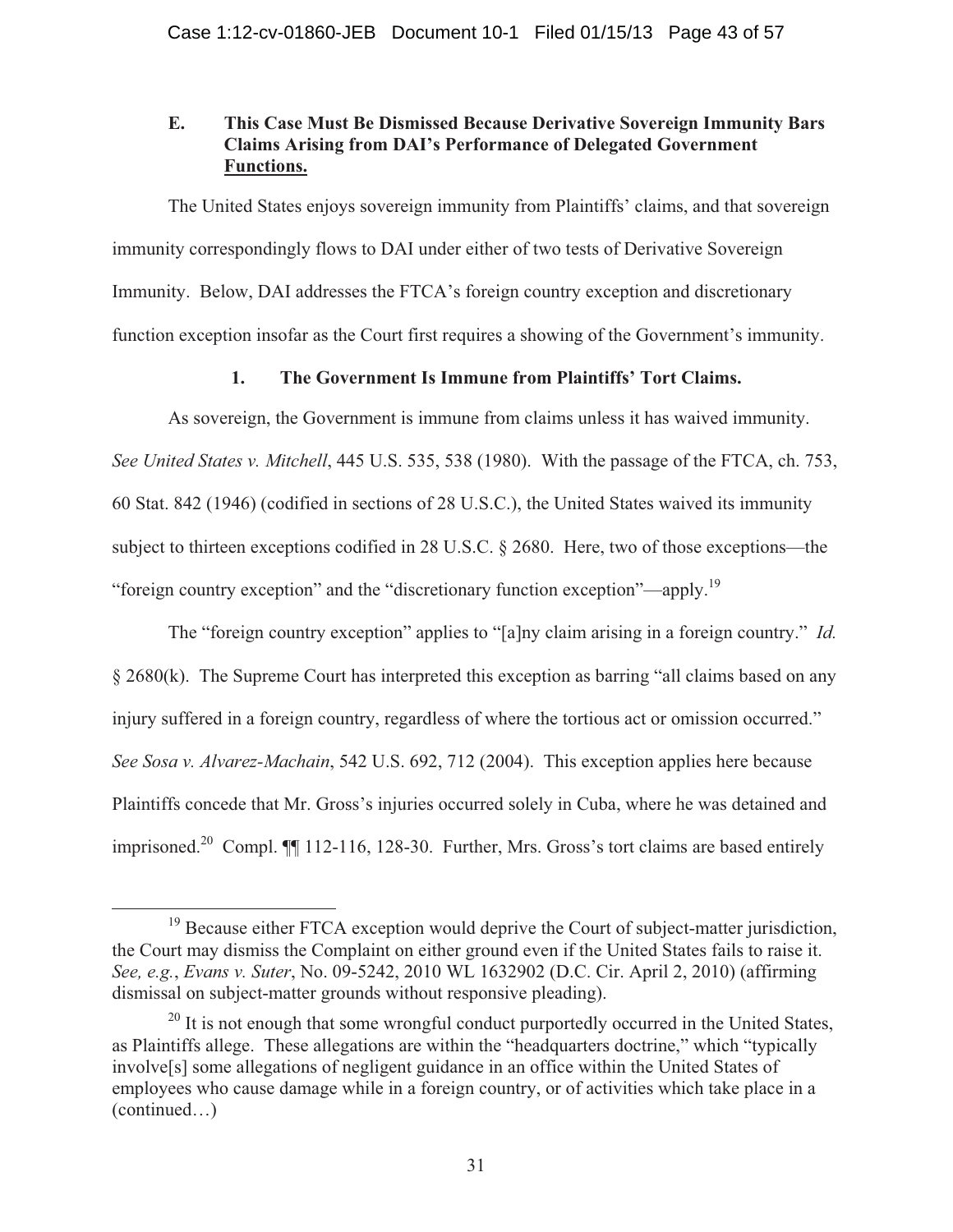# **E. This Case Must Be Dismissed Because Derivative Sovereign Immunity Bars Claims Arising from DAI's Performance of Delegated Government Functions.**

 The United States enjoys sovereign immunity from Plaintiffs' claims, and that sovereign immunity correspondingly flows to DAI under either of two tests of Derivative Sovereign Immunity. Below, DAI addresses the FTCA's foreign country exception and discretionary function exception insofar as the Court first requires a showing of the Government's immunity.

# **1. The Government Is Immune from Plaintiffs' Tort Claims.**

 As sovereign, the Government is immune from claims unless it has waived immunity. *See United States v. Mitchell*, 445 U.S. 535, 538 (1980). With the passage of the FTCA, ch. 753, 60 Stat. 842 (1946) (codified in sections of 28 U.S.C.), the United States waived its immunity subject to thirteen exceptions codified in 28 U.S.C. § 2680. Here, two of those exceptions—the "foreign country exception" and the "discretionary function exception"—apply.19

 The "foreign country exception" applies to "[a]ny claim arising in a foreign country." *Id.* § 2680(k). The Supreme Court has interpreted this exception as barring "all claims based on any injury suffered in a foreign country, regardless of where the tortious act or omission occurred." *See Sosa v. Alvarez-Machain*, 542 U.S. 692, 712 (2004). This exception applies here because Plaintiffs concede that Mr. Gross's injuries occurred solely in Cuba, where he was detained and imprisoned.<sup>20</sup> Compl. **[1** 112-116, 128-30. Further, Mrs. Gross's tort claims are based entirely

<sup>&</sup>lt;sup>19</sup> Because either FTCA exception would deprive the Court of subject-matter jurisdiction, the Court may dismiss the Complaint on either ground even if the United States fails to raise it. *See, e.g.*, *Evans v. Suter*, No. 09-5242, 2010 WL 1632902 (D.C. Cir. April 2, 2010) (affirming dismissal on subject-matter grounds without responsive pleading).

 $^{20}$  It is not enough that some wrongful conduct purportedly occurred in the United States, as Plaintiffs allege. These allegations are within the "headquarters doctrine," which "typically involve[s] some allegations of negligent guidance in an office within the United States of employees who cause damage while in a foreign country, or of activities which take place in a (continued…)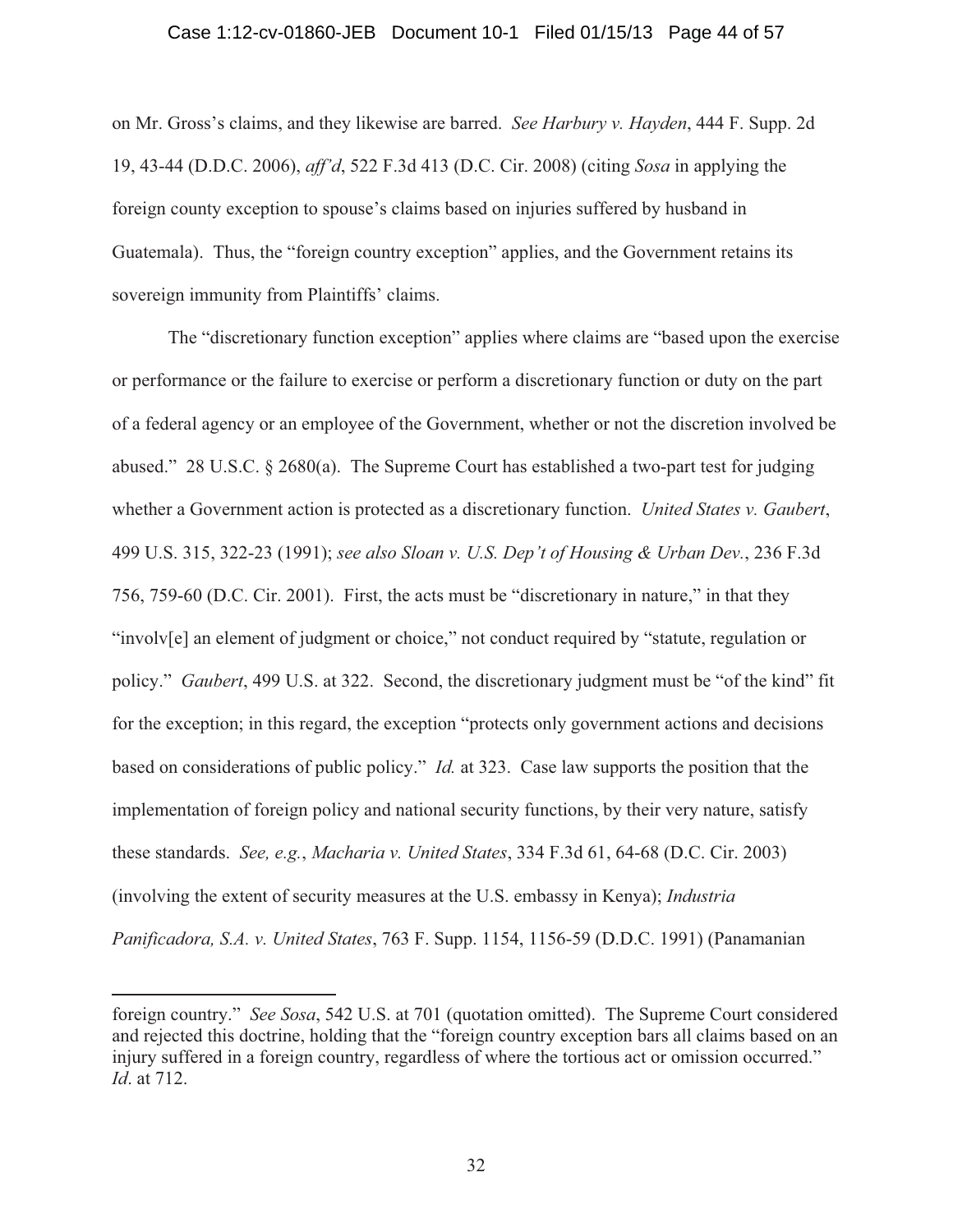#### Case 1:12-cv-01860-JEB Document 10-1 Filed 01/15/13 Page 44 of 57

on Mr. Gross's claims, and they likewise are barred. *See Harbury v. Hayden*, 444 F. Supp. 2d 19, 43-44 (D.D.C. 2006), *aff'd*, 522 F.3d 413 (D.C. Cir. 2008) (citing *Sosa* in applying the foreign county exception to spouse's claims based on injuries suffered by husband in Guatemala). Thus, the "foreign country exception" applies, and the Government retains its sovereign immunity from Plaintiffs' claims.

 The "discretionary function exception" applies where claims are "based upon the exercise or performance or the failure to exercise or perform a discretionary function or duty on the part of a federal agency or an employee of the Government, whether or not the discretion involved be abused." 28 U.S.C. § 2680(a). The Supreme Court has established a two-part test for judging whether a Government action is protected as a discretionary function. *United States v. Gaubert*, 499 U.S. 315, 322-23 (1991); *see also Sloan v. U.S. Dep't of Housing & Urban Dev.*, 236 F.3d 756, 759-60 (D.C. Cir. 2001). First, the acts must be "discretionary in nature," in that they "involv[e] an element of judgment or choice," not conduct required by "statute, regulation or policy." *Gaubert*, 499 U.S. at 322. Second, the discretionary judgment must be "of the kind" fit for the exception; in this regard, the exception "protects only government actions and decisions based on considerations of public policy." *Id.* at 323. Case law supports the position that the implementation of foreign policy and national security functions, by their very nature, satisfy these standards. *See, e.g.*, *Macharia v. United States*, 334 F.3d 61, 64-68 (D.C. Cir. 2003) (involving the extent of security measures at the U.S. embassy in Kenya); *Industria Panificadora, S.A. v. United States*, 763 F. Supp. 1154, 1156-59 (D.D.C. 1991) (Panamanian

foreign country." *See Sosa*, 542 U.S. at 701 (quotation omitted). The Supreme Court considered and rejected this doctrine, holding that the "foreign country exception bars all claims based on an injury suffered in a foreign country, regardless of where the tortious act or omission occurred." *Id*. at 712.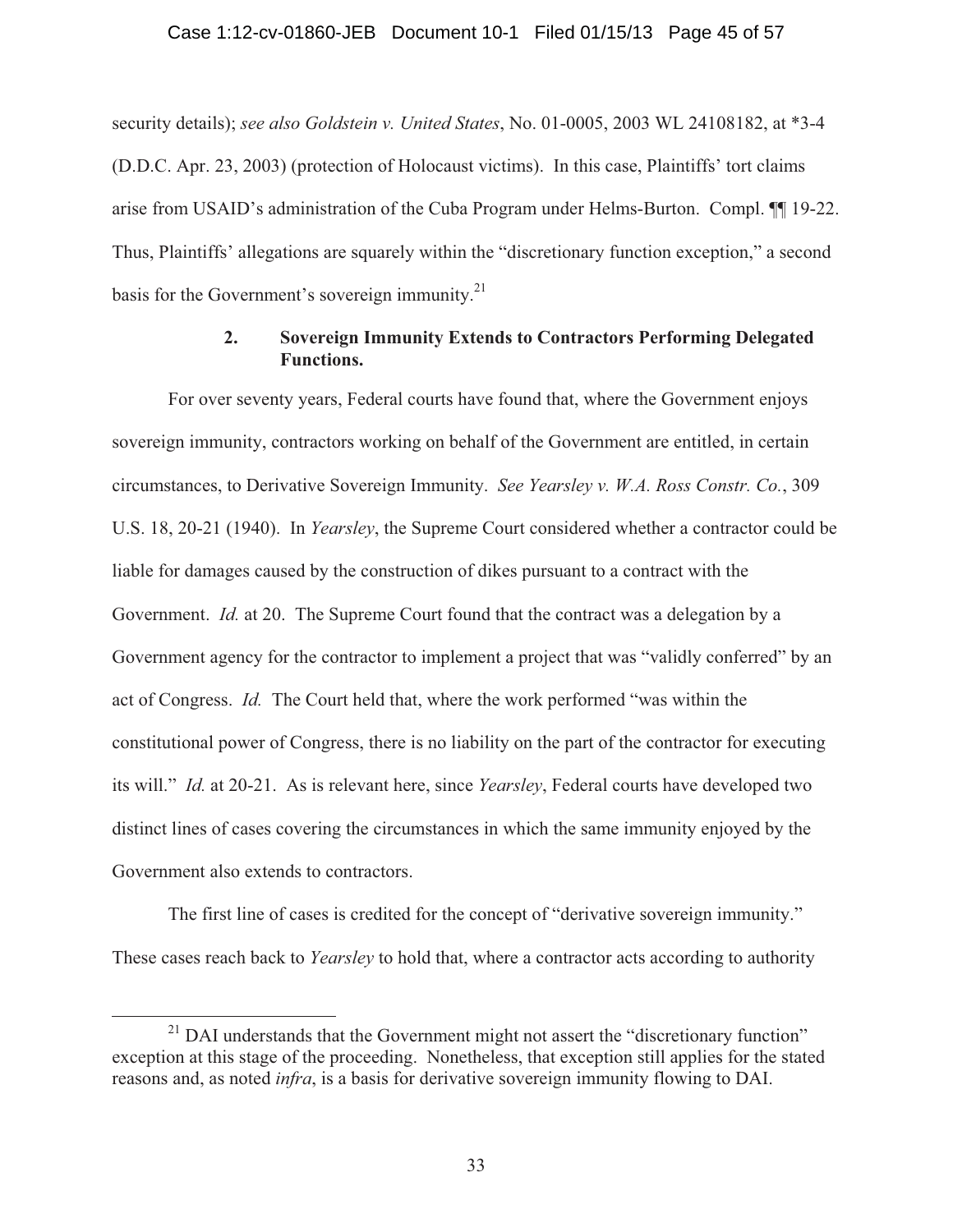## Case 1:12-cv-01860-JEB Document 10-1 Filed 01/15/13 Page 45 of 57

security details); *see also Goldstein v. United States*, No. 01-0005, 2003 WL 24108182, at \*3-4 (D.D.C. Apr. 23, 2003) (protection of Holocaust victims). In this case, Plaintiffs' tort claims arise from USAID's administration of the Cuba Program under Helms-Burton. Compl. ¶¶ 19-22. Thus, Plaintiffs' allegations are squarely within the "discretionary function exception," a second basis for the Government's sovereign immunity. $^{21}$ 

## **2. Sovereign Immunity Extends to Contractors Performing Delegated Functions.**

 For over seventy years, Federal courts have found that, where the Government enjoys sovereign immunity, contractors working on behalf of the Government are entitled, in certain circumstances, to Derivative Sovereign Immunity. *See Yearsley v. W.A. Ross Constr. Co.*, 309 U.S. 18, 20-21 (1940). In *Yearsley*, the Supreme Court considered whether a contractor could be liable for damages caused by the construction of dikes pursuant to a contract with the Government. *Id.* at 20. The Supreme Court found that the contract was a delegation by a Government agency for the contractor to implement a project that was "validly conferred" by an act of Congress. *Id.* The Court held that, where the work performed "was within the constitutional power of Congress, there is no liability on the part of the contractor for executing its will." *Id.* at 20-21. As is relevant here, since *Yearsley*, Federal courts have developed two distinct lines of cases covering the circumstances in which the same immunity enjoyed by the Government also extends to contractors.

 The first line of cases is credited for the concept of "derivative sovereign immunity." These cases reach back to *Yearsley* to hold that, where a contractor acts according to authority

<sup>&</sup>lt;sup>21</sup> DAI understands that the Government might not assert the "discretionary function" exception at this stage of the proceeding. Nonetheless, that exception still applies for the stated reasons and, as noted *infra*, is a basis for derivative sovereign immunity flowing to DAI.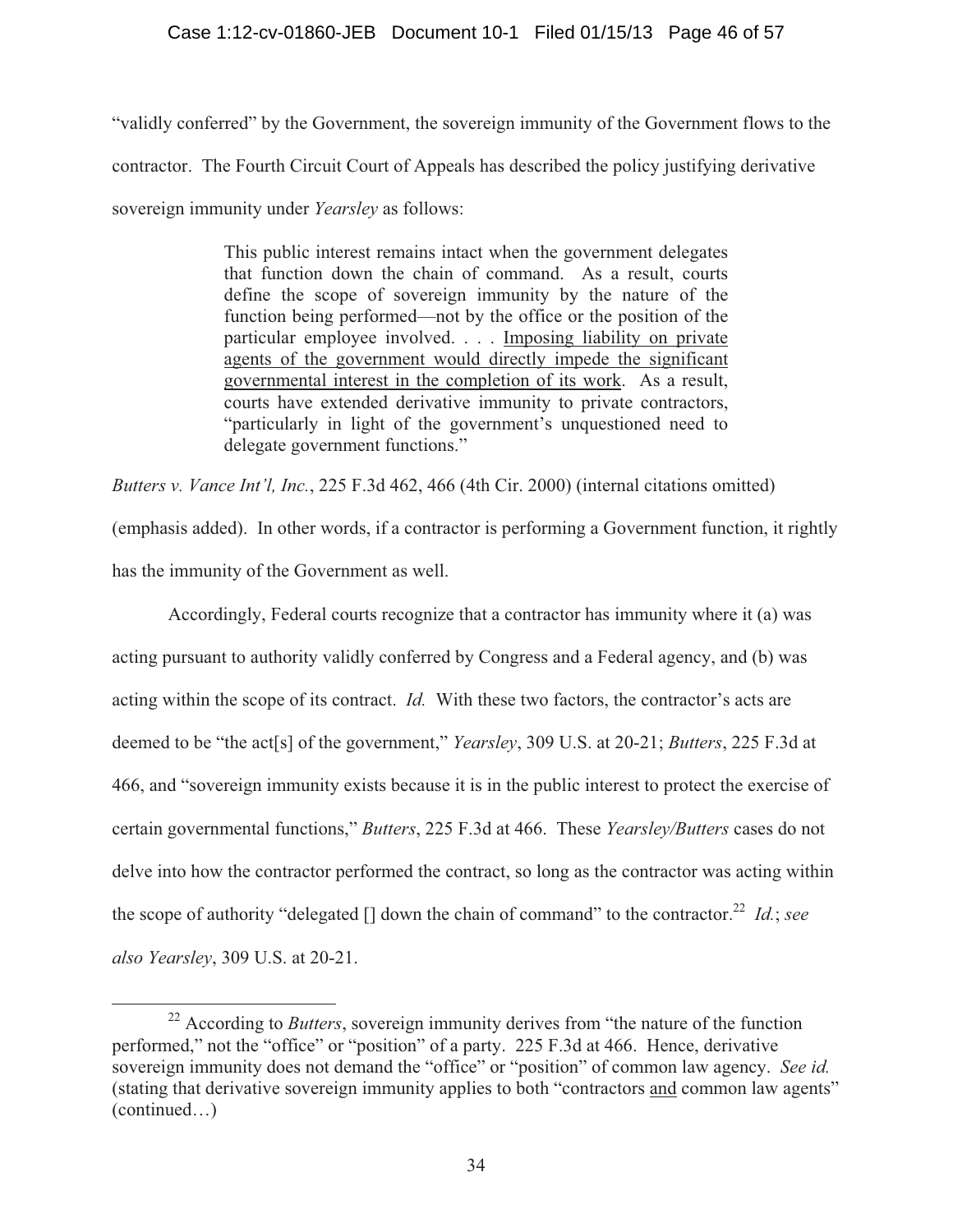## Case 1:12-cv-01860-JEB Document 10-1 Filed 01/15/13 Page 46 of 57

"validly conferred" by the Government, the sovereign immunity of the Government flows to the contractor. The Fourth Circuit Court of Appeals has described the policy justifying derivative sovereign immunity under *Yearsley* as follows:

> This public interest remains intact when the government delegates that function down the chain of command. As a result, courts define the scope of sovereign immunity by the nature of the function being performed—not by the office or the position of the particular employee involved. . . . Imposing liability on private agents of the government would directly impede the significant governmental interest in the completion of its work. As a result, courts have extended derivative immunity to private contractors, "particularly in light of the government's unquestioned need to delegate government functions."

*Butters v. Vance Int'l, Inc.*, 225 F.3d 462, 466 (4th Cir. 2000) (internal citations omitted) (emphasis added). In other words, if a contractor is performing a Government function, it rightly has the immunity of the Government as well.

 Accordingly, Federal courts recognize that a contractor has immunity where it (a) was acting pursuant to authority validly conferred by Congress and a Federal agency, and (b) was acting within the scope of its contract. *Id.* With these two factors, the contractor's acts are deemed to be "the act[s] of the government," *Yearsley*, 309 U.S. at 20-21; *Butters*, 225 F.3d at 466, and "sovereign immunity exists because it is in the public interest to protect the exercise of certain governmental functions," *Butters*, 225 F.3d at 466. These *Yearsley/Butters* cases do not delve into how the contractor performed the contract, so long as the contractor was acting within the scope of authority "delegated  $\iint$  down the chain of command" to the contractor.<sup>22</sup> *Id.*; *see also Yearsley*, 309 U.S. at 20-21.

<sup>&</sup>lt;sup>22</sup> According to *Butters*, sovereign immunity derives from "the nature of the function" performed," not the "office" or "position" of a party. 225 F.3d at 466. Hence, derivative sovereign immunity does not demand the "office" or "position" of common law agency. *See id.* (stating that derivative sovereign immunity applies to both "contractors and common law agents" (continued…)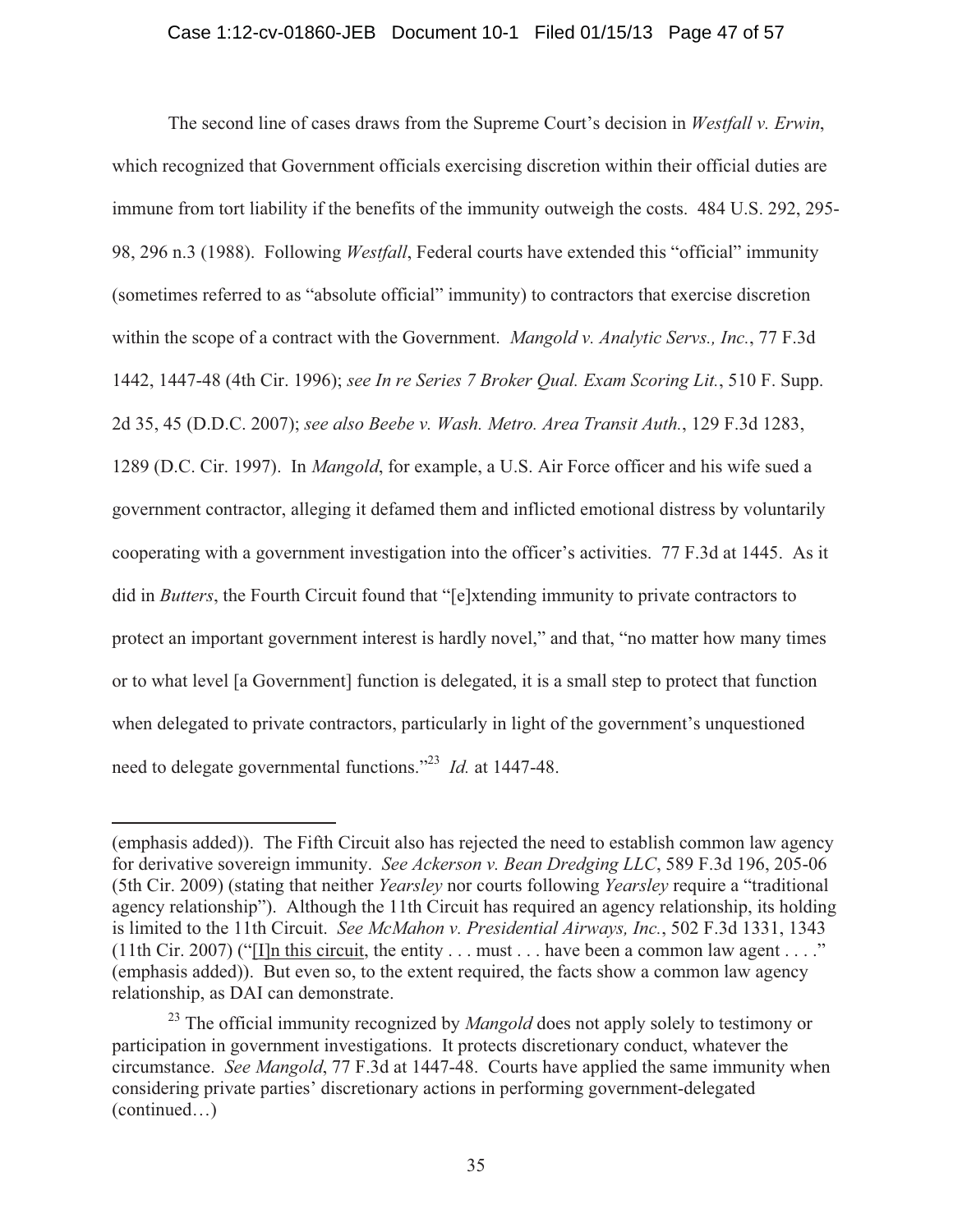The second line of cases draws from the Supreme Court's decision in *Westfall v. Erwin*, which recognized that Government officials exercising discretion within their official duties are immune from tort liability if the benefits of the immunity outweigh the costs. 484 U.S. 292, 295- 98, 296 n.3 (1988). Following *Westfall*, Federal courts have extended this "official" immunity (sometimes referred to as "absolute official" immunity) to contractors that exercise discretion within the scope of a contract with the Government. *Mangold v. Analytic Servs., Inc.*, 77 F.3d 1442, 1447-48 (4th Cir. 1996); *see In re Series 7 Broker Qual. Exam Scoring Lit.*, 510 F. Supp. 2d 35, 45 (D.D.C. 2007); *see also Beebe v. Wash. Metro. Area Transit Auth.*, 129 F.3d 1283, 1289 (D.C. Cir. 1997). In *Mangold*, for example, a U.S. Air Force officer and his wife sued a government contractor, alleging it defamed them and inflicted emotional distress by voluntarily cooperating with a government investigation into the officer's activities. 77 F.3d at 1445. As it did in *Butters*, the Fourth Circuit found that "[e]xtending immunity to private contractors to protect an important government interest is hardly novel," and that, "no matter how many times or to what level [a Government] function is delegated, it is a small step to protect that function when delegated to private contractors, particularly in light of the government's unquestioned need to delegate governmental functions."23 *Id.* at 1447-48.

<sup>(</sup>emphasis added)). The Fifth Circuit also has rejected the need to establish common law agency for derivative sovereign immunity. *See Ackerson v. Bean Dredging LLC*, 589 F.3d 196, 205-06 (5th Cir. 2009) (stating that neither *Yearsley* nor courts following *Yearsley* require a "traditional agency relationship"). Although the 11th Circuit has required an agency relationship, its holding is limited to the 11th Circuit. *See McMahon v. Presidential Airways, Inc.*, 502 F.3d 1331, 1343 (11th Cir. 2007) ("I]n this circuit, the entity  $\dots$  must  $\dots$  have been a common law agent  $\dots$ ." (emphasis added)). But even so, to the extent required, the facts show a common law agency relationship, as DAI can demonstrate.

<sup>&</sup>lt;sup>23</sup> The official immunity recognized by *Mangold* does not apply solely to testimony or participation in government investigations. It protects discretionary conduct, whatever the circumstance. *See Mangold*, 77 F.3d at 1447-48. Courts have applied the same immunity when considering private parties' discretionary actions in performing government-delegated (continued…)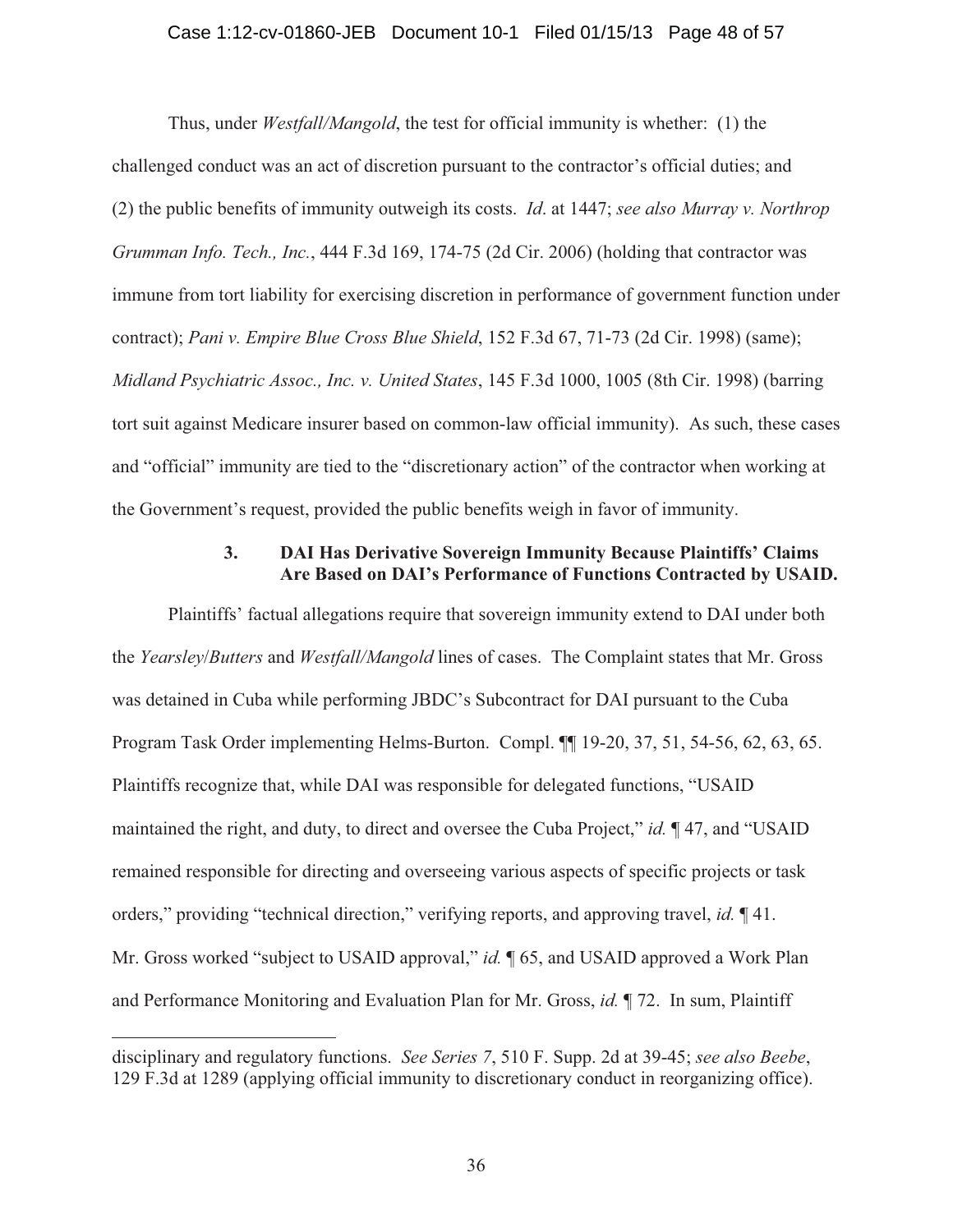#### Case 1:12-cv-01860-JEB Document 10-1 Filed 01/15/13 Page 48 of 57

 Thus, under *Westfall/Mangold*, the test for official immunity is whether: (1) the challenged conduct was an act of discretion pursuant to the contractor's official duties; and (2) the public benefits of immunity outweigh its costs. *Id*. at 1447; *see also Murray v. Northrop Grumman Info. Tech., Inc.*, 444 F.3d 169, 174-75 (2d Cir. 2006) (holding that contractor was immune from tort liability for exercising discretion in performance of government function under contract); *Pani v. Empire Blue Cross Blue Shield*, 152 F.3d 67, 71-73 (2d Cir. 1998) (same); *Midland Psychiatric Assoc., Inc. v. United States*, 145 F.3d 1000, 1005 (8th Cir. 1998) (barring tort suit against Medicare insurer based on common-law official immunity). As such, these cases and "official" immunity are tied to the "discretionary action" of the contractor when working at the Government's request, provided the public benefits weigh in favor of immunity.

### **3. DAI Has Derivative Sovereign Immunity Because Plaintiffs' Claims Are Based on DAI's Performance of Functions Contracted by USAID.**

 Plaintiffs' factual allegations require that sovereign immunity extend to DAI under both the *Yearsley*/*Butters* and *Westfall/Mangold* lines of cases. The Complaint states that Mr. Gross was detained in Cuba while performing JBDC's Subcontract for DAI pursuant to the Cuba Program Task Order implementing Helms-Burton. Compl. ¶¶ 19-20, 37, 51, 54-56, 62, 63, 65. Plaintiffs recognize that, while DAI was responsible for delegated functions, "USAID maintained the right, and duty, to direct and oversee the Cuba Project," *id.* ¶ 47, and "USAID remained responsible for directing and overseeing various aspects of specific projects or task orders," providing "technical direction," verifying reports, and approving travel, *id.* ¶ 41. Mr. Gross worked "subject to USAID approval," *id.* ¶ 65, and USAID approved a Work Plan and Performance Monitoring and Evaluation Plan for Mr. Gross, *id.* ¶ 72. In sum, Plaintiff

disciplinary and regulatory functions. *See Series 7*, 510 F. Supp. 2d at 39-45; *see also Beebe*, 129 F.3d at 1289 (applying official immunity to discretionary conduct in reorganizing office).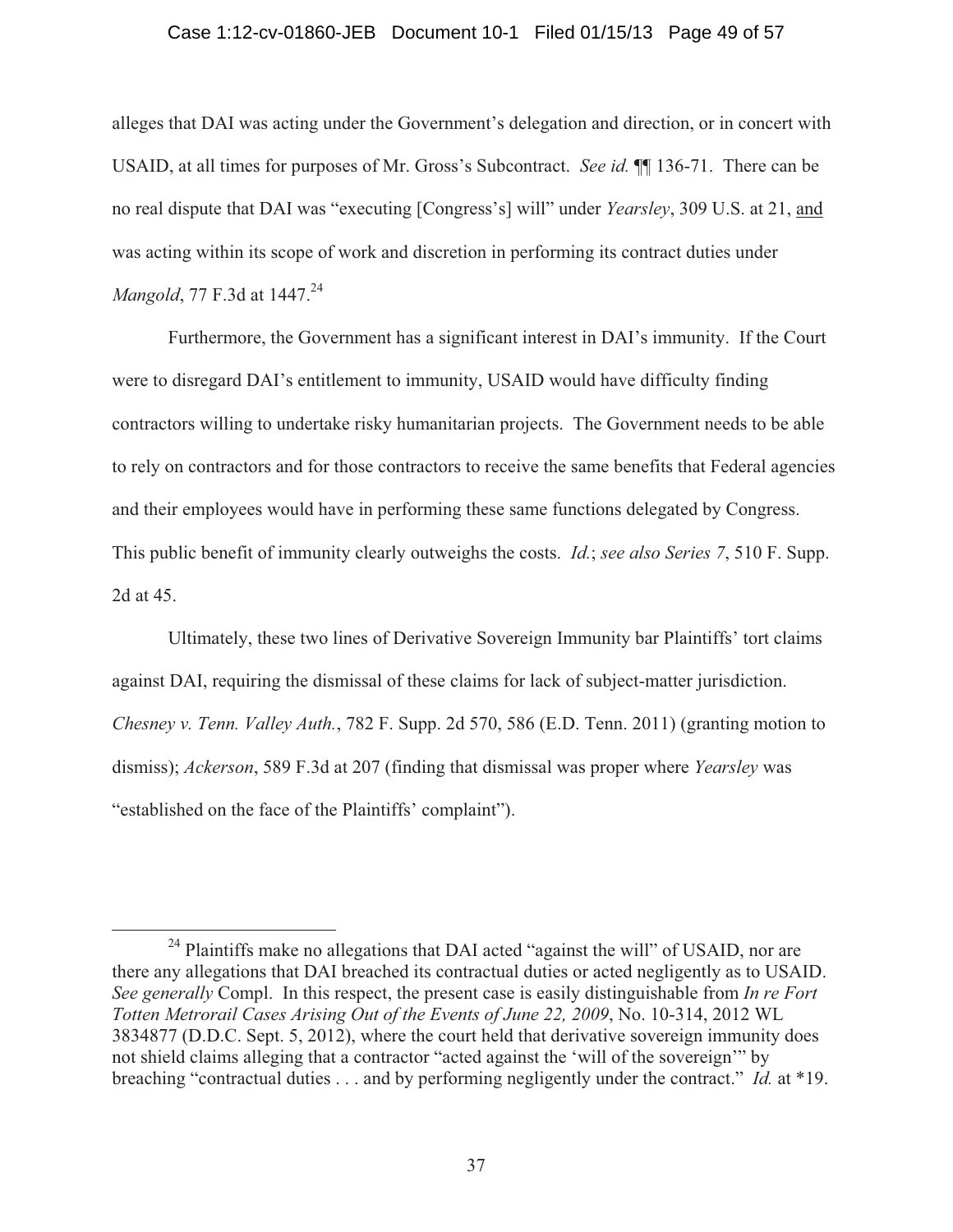#### Case 1:12-cv-01860-JEB Document 10-1 Filed 01/15/13 Page 49 of 57

alleges that DAI was acting under the Government's delegation and direction, or in concert with USAID, at all times for purposes of Mr. Gross's Subcontract. *See id.* ¶¶ 136-71. There can be no real dispute that DAI was "executing [Congress's] will" under *Yearsley*, 309 U.S. at 21, and was acting within its scope of work and discretion in performing its contract duties under *Mangold, 77 F.3d at 1447.*<sup>24</sup>

 Furthermore, the Government has a significant interest in DAI's immunity. If the Court were to disregard DAI's entitlement to immunity, USAID would have difficulty finding contractors willing to undertake risky humanitarian projects. The Government needs to be able to rely on contractors and for those contractors to receive the same benefits that Federal agencies and their employees would have in performing these same functions delegated by Congress. This public benefit of immunity clearly outweighs the costs. *Id.*; *see also Series 7*, 510 F. Supp. 2d at 45.

 Ultimately, these two lines of Derivative Sovereign Immunity bar Plaintiffs' tort claims against DAI, requiring the dismissal of these claims for lack of subject-matter jurisdiction. *Chesney v. Tenn. Valley Auth.*, 782 F. Supp. 2d 570, 586 (E.D. Tenn. 2011) (granting motion to dismiss); *Ackerson*, 589 F.3d at 207 (finding that dismissal was proper where *Yearsley* was "established on the face of the Plaintiffs' complaint").

<sup>&</sup>lt;sup>24</sup> Plaintiffs make no allegations that DAI acted "against the will" of USAID, nor are there any allegations that DAI breached its contractual duties or acted negligently as to USAID. *See generally* Compl. In this respect, the present case is easily distinguishable from *In re Fort Totten Metrorail Cases Arising Out of the Events of June 22, 2009*, No. 10-314, 2012 WL 3834877 (D.D.C. Sept. 5, 2012), where the court held that derivative sovereign immunity does not shield claims alleging that a contractor "acted against the 'will of the sovereign'" by breaching "contractual duties . . . and by performing negligently under the contract." *Id.* at \*19.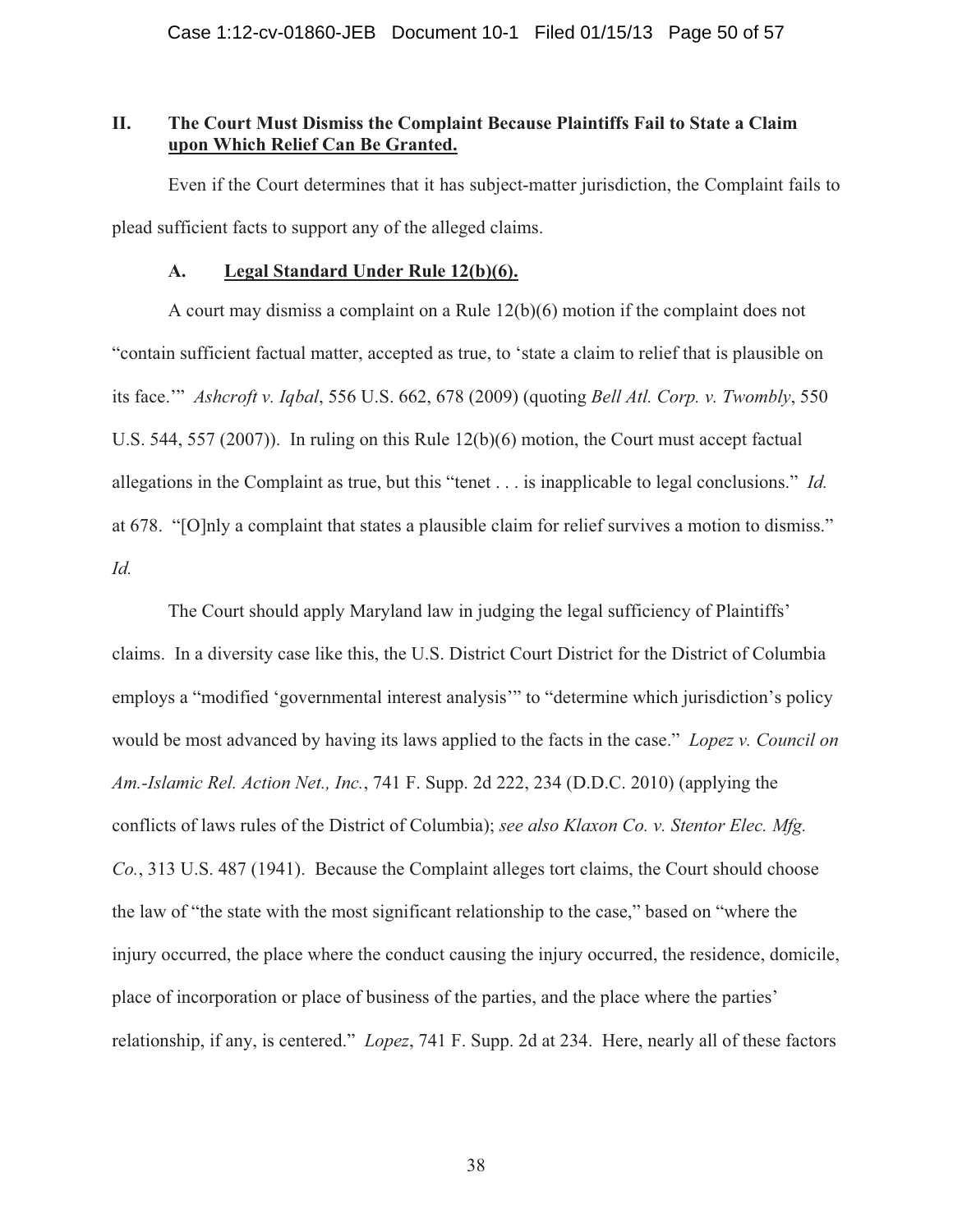## **II. The Court Must Dismiss the Complaint Because Plaintiffs Fail to State a Claim upon Which Relief Can Be Granted.**

Even if the Court determines that it has subject-matter jurisdiction, the Complaint fails to plead sufficient facts to support any of the alleged claims.

#### **A. Legal Standard Under Rule 12(b)(6).**

A court may dismiss a complaint on a Rule 12(b)(6) motion if the complaint does not "contain sufficient factual matter, accepted as true, to 'state a claim to relief that is plausible on its face.'" *Ashcroft v. Iqbal*, 556 U.S. 662, 678 (2009) (quoting *Bell Atl. Corp. v. Twombly*, 550 U.S. 544, 557 (2007)). In ruling on this Rule 12(b)(6) motion, the Court must accept factual allegations in the Complaint as true, but this "tenet . . . is inapplicable to legal conclusions." *Id.* at 678. "[O]nly a complaint that states a plausible claim for relief survives a motion to dismiss." *Id.*

The Court should apply Maryland law in judging the legal sufficiency of Plaintiffs' claims. In a diversity case like this, the U.S. District Court District for the District of Columbia employs a "modified 'governmental interest analysis'" to "determine which jurisdiction's policy would be most advanced by having its laws applied to the facts in the case." *Lopez v. Council on Am.-Islamic Rel. Action Net., Inc.*, 741 F. Supp. 2d 222, 234 (D.D.C. 2010) (applying the conflicts of laws rules of the District of Columbia); *see also Klaxon Co. v. Stentor Elec. Mfg. Co.*, 313 U.S. 487 (1941). Because the Complaint alleges tort claims, the Court should choose the law of "the state with the most significant relationship to the case," based on "where the injury occurred, the place where the conduct causing the injury occurred, the residence, domicile, place of incorporation or place of business of the parties, and the place where the parties' relationship, if any, is centered." *Lopez*, 741 F. Supp. 2d at 234. Here, nearly all of these factors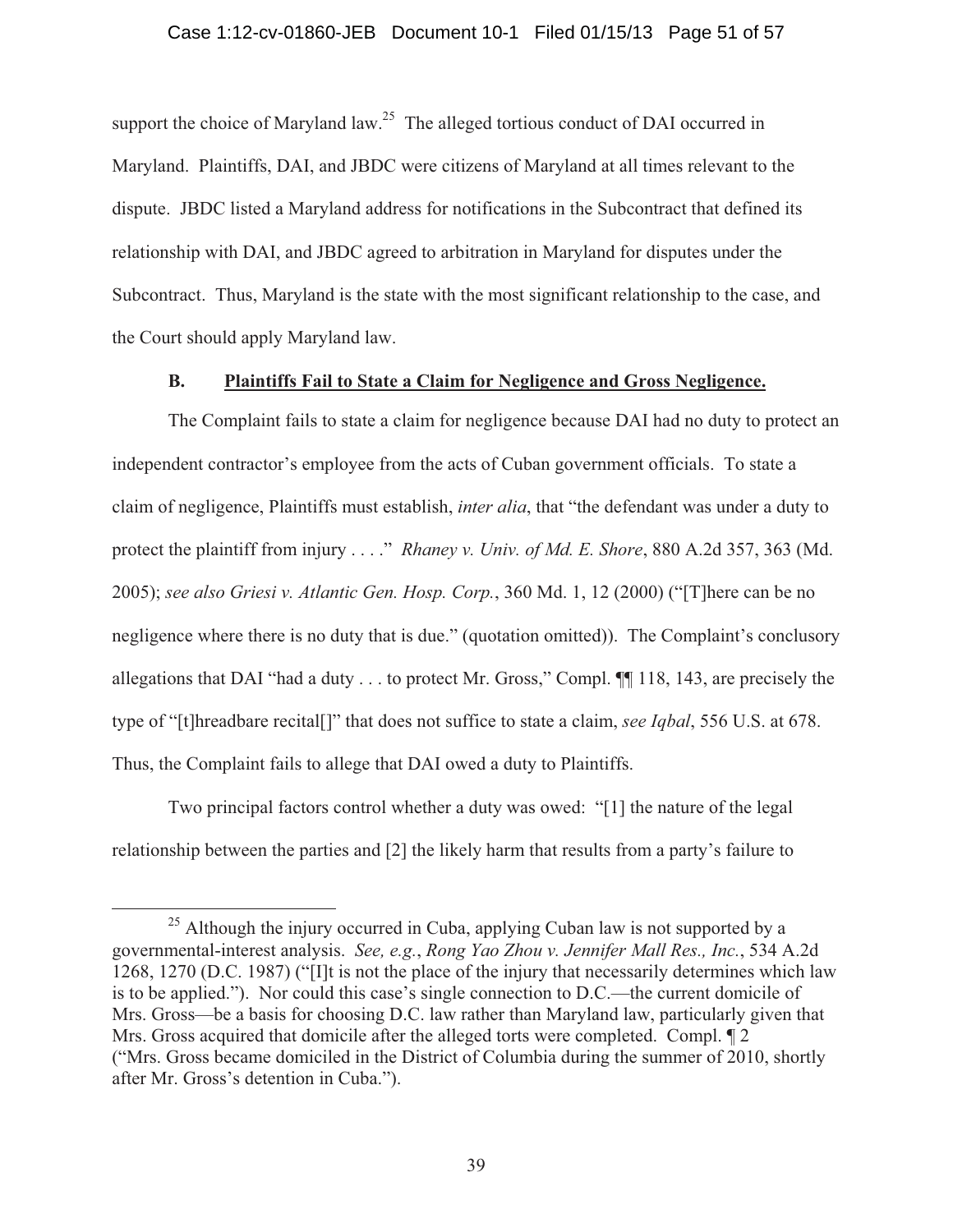support the choice of Maryland law.<sup>25</sup> The alleged tortious conduct of DAI occurred in Maryland. Plaintiffs, DAI, and JBDC were citizens of Maryland at all times relevant to the dispute. JBDC listed a Maryland address for notifications in the Subcontract that defined its relationship with DAI, and JBDC agreed to arbitration in Maryland for disputes under the Subcontract. Thus, Maryland is the state with the most significant relationship to the case, and the Court should apply Maryland law.

## **B. Plaintiffs Fail to State a Claim for Negligence and Gross Negligence.**

The Complaint fails to state a claim for negligence because DAI had no duty to protect an independent contractor's employee from the acts of Cuban government officials. To state a claim of negligence, Plaintiffs must establish, *inter alia*, that "the defendant was under a duty to protect the plaintiff from injury . . . ." *Rhaney v. Univ. of Md. E. Shore*, 880 A.2d 357, 363 (Md. 2005); *see also Griesi v. Atlantic Gen. Hosp. Corp.*, 360 Md. 1, 12 (2000) ("[T]here can be no negligence where there is no duty that is due." (quotation omitted)). The Complaint's conclusory allegations that DAI "had a duty . . . to protect Mr. Gross," Compl. ¶¶ 118, 143, are precisely the type of "[t]hreadbare recital[]" that does not suffice to state a claim, *see Iqbal*, 556 U.S. at 678. Thus, the Complaint fails to allege that DAI owed a duty to Plaintiffs.

Two principal factors control whether a duty was owed: "[1] the nature of the legal relationship between the parties and [2] the likely harm that results from a party's failure to

 $25$  Although the injury occurred in Cuba, applying Cuban law is not supported by a governmental-interest analysis. *See, e.g.*, *Rong Yao Zhou v. Jennifer Mall Res., Inc.*, 534 A.2d 1268, 1270 (D.C. 1987) ("[I]t is not the place of the injury that necessarily determines which law is to be applied."). Nor could this case's single connection to D.C.—the current domicile of Mrs. Gross—be a basis for choosing D.C. law rather than Maryland law, particularly given that Mrs. Gross acquired that domicile after the alleged torts were completed. Compl. ¶ 2 ("Mrs. Gross became domiciled in the District of Columbia during the summer of 2010, shortly after Mr. Gross's detention in Cuba.").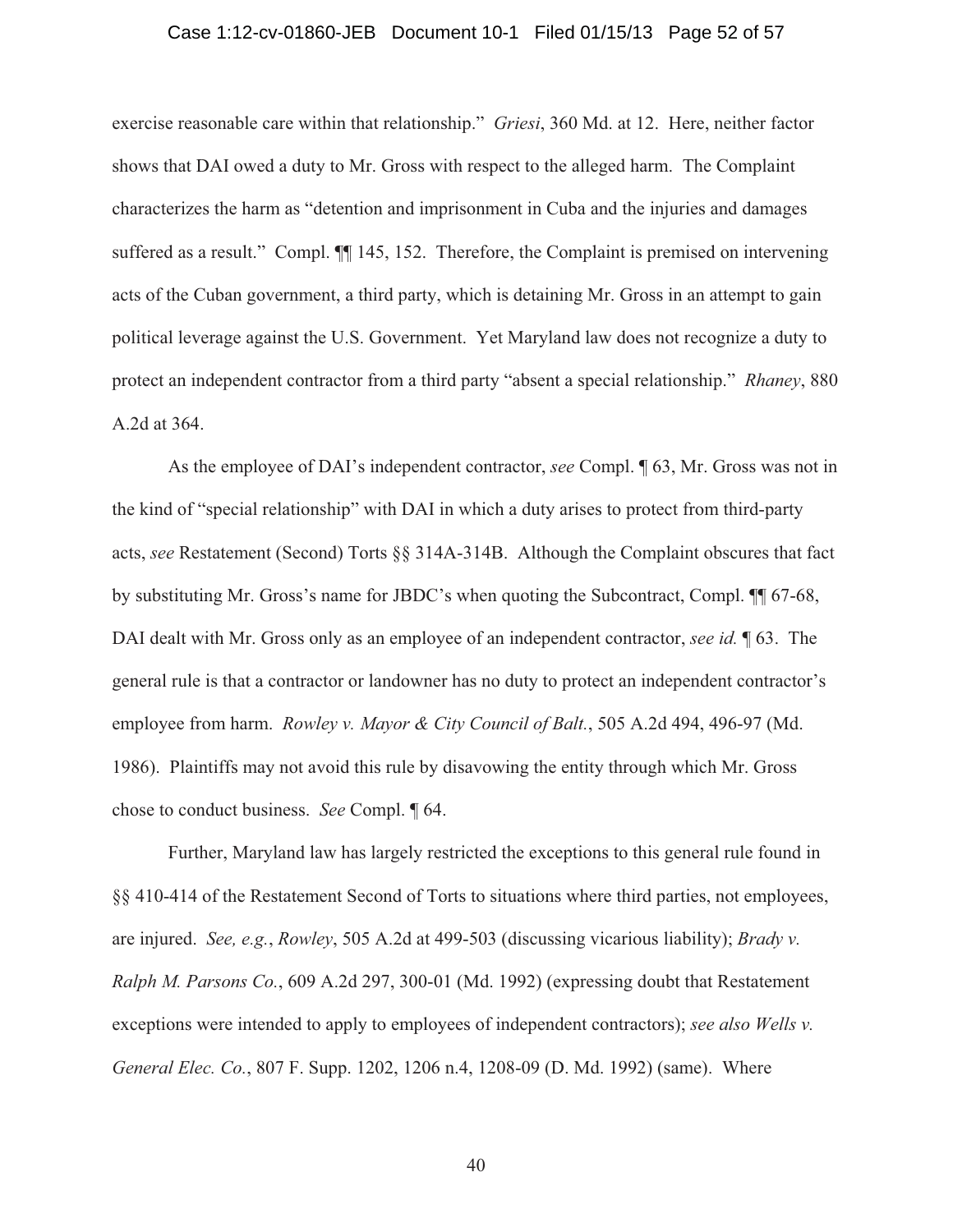#### Case 1:12-cv-01860-JEB Document 10-1 Filed 01/15/13 Page 52 of 57

exercise reasonable care within that relationship." *Griesi*, 360 Md. at 12. Here, neither factor shows that DAI owed a duty to Mr. Gross with respect to the alleged harm. The Complaint characterizes the harm as "detention and imprisonment in Cuba and the injuries and damages suffered as a result." Compl.  $\P$  145, 152. Therefore, the Complaint is premised on intervening acts of the Cuban government, a third party, which is detaining Mr. Gross in an attempt to gain political leverage against the U.S. Government. Yet Maryland law does not recognize a duty to protect an independent contractor from a third party "absent a special relationship." *Rhaney*, 880 A.2d at 364.

As the employee of DAI's independent contractor, *see* Compl. ¶ 63, Mr. Gross was not in the kind of "special relationship" with DAI in which a duty arises to protect from third-party acts, *see* Restatement (Second) Torts §§ 314A-314B. Although the Complaint obscures that fact by substituting Mr. Gross's name for JBDC's when quoting the Subcontract, Compl. ¶¶ 67-68, DAI dealt with Mr. Gross only as an employee of an independent contractor, *see id.* ¶ 63. The general rule is that a contractor or landowner has no duty to protect an independent contractor's employee from harm. *Rowley v. Mayor & City Council of Balt.*, 505 A.2d 494, 496-97 (Md. 1986). Plaintiffs may not avoid this rule by disavowing the entity through which Mr. Gross chose to conduct business. *See* Compl. ¶ 64.

Further, Maryland law has largely restricted the exceptions to this general rule found in §§ 410-414 of the Restatement Second of Torts to situations where third parties, not employees, are injured. *See, e.g.*, *Rowley*, 505 A.2d at 499-503 (discussing vicarious liability); *Brady v. Ralph M. Parsons Co.*, 609 A.2d 297, 300-01 (Md. 1992) (expressing doubt that Restatement exceptions were intended to apply to employees of independent contractors); *see also Wells v. General Elec. Co.*, 807 F. Supp. 1202, 1206 n.4, 1208-09 (D. Md. 1992) (same). Where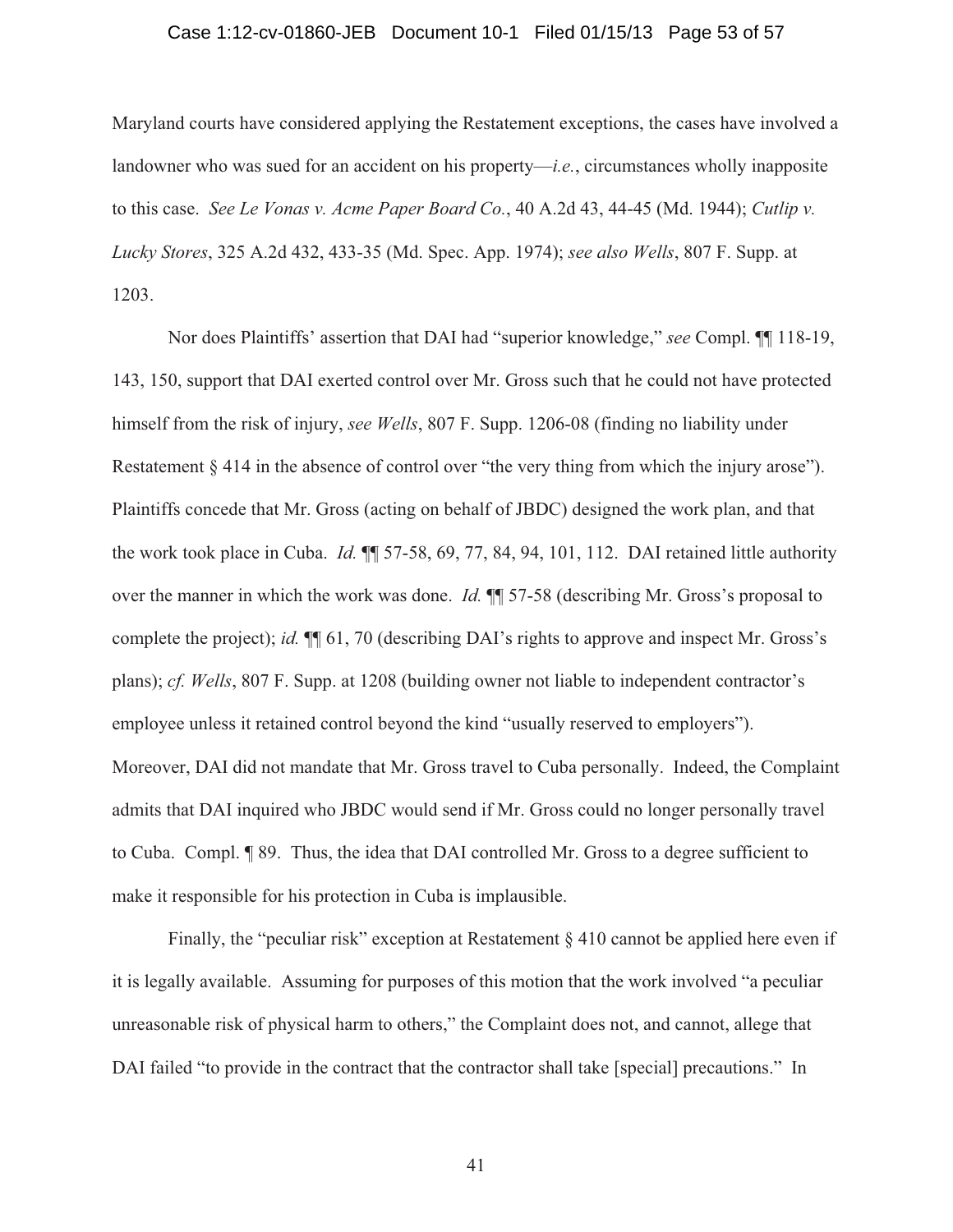#### Case 1:12-cv-01860-JEB Document 10-1 Filed 01/15/13 Page 53 of 57

Maryland courts have considered applying the Restatement exceptions, the cases have involved a landowner who was sued for an accident on his property—*i.e.*, circumstances wholly inapposite to this case. *See Le Vonas v. Acme Paper Board Co.*, 40 A.2d 43, 44-45 (Md. 1944); *Cutlip v. Lucky Stores*, 325 A.2d 432, 433-35 (Md. Spec. App. 1974); *see also Wells*, 807 F. Supp. at 1203.

Nor does Plaintiffs' assertion that DAI had "superior knowledge," *see* Compl. ¶¶ 118-19, 143, 150, support that DAI exerted control over Mr. Gross such that he could not have protected himself from the risk of injury, *see Wells*, 807 F. Supp. 1206-08 (finding no liability under Restatement § 414 in the absence of control over "the very thing from which the injury arose"). Plaintiffs concede that Mr. Gross (acting on behalf of JBDC) designed the work plan, and that the work took place in Cuba. *Id.* ¶¶ 57-58, 69, 77, 84, 94, 101, 112. DAI retained little authority over the manner in which the work was done. *Id.* ¶¶ 57-58 (describing Mr. Gross's proposal to complete the project); *id.* ¶¶ 61, 70 (describing DAI's rights to approve and inspect Mr. Gross's plans); *cf. Wells*, 807 F. Supp. at 1208 (building owner not liable to independent contractor's employee unless it retained control beyond the kind "usually reserved to employers"). Moreover, DAI did not mandate that Mr. Gross travel to Cuba personally. Indeed, the Complaint admits that DAI inquired who JBDC would send if Mr. Gross could no longer personally travel to Cuba. Compl. ¶ 89. Thus, the idea that DAI controlled Mr. Gross to a degree sufficient to make it responsible for his protection in Cuba is implausible.

Finally, the "peculiar risk" exception at Restatement § 410 cannot be applied here even if it is legally available. Assuming for purposes of this motion that the work involved "a peculiar unreasonable risk of physical harm to others," the Complaint does not, and cannot, allege that DAI failed "to provide in the contract that the contractor shall take [special] precautions." In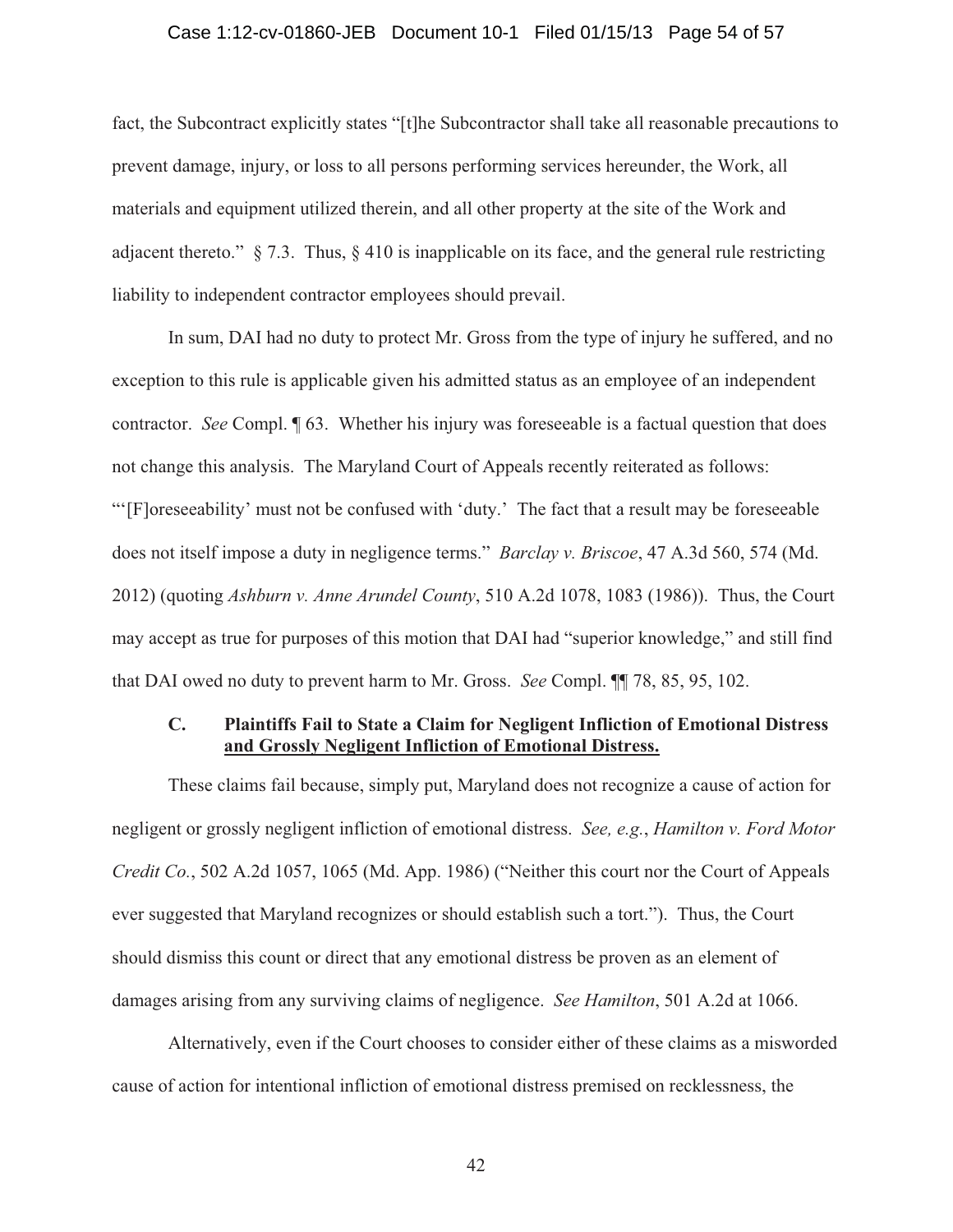#### Case 1:12-cv-01860-JEB Document 10-1 Filed 01/15/13 Page 54 of 57

fact, the Subcontract explicitly states "[t]he Subcontractor shall take all reasonable precautions to prevent damage, injury, or loss to all persons performing services hereunder, the Work, all materials and equipment utilized therein, and all other property at the site of the Work and adjacent thereto." § 7.3. Thus, § 410 is inapplicable on its face, and the general rule restricting liability to independent contractor employees should prevail.

In sum, DAI had no duty to protect Mr. Gross from the type of injury he suffered, and no exception to this rule is applicable given his admitted status as an employee of an independent contractor. *See* Compl. ¶ 63. Whether his injury was foreseeable is a factual question that does not change this analysis. The Maryland Court of Appeals recently reiterated as follows: "'[F]oreseeability' must not be confused with 'duty.' The fact that a result may be foreseeable does not itself impose a duty in negligence terms." *Barclay v. Briscoe*, 47 A.3d 560, 574 (Md. 2012) (quoting *Ashburn v. Anne Arundel County*, 510 A.2d 1078, 1083 (1986)). Thus, the Court may accept as true for purposes of this motion that DAI had "superior knowledge," and still find that DAI owed no duty to prevent harm to Mr. Gross. *See* Compl. ¶¶ 78, 85, 95, 102.

## **C. Plaintiffs Fail to State a Claim for Negligent Infliction of Emotional Distress and Grossly Negligent Infliction of Emotional Distress.**

These claims fail because, simply put, Maryland does not recognize a cause of action for negligent or grossly negligent infliction of emotional distress. *See, e.g.*, *Hamilton v. Ford Motor Credit Co.*, 502 A.2d 1057, 1065 (Md. App. 1986) ("Neither this court nor the Court of Appeals ever suggested that Maryland recognizes or should establish such a tort."). Thus, the Court should dismiss this count or direct that any emotional distress be proven as an element of damages arising from any surviving claims of negligence. *See Hamilton*, 501 A.2d at 1066.

Alternatively, even if the Court chooses to consider either of these claims as a misworded cause of action for intentional infliction of emotional distress premised on recklessness, the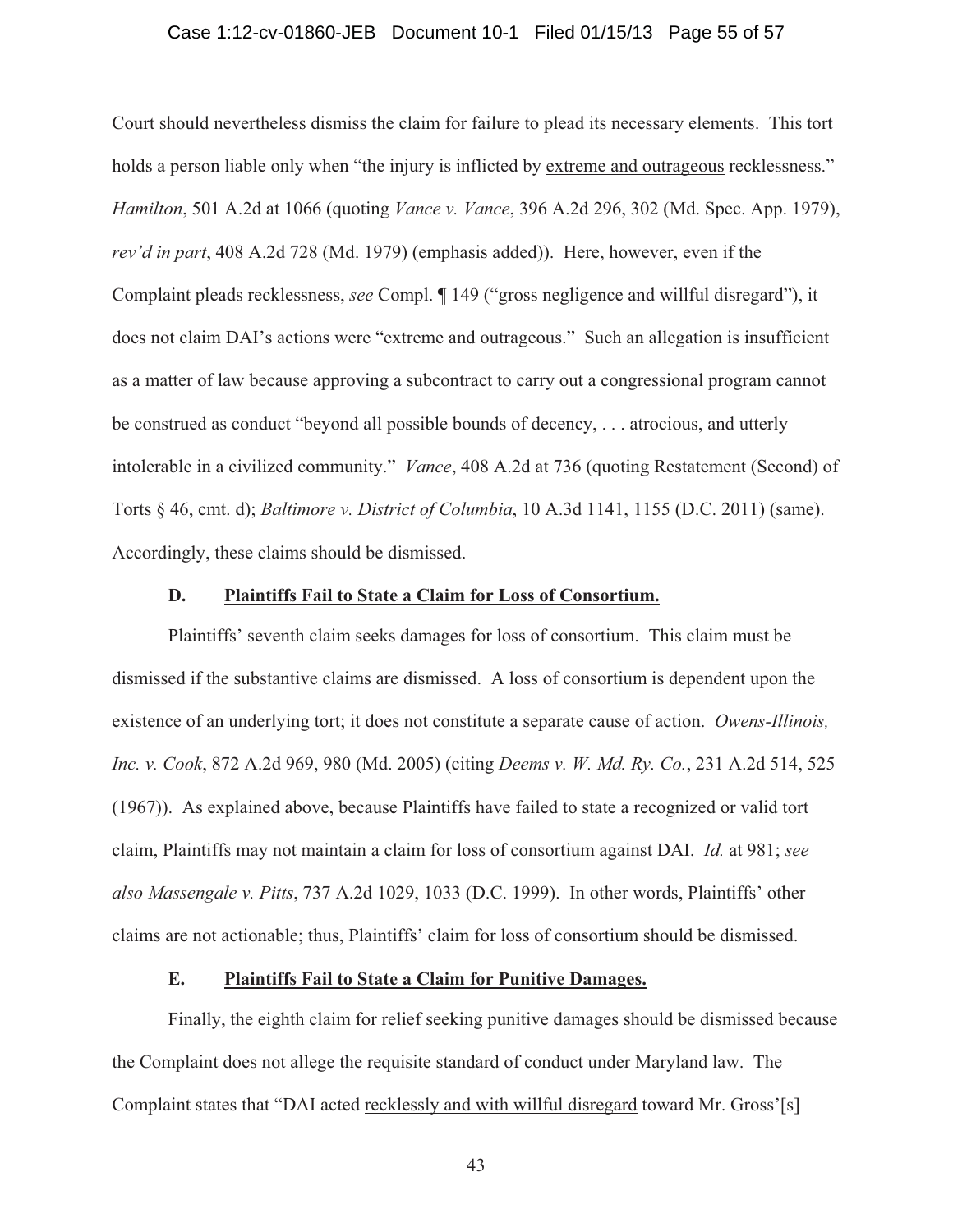#### Case 1:12-cv-01860-JEB Document 10-1 Filed 01/15/13 Page 55 of 57

Court should nevertheless dismiss the claim for failure to plead its necessary elements. This tort holds a person liable only when "the injury is inflicted by extreme and outrageous recklessness." *Hamilton*, 501 A.2d at 1066 (quoting *Vance v. Vance*, 396 A.2d 296, 302 (Md. Spec. App. 1979), *rev'd in part*, 408 A.2d 728 (Md. 1979) (emphasis added)). Here, however, even if the Complaint pleads recklessness, *see* Compl. ¶ 149 ("gross negligence and willful disregard"), it does not claim DAI's actions were "extreme and outrageous." Such an allegation is insufficient as a matter of law because approving a subcontract to carry out a congressional program cannot be construed as conduct "beyond all possible bounds of decency, . . . atrocious, and utterly intolerable in a civilized community." *Vance*, 408 A.2d at 736 (quoting Restatement (Second) of Torts § 46, cmt. d); *Baltimore v. District of Columbia*, 10 A.3d 1141, 1155 (D.C. 2011) (same). Accordingly, these claims should be dismissed.

#### **D. Plaintiffs Fail to State a Claim for Loss of Consortium.**

Plaintiffs' seventh claim seeks damages for loss of consortium. This claim must be dismissed if the substantive claims are dismissed. A loss of consortium is dependent upon the existence of an underlying tort; it does not constitute a separate cause of action. *Owens-Illinois, Inc. v. Cook*, 872 A.2d 969, 980 (Md. 2005) (citing *Deems v. W. Md. Ry. Co.*, 231 A.2d 514, 525 (1967)). As explained above, because Plaintiffs have failed to state a recognized or valid tort claim, Plaintiffs may not maintain a claim for loss of consortium against DAI. *Id.* at 981; *see also Massengale v. Pitts*, 737 A.2d 1029, 1033 (D.C. 1999). In other words, Plaintiffs' other claims are not actionable; thus, Plaintiffs' claim for loss of consortium should be dismissed.

## **E. Plaintiffs Fail to State a Claim for Punitive Damages.**

Finally, the eighth claim for relief seeking punitive damages should be dismissed because the Complaint does not allege the requisite standard of conduct under Maryland law. The Complaint states that "DAI acted recklessly and with willful disregard toward Mr. Gross'[s]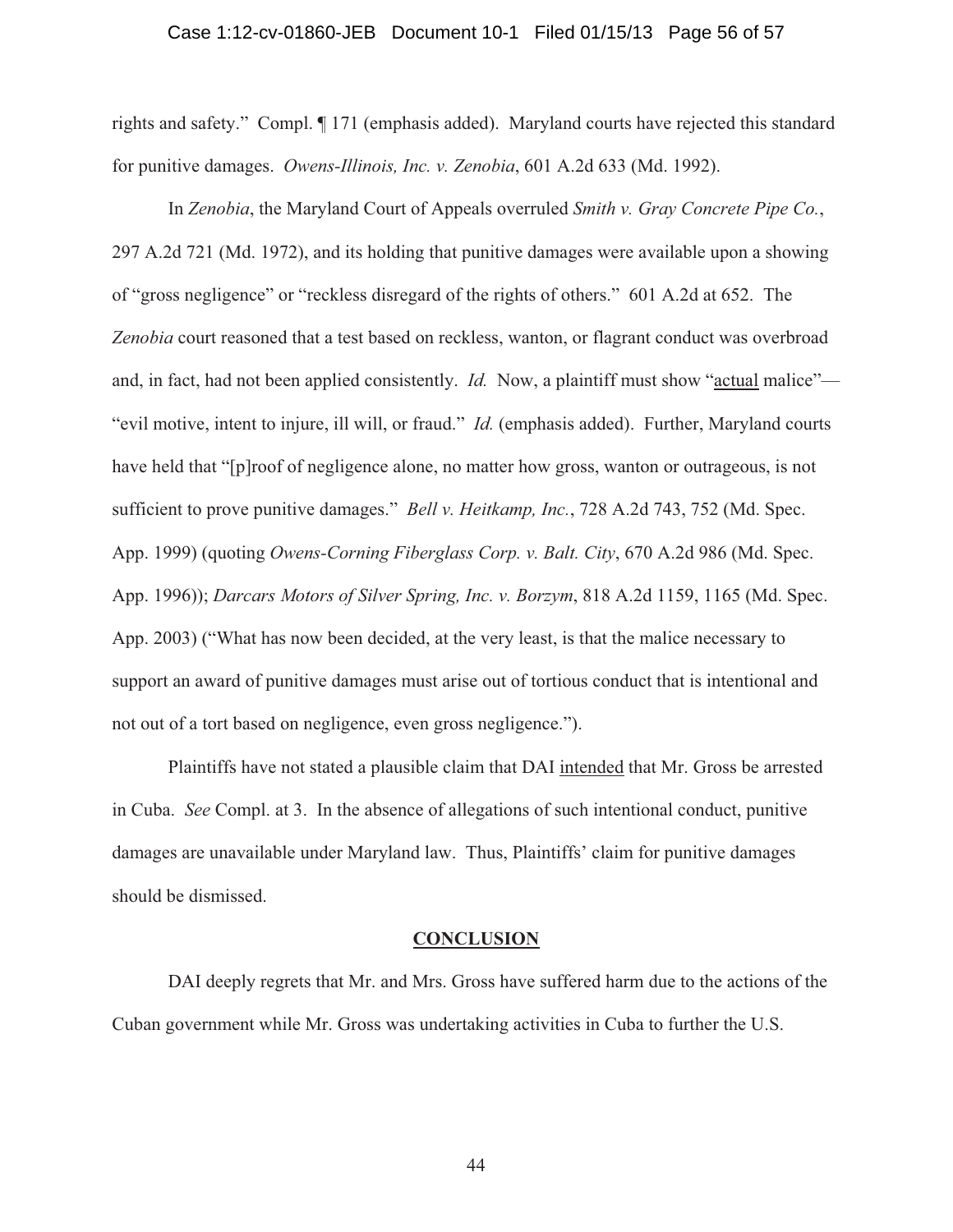#### Case 1:12-cv-01860-JEB Document 10-1 Filed 01/15/13 Page 56 of 57

rights and safety." Compl. ¶ 171 (emphasis added). Maryland courts have rejected this standard for punitive damages. *Owens-Illinois, Inc. v. Zenobia*, 601 A.2d 633 (Md. 1992).

In *Zenobia*, the Maryland Court of Appeals overruled *Smith v. Gray Concrete Pipe Co.*, 297 A.2d 721 (Md. 1972), and its holding that punitive damages were available upon a showing of "gross negligence" or "reckless disregard of the rights of others." 601 A.2d at 652. The *Zenobia* court reasoned that a test based on reckless, wanton, or flagrant conduct was overbroad and, in fact, had not been applied consistently. *Id.* Now, a plaintiff must show "actual malice"— "evil motive, intent to injure, ill will, or fraud." *Id.* (emphasis added). Further, Maryland courts have held that "[p]roof of negligence alone, no matter how gross, wanton or outrageous, is not sufficient to prove punitive damages." *Bell v. Heitkamp, Inc.*, 728 A.2d 743, 752 (Md. Spec. App. 1999) (quoting *Owens-Corning Fiberglass Corp. v. Balt. City*, 670 A.2d 986 (Md. Spec. App. 1996)); *Darcars Motors of Silver Spring, Inc. v. Borzym*, 818 A.2d 1159, 1165 (Md. Spec. App. 2003) ("What has now been decided, at the very least, is that the malice necessary to support an award of punitive damages must arise out of tortious conduct that is intentional and not out of a tort based on negligence, even gross negligence.").

Plaintiffs have not stated a plausible claim that DAI intended that Mr. Gross be arrested in Cuba. *See* Compl. at 3. In the absence of allegations of such intentional conduct, punitive damages are unavailable under Maryland law. Thus, Plaintiffs' claim for punitive damages should be dismissed.

#### **CONCLUSION**

DAI deeply regrets that Mr. and Mrs. Gross have suffered harm due to the actions of the Cuban government while Mr. Gross was undertaking activities in Cuba to further the U.S.